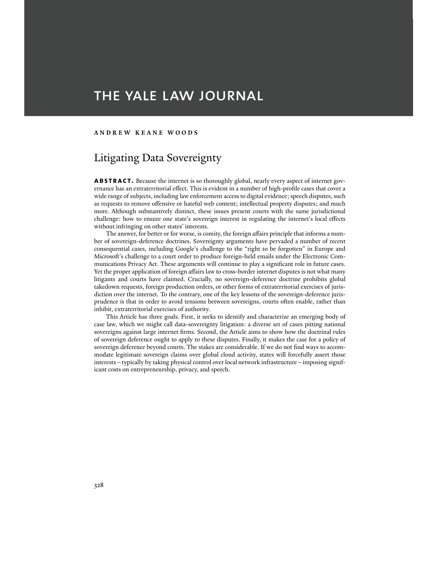# THE YALE LAW JOURNAL

### **ANDREW KEANE WOODS**

# Litigating Data Sovereignty

**abstract.** Because the internet is so thoroughly global, nearly every aspect of internet governance has an extraterritorial effect. This is evident in a number of high-profile cases that cover a wide range of subjects, including law enforcement access to digital evidence; speech disputes, such as requests to remove offensive or hateful web content; intellectual property disputes; and much more. Although substantively distinct, these issues present courts with the same jurisdictional challenge: how to ensure one state's sovereign interest in regulating the internet's local effects without infringing on other states' interests.

 The answer, for better or for worse, is comity, the foreign affairs principle that informs a number of sovereign-deference doctrines. Sovereignty arguments have pervaded a number of recent consequential cases, including Google's challenge to the "right to be forgotten" in Europe and Microsoft's challenge to a court order to produce foreign-held emails under the Electronic Communications Privacy Act. These arguments will continue to play a significant role in future cases. Yet the proper application of foreign affairs law to cross-border internet disputes is not what many litigants and courts have claimed. Crucially, no sovereign-deference doctrine prohibits global takedown requests, foreign production orders, or other forms of extraterritorial exercises of jurisdiction over the internet. To the contrary, one of the key lessons of the sovereign-deference jurisprudence is that in order to avoid tensions between sovereigns, courts often enable, rather than inhibit, extraterritorial exercises of authority.

 This Article has three goals. First, it seeks to identify and characterize an emerging body of case law, which we might call data-sovereignty litigation: a diverse set of cases pitting national sovereigns against large internet firms. Second, the Article aims to show how the doctrinal rules of sovereign deference ought to apply to these disputes. Finally, it makes the case for a policy of sovereign deference beyond courts. The stakes are considerable. If we do not find ways to accommodate legitimate sovereign claims over global cloud activity, states will forcefully assert those interests—typically by taking physical control over local network infrastructure—imposing significant costs on entrepreneurship, privacy, and speech.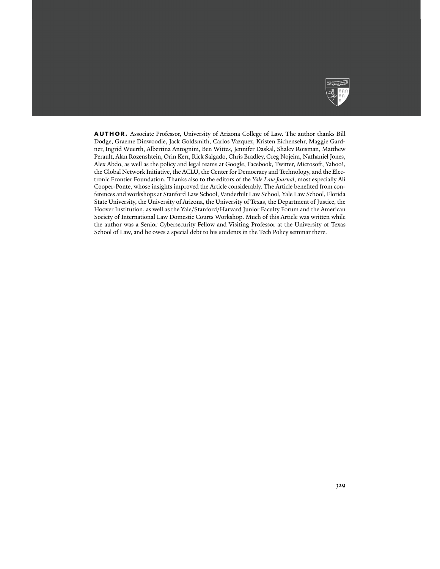

AUTHOR. Associate Professor, University of Arizona College of Law. The author thanks Bill Dodge, Graeme Dinwoodie, Jack Goldsmith, Carlos Vazquez, Kristen Eichensehr, Maggie Gardner, Ingrid Wuerth, Albertina Antognini, Ben Wittes, Jennifer Daskal, Shalev Roisman, Matthew Perault, Alan Rozenshtein, Orin Kerr, Rick Salgado, Chris Bradley, Greg Nojeim, Nathaniel Jones, Alex Abdo, as well as the policy and legal teams at Google, Facebook, Twitter, Microsoft, Yahoo!, the Global Network Initiative, the ACLU, the Center for Democracy and Technology, and the Electronic Frontier Foundation. Thanks also to the editors of the *Yale Law Journal*, most especially Ali Cooper-Ponte, whose insights improved the Article considerably. The Article benefited from conferences and workshops at Stanford Law School, Vanderbilt Law School, Yale Law School, Florida State University, the University of Arizona, the University of Texas, the Department of Justice, the Hoover Institution, as well as the Yale/Stanford/Harvard Junior Faculty Forum and the American Society of International Law Domestic Courts Workshop. Much of this Article was written while the author was a Senior Cybersecurity Fellow and Visiting Professor at the University of Texas School of Law, and he owes a special debt to his students in the Tech Policy seminar there.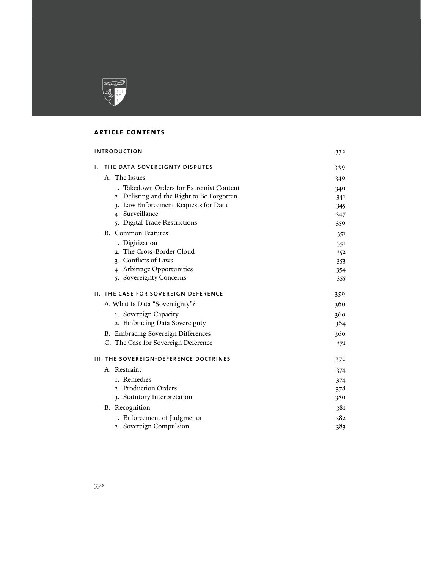

# **article contents**

| <b>INTRODUCTION</b> |                                               | 332 |
|---------------------|-----------------------------------------------|-----|
| ۱.                  | THE DATA-SOVEREIGNTY DISPUTES                 | 339 |
|                     | A. The Issues                                 | 340 |
|                     | 1. Takedown Orders for Extremist Content      | 340 |
|                     | 2. Delisting and the Right to Be Forgotten    | 341 |
|                     | 3. Law Enforcement Requests for Data          | 345 |
|                     | 4. Surveillance                               | 347 |
|                     | 5. Digital Trade Restrictions                 | 350 |
|                     | <b>B.</b> Common Features                     | 351 |
|                     | 1. Digitization                               | 351 |
|                     | 2. The Cross-Border Cloud                     | 352 |
|                     | 3. Conflicts of Laws                          | 353 |
|                     | 4. Arbitrage Opportunities                    | 354 |
|                     | 5. Sovereignty Concerns                       | 355 |
|                     | <b>II. THE CASE FOR SOVEREIGN DEFERENCE</b>   | 359 |
|                     | A. What Is Data "Sovereignty"?                | 360 |
|                     | 1. Sovereign Capacity                         | 360 |
|                     | 2. Embracing Data Sovereignty                 | 364 |
|                     | B. Embracing Sovereign Differences            | 366 |
|                     | C. The Case for Sovereign Deference           | 371 |
|                     | <b>III. THE SOVEREIGN-DEFERENCE DOCTRINES</b> | 371 |
|                     | A. Restraint                                  | 374 |
|                     | 1. Remedies                                   | 374 |
|                     | 2. Production Orders                          | 378 |
|                     | 3. Statutory Interpretation                   | 380 |
|                     | <b>B.</b> Recognition                         | 381 |
|                     | 1. Enforcement of Judgments                   | 382 |
|                     | 2. Sovereign Compulsion                       | 383 |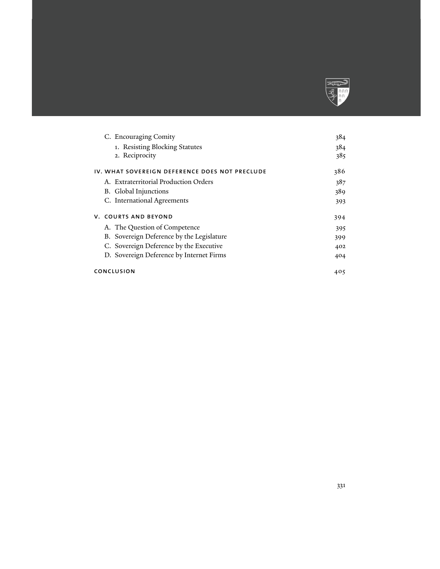

| C. Encouraging Comity                          | 384 |
|------------------------------------------------|-----|
| 1. Resisting Blocking Statutes                 | 384 |
| 2. Reciprocity                                 | 385 |
| IV. WHAT SOVEREIGN DEFERENCE DOES NOT PRECLUDE | 386 |
| A. Extraterritorial Production Orders          | 387 |
| B. Global Injunctions                          | 389 |
| C. International Agreements                    | 393 |
| <b>V. COURTS AND BEYOND</b>                    | 394 |
| A. The Question of Competence                  | 395 |
| B. Sovereign Deference by the Legislature      | 399 |
| C. Sovereign Deference by the Executive        | 402 |
| D. Sovereign Deference by Internet Firms       | 404 |
| CONCLUSION                                     | 405 |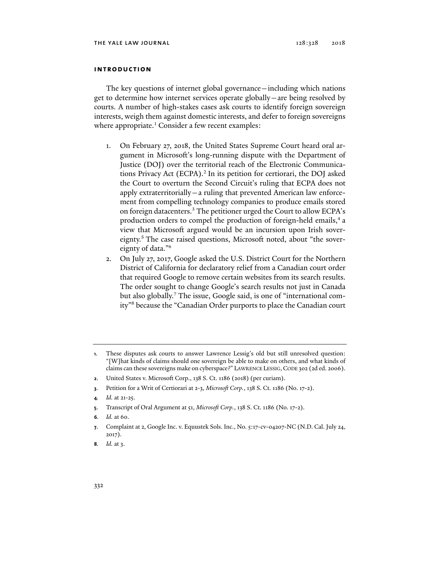# **introduction**

The key questions of internet global governance—including which nations get to determine how internet services operate globally—are being resolved by courts. A number of high-stakes cases ask courts to identify foreign sovereign interests, weigh them against domestic interests, and defer to foreign sovereigns where appropriate.<sup>1</sup> Consider a few recent examples:

- 1. On February 27, 2018, the United States Supreme Court heard oral argument in Microsoft's long-running dispute with the Department of Justice (DOJ) over the territorial reach of the Electronic Communications Privacy Act (ECPA).<sup>2</sup> In its petition for certiorari, the DOJ asked the Court to overturn the Second Circuit's ruling that ECPA does not apply extraterritorially—a ruling that prevented American law enforcement from compelling technology companies to produce emails stored on foreign datacenters.<sup>3</sup> The petitioner urged the Court to allow ECPA's production orders to compel the production of foreign-held emails,<sup>4</sup> a view that Microsoft argued would be an incursion upon Irish sovereignty.<sup>5</sup> The case raised questions, Microsoft noted, about "the sovereignty of data."6
- 2. On July 27, 2017, Google asked the U.S. District Court for the Northern District of California for declaratory relief from a Canadian court order that required Google to remove certain websites from its search results. The order sought to change Google's search results not just in Canada but also globally.<sup>7</sup> The issue, Google said, is one of "international comity"8 because the "Canadian Order purports to place the Canadian court

- **2**. United States v. Microsoft Corp., 138 S. Ct. 1186 (2018) (per curiam).
- **3**. Petition for a Writ of Certiorari at 2-3, *Microsoft Corp.*, 138 S. Ct. 1186 (No. 17-2).
- **4***. Id.* at 21-25.
- **5**. Transcript of Oral Argument at 51, *Microsoft Corp.*, 138 S. Ct. 1186 (No. 17-2).
- **6***. Id.* at 60.
- **7**. Complaint at 2, Google Inc. v. Equustek Sols. Inc., No. 5:17-cv-04207-NC (N.D. Cal. July 24, 2017).

**<sup>1</sup>**. These disputes ask courts to answer Lawrence Lessig's old but still unresolved question: "[W]hat kinds of claims should one sovereign be able to make on others, and what kinds of claims can these sovereigns make on cyberspace?" LAWRENCE LESSIG,CODE 302 (2d ed. 2006).

**<sup>8</sup>***. Id.* at 3.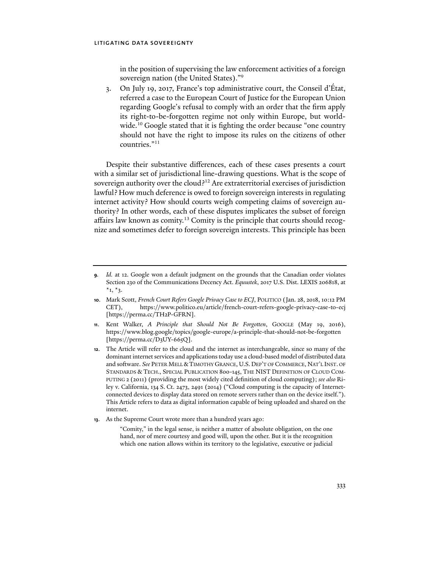in the position of supervising the law enforcement activities of a foreign sovereign nation (the United States)."<sup>9</sup>

3. On July 19, 2017, France's top administrative court, the Conseil d'État, referred a case to the European Court of Justice for the European Union regarding Google's refusal to comply with an order that the firm apply its right-to-be-forgotten regime not only within Europe, but worldwide.<sup>10</sup> Google stated that it is fighting the order because "one country should not have the right to impose its rules on the citizens of other countries."11

Despite their substantive differences, each of these cases presents a court with a similar set of jurisdictional line-drawing questions. What is the scope of sovereign authority over the cloud?12 Are extraterritorial exercises of jurisdiction lawful? How much deference is owed to foreign sovereign interests in regulating internet activity? How should courts weigh competing claims of sovereign authority? In other words, each of these disputes implicates the subset of foreign affairs law known as comity.<sup>13</sup> Comity is the principle that courts should recognize and sometimes defer to foreign sovereign interests. This principle has been

**13**. As the Supreme Court wrote more than a hundred years ago:

"Comity," in the legal sense, is neither a matter of absolute obligation, on the one hand, nor of mere courtesy and good will, upon the other. But it is the recognition which one nation allows within its territory to the legislative, executive or judicial

**<sup>9</sup>***. Id.* at 12. Google won a default judgment on the grounds that the Canadian order violates Section 230 of the Communications Decency Act. *Equustek*, 2017 U.S. Dist. LEXIS 206818, at  $*_{1, *_{3}.}$ 

**<sup>10</sup>**. Mark Scott, *French Court Refers Google Privacy Case to ECJ*, POLITICO (Jan. 28, 2018, 10:12 PM CET), https://www.politico.eu/article/french-court-refers-google-privacy-case-to-ecj [https://perma.cc/TH2P-GFRN].

**<sup>11</sup>**. Kent Walker, *A Principle that Should Not Be Forgotten*, GOOGLE (May 19, 2016), https://www.blog.google/topics/google-europe/a-principle-that-should-not-be-forgotten [https://perma.cc/D3UY-665Q].

**<sup>12</sup>**. The Article will refer to the cloud and the internet as interchangeable, since so many of the dominant internet services and applications today use a cloud-based model of distributed data and software. *See* PETER MELL &TIMOTHY GRANCE, U.S. DEP'T OF COMMERCE, NAT'L INST. OF STANDARDS & TECH., SPECIAL PUBLICATION 800-145, THE NIST DEFINITION OF CLOUD COM-PUTING 2 (2011) (providing the most widely cited definition of cloud computing); *see also* Riley v. California, 134 S. Ct. 2473, 2491 (2014) ("Cloud computing is the capacity of Internetconnected devices to display data stored on remote servers rather than on the device itself."). This Article refers to data as digital information capable of being uploaded and shared on the internet.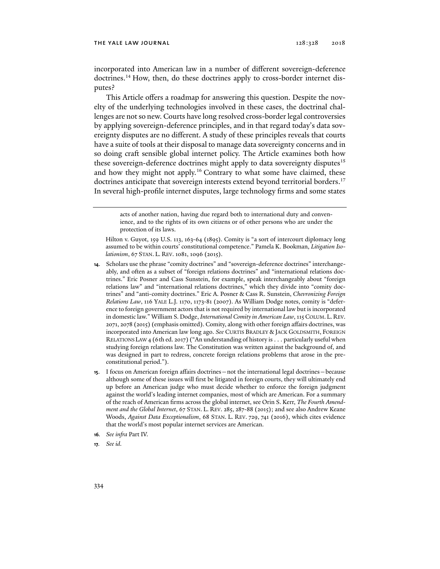incorporated into American law in a number of different sovereign-deference doctrines.<sup>14</sup> How, then, do these doctrines apply to cross-border internet disputes?

This Article offers a roadmap for answering this question. Despite the novelty of the underlying technologies involved in these cases, the doctrinal challenges are not so new. Courts have long resolved cross-border legal controversies by applying sovereign-deference principles, and in that regard today's data sovereignty disputes are no different. A study of these principles reveals that courts have a suite of tools at their disposal to manage data sovereignty concerns and in so doing craft sensible global internet policy. The Article examines both how these sovereign-deference doctrines might apply to data sovereignty disputes<sup>15</sup> and how they might not apply.<sup>16</sup> Contrary to what some have claimed, these doctrines anticipate that sovereign interests extend beyond territorial borders.<sup>17</sup> In several high-profile internet disputes, large technology firms and some states

- **14**. Scholars use the phrase "comity doctrines" and "sovereign-deference doctrines" interchangeably, and often as a subset of "foreign relations doctrines" and "international relations doctrines." Eric Posner and Cass Sunstein, for example, speak interchangeably about "foreign relations law" and "international relations doctrines," which they divide into "comity doctrines" and "anti-comity doctrines." Eric A. Posner & Cass R. Sunstein, *Chevronizing Foreign Relations Law*, 116 YALE L.J. 1170, 1173-81 (2007). As William Dodge notes, comity is "deference to foreign government actors that is not required by international law but is incorporated in domestic law." William S. Dodge, *International Comity in American Law*, 115 COLUM. L. REV. 2071, 2078 (2015) (emphasis omitted). Comity, along with other foreign affairs doctrines, was incorporated into American law long ago. *See* CURTIS BRADLEY & JACK GOLDSMITH, FOREIGN RELATIONS LAW 4 (6th ed. 2017) ("An understanding of history is . . . particularly useful when studying foreign relations law. The Constitution was written against the background of, and was designed in part to redress, concrete foreign relations problems that arose in the preconstitutional period.").
- **15**. I focus on American foreign affairs doctrines—not the international legal doctrines—because although some of these issues will first be litigated in foreign courts, they will ultimately end up before an American judge who must decide whether to enforce the foreign judgment against the world's leading internet companies, most of which are American. For a summary of the reach of American firms across the global internet, see Orin S. Kerr, *The Fourth Amendment and the Global Internet*, 67 STAN. L. REV. 285, 287-88 (2015); and see also Andrew Keane Woods, *Against Data Exceptionalism*, 68 STAN. L. REV. 729, 741 (2016), which cites evidence that the world's most popular internet services are American.
- **16***. See infra* Part IV.
- **17***. See id.*

acts of another nation, having due regard both to international duty and convenience, and to the rights of its own citizens or of other persons who are under the protection of its laws.

Hilton v. Guyot, 159 U.S. 113, 163-64 (1895). Comity is "a sort of intercourt diplomacy long assumed to be within courts' constitutional competence." Pamela K. Bookman, *Litigation Isolationism*, 67 STAN. L. REV. 1081, 1096 (2015).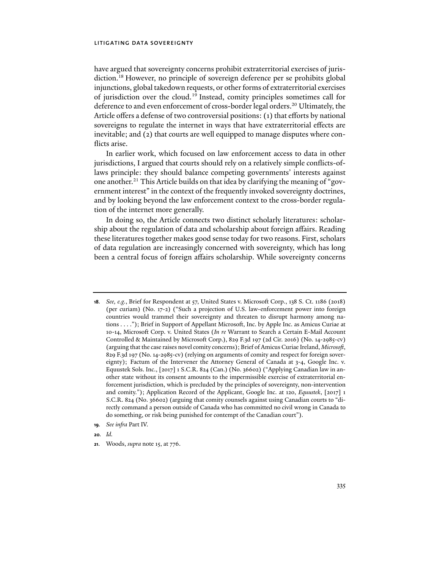have argued that sovereignty concerns prohibit extraterritorial exercises of jurisdiction.18 However, no principle of sovereign deference per se prohibits global injunctions, global takedown requests, or other forms of extraterritorial exercises of jurisdiction over the cloud.19 Instead, comity principles sometimes call for deference to and even enforcement of cross-border legal orders.<sup>20</sup> Ultimately, the Article offers a defense of two controversial positions: (1) that efforts by national sovereigns to regulate the internet in ways that have extraterritorial effects are inevitable; and (2) that courts are well equipped to manage disputes where conflicts arise.

In earlier work, which focused on law enforcement access to data in other jurisdictions, I argued that courts should rely on a relatively simple conflicts-oflaws principle: they should balance competing governments' interests against one another.21 This Article builds on that idea by clarifying the meaning of "government interest" in the context of the frequently invoked sovereignty doctrines, and by looking beyond the law enforcement context to the cross-border regulation of the internet more generally.

In doing so, the Article connects two distinct scholarly literatures: scholarship about the regulation of data and scholarship about foreign affairs. Reading these literatures together makes good sense today for two reasons. First, scholars of data regulation are increasingly concerned with sovereignty, which has long been a central focus of foreign affairs scholarship. While sovereignty concerns

- **19***. See infra* Part IV.
- **20***. Id.*

**<sup>18</sup>***. See, e.g.*, Brief for Respondent at 57, United States v. Microsoft Corp., 138 S. Ct. 1186 (2018) (per curiam) (No. 17-2) ("Such a projection of U.S. law-enforcement power into foreign countries would trammel their sovereignty and threaten to disrupt harmony among nations . . . ."); Brief in Support of Appellant Microsoft, Inc. by Apple Inc. as Amicus Curiae at 10-14, Microsoft Corp. v. United States (*In re* Warrant to Search a Certain E-Mail Account Controlled & Maintained by Microsoft Corp.), 829 F.3d 197 (2d Cir. 2016) (No. 14-2985-cv) (arguing that the case raises novel comity concerns); Brief of Amicus Curiae Ireland, *Microsoft*, 829 F.3d 197 (No. 14-2985-cv) (relying on arguments of comity and respect for foreign sovereignty); Factum of the Intervener the Attorney General of Canada at 3-4, Google Inc. v. Equustek Sols. Inc., [2017] 1 S.C.R. 824 (Can.) (No. 36602) ("Applying Canadian law in another state without its consent amounts to the impermissible exercise of extraterritorial enforcement jurisdiction, which is precluded by the principles of sovereignty, non-intervention and comity."); Application Record of the Applicant, Google Inc. at 120, *Equustek*, [2017] 1 S.C.R. 824 (No. 36602) (arguing that comity counsels against using Canadian courts to "directly command a person outside of Canada who has committed no civil wrong in Canada to do something, or risk being punished for contempt of the Canadian court").

**<sup>21</sup>**. Woods, *supra* note 15, at 776.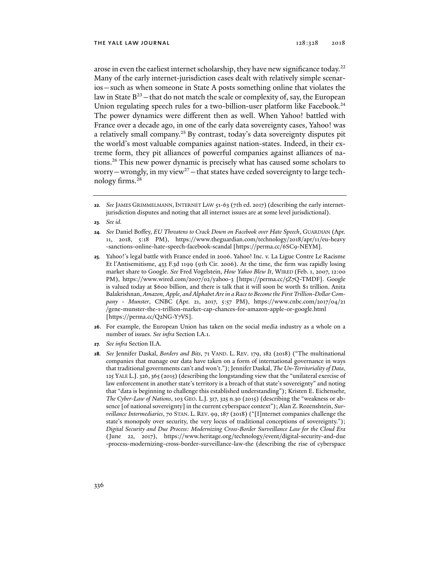arose in even the earliest internet scholarship, they have new significance today.<sup>22</sup> Many of the early internet-jurisdiction cases dealt with relatively simple scenarios—such as when someone in State A posts something online that violates the law in State  $B^{23}$  – that do not match the scale or complexity of, say, the European Union regulating speech rules for a two-billion-user platform like Facebook.<sup>24</sup> The power dynamics were different then as well. When Yahoo! battled with France over a decade ago, in one of the early data sovereignty cases, Yahoo! was a relatively small company.<sup>25</sup> By contrast, today's data sovereignty disputes pit the world's most valuable companies against nation-states. Indeed, in their extreme form, they pit alliances of powerful companies against alliances of nations.26 This new power dynamic is precisely what has caused some scholars to worry—wrongly, in my view<sup>27</sup>—that states have ceded sovereignty to large technology firms.28

- **23***. See id.*
- **24***. See* Daniel Boffey, *EU Threatens to Crack Down on Facebook over Hate Speech*, GUARDIAN (Apr. 11, 2018, 5:18 PM), https://www.theguardian.com/technology/2018/apr/11/eu-heavy -sanctions-online-hate-speech-facebook-scandal [https://perma.cc/6SC9-NEYM].
- **25**. Yahoo!'s legal battle with France ended in 2006. Yahoo! Inc. v. La Ligue Contre Le Racisme Et l'Antisemitisme, 433 F.3d 1199 (9th Cir. 2006). At the time, the firm was rapidly losing market share to Google. *See* Fred Vogelstein, *How Yahoo Blew It*, WIRED (Feb. 1, 2007, 12:00 PM), https://www.wired.com/2007/02/yahoo-3 [https://perma.cc/5Z7Q-TMDF]. Google is valued today at \$600 billion, and there is talk that it will soon be worth \$1 trillion. Anita Balakrishnan, *Amazon, Apple, and Alphabet Are in a Race to Become the First Trillion-Dollar Company - Munster*, CNBC (Apr. 21, 2017, 5:57 PM), https://www.cnbc.com/2017/04/21 /gene-munster-the-1-trillion-market-cap-chances-for-amazon-apple-or-google.html [https://perma.cc/Q2NG-Y7VS].
- **26**. For example, the European Union has taken on the social media industry as a whole on a number of issues. *See infra* Section I.A.1.
- **27***. See infra* Section II.A.
- **28***. See* Jennifer Daskal, *Borders and Bits*, 71 VAND. L. REV. 179, 182 (2018) ("The multinational companies that manage our data have taken on a form of international governance in ways that traditional governments can't and won't."); Jennifer Daskal, *The Un-Territoriality of Data*, 125 YALE L.J. 326, 365 (2015) (describing the longstanding view that the "unilateral exercise of law enforcement in another state's territory is a breach of that state's sovereignty" and noting that "data is beginning to challenge this established understanding"); Kristen E. Eichensehr, *The Cyber-Law of Nations*, 103 GEO. L.J. 317, 325 n.30 (2015) (describing the "weakness or absence [of national sovereignty] in the current cyberspace context"); Alan Z. Rozenshtein, *Surveillance Intermediaries*, 70 STAN. L. REV. 99, 187 (2018) ("[I]nternet companies challenge the state's monopoly over security, the very locus of traditional conceptions of sovereignty."); *Digital Security and Due Process: Modernizing Cross-Border Surveillance Law for the Cloud Era* (June 22, 2017), https://www.heritage.org/technology/event/digital-security-and-due -process-modernizing-cross-border-surveillance-law-the (describing the rise of cyberspace

**<sup>22</sup>***. See* JAMES GRIMMELMANN, INTERNET LAW 51-63 (7th ed. 2017) (describing the early internetjurisdiction disputes and noting that all internet issues are at some level jurisdictional).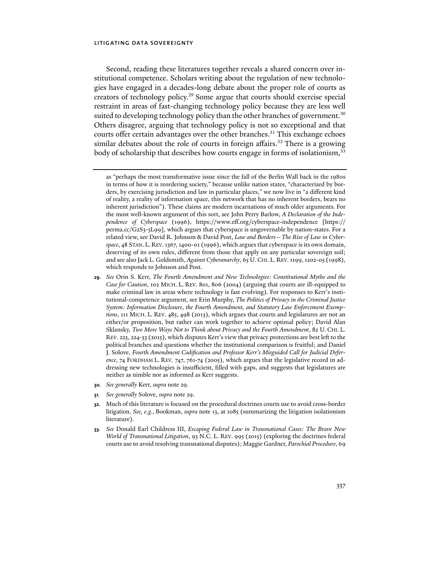Second, reading these literatures together reveals a shared concern over institutional competence. Scholars writing about the regulation of new technologies have engaged in a decades-long debate about the proper role of courts as creators of technology policy.29 Some argue that courts should exercise special restraint in areas of fast-changing technology policy because they are less well suited to developing technology policy than the other branches of government.<sup>30</sup> Others disagree, arguing that technology policy is not so exceptional and that courts offer certain advantages over the other branches.<sup>31</sup> This exchange echoes similar debates about the role of courts in foreign affairs.<sup>32</sup> There is a growing body of scholarship that describes how courts engage in forms of isolationism,<sup>33</sup>

- **29***. See* Orin S. Kerr, *The Fourth Amendment and New Technologies: Constitutional Myths and the Case for Caution*, 102 MICH. L. REV. 801, 806 (2004) (arguing that courts are ill-equipped to make criminal law in areas where technology is fast evolving). For responses to Kerr's institutional-competence argument, see Erin Murphy, *The Politics of Privacy in the Criminal Justice System: Information Disclosure, the Fourth Amendment, and Statutory Law Enforcement Exemptions*, 111 MICH. L. REV. 485, 498 (2013), which argues that courts and legislatures are not an either/or proposition, but rather can work together to achieve optimal policy; David Alan Sklansky, *Two More Ways Not to Think about Privacy and the Fourth Amendment*, 82 U. CHI. L. REV. 223, 224-33 (2015), which disputes Kerr's view that privacy protections are best left to the political branches and questions whether the institutional comparison is fruitful; and Daniel J. Solove, *Fourth Amendment Codification and Professor Kerr's Misguided Call for Judicial Deference*, 74 FORDHAM L. REV. 747, 761-74 (2005), which argues that the legislative record in addressing new technologies is insufficient, filled with gaps, and suggests that legislatures are neither as nimble nor as informed as Kerr suggests.
- **30***. See generally* Kerr, *supra* note 29.
- **31***. See generally* Solove, *supra* note 29.
- **32**. Much of this literature is focused on the procedural doctrines courts use to avoid cross-border litigation. *See, e.g.*, Bookman, *supra* note 13, at 1085 (summarizing the litigation isolationism literature).
- **33***. See* Donald Earl Childress III, *Escaping Federal Law in Transnational Cases: The Brave New World of Transnational Litigation*, 93 N.C. L. REV. 995 (2015) (exploring the doctrines federal courts use to avoid resolving transnational disputes); Maggie Gardner, *Parochial Procedure*, 69

as "perhaps the most transformative issue since the fall of the Berlin Wall back in the 1980s in terms of how it is reordering society," because unlike nation states, "characterized by borders, by exercising jurisdiction and law in particular places," we now live in "a different kind of reality, a reality of information space, this network that has no inherent borders, bears no inherent jurisdiction"). These claims are modern incarnations of much older arguments. For the most well-known argument of this sort, see John Perry Barlow, *A Declaration of the Independence of Cyberspace* (1996), https://www.eff.org/cyberspace-independence [https:// perma.cc/G2S3-5L99], which argues that cyberspace is ungovernable by nation-states. For a related view, see David R. Johnson & David Post, *Law and Borders—The Rise of Law in Cyberspace*, 48 STAN. L. REV. 1367, 1400-01 (1996), which argues that cyberspace is its own domain, deserving of its own rules, different from those that apply on any particular sovereign soil; and see also Jack L. Goldsmith, *Against Cyberanarchy*, 65 U.CHI. L. REV. 1199, 1202-05 (1998), which responds to Johnson and Post.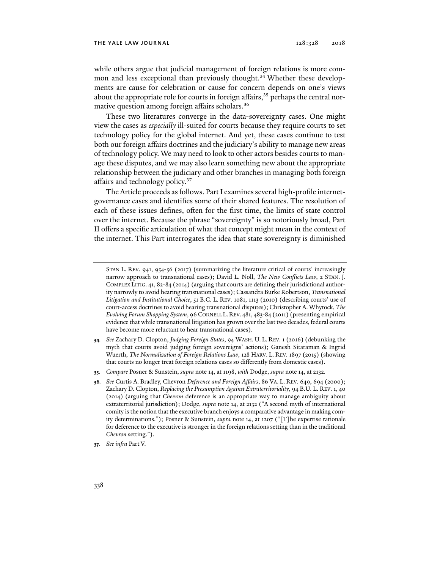#### THE YALE LAW JOURNAL 128:328 2018

while others argue that judicial management of foreign relations is more common and less exceptional than previously thought.<sup>34</sup> Whether these developments are cause for celebration or cause for concern depends on one's views about the appropriate role for courts in foreign affairs, $35$  perhaps the central normative question among foreign affairs scholars.<sup>36</sup>

These two literatures converge in the data-sovereignty cases. One might view the cases as *especially* ill-suited for courts because they require courts to set technology policy for the global internet. And yet, these cases continue to test both our foreign affairs doctrines and the judiciary's ability to manage new areas of technology policy. We may need to look to other actors besides courts to manage these disputes, and we may also learn something new about the appropriate relationship between the judiciary and other branches in managing both foreign affairs and technology policy.<sup>37</sup>

The Article proceeds as follows. Part I examines several high-profile internetgovernance cases and identifies some of their shared features. The resolution of each of these issues defines, often for the first time, the limits of state control over the internet. Because the phrase "sovereignty" is so notoriously broad, Part II offers a specific articulation of what that concept might mean in the context of the internet. This Part interrogates the idea that state sovereignty is diminished

- **34***. See* Zachary D. Clopton, *Judging Foreign States*, 94 WASH. U. L. REV. 1 (2016) (debunking the myth that courts avoid judging foreign sovereigns' actions); Ganesh Sitaraman & Ingrid Wuerth, *The Normalization of Foreign Relations Law*, 128 HARV. L. REV. 1897 (2015) (showing that courts no longer treat foreign relations cases so differently from domestic cases).
- **35***. Compare* Posner & Sunstein, *supra* note 14, at 1198, *with* Dodge, *supra* note 14, at 2132.

**37***. See infra* Part V.

STAN L. REV. 941, 954-56 (2017) (summarizing the literature critical of courts' increasingly narrow approach to transnational cases); David L. Noll, *The New Conflicts Law*, 2 STAN. J. COMPLEX LITIG. 41, 82-84 (2014) (arguing that courts are defining their jurisdictional authority narrowly to avoid hearing transnational cases); Cassandra Burke Robertson, *Transnational Litigation and Institutional Choice*, 51 B.C. L. REV. 1081, 1113 (2010) (describing courts' use of court-access doctrines to avoid hearing transnational disputes); Christopher A. Whytock, *The Evolving Forum Shopping System*, 96 CORNELL L.REV. 481, 483-84 (2011) (presenting empirical evidence that while transnational litigation has grown over the last two decades, federal courts have become more reluctant to hear transnational cases).

**<sup>36</sup>***. See* Curtis A. Bradley, Chevron *Deference and Foreign Affairs*, 86 VA. L. REV. 649, 694 (2000); Zachary D. Clopton, *Replacing the Presumption Against Extraterritoriality*, 94 B.U. L. REV. 1, 40 (2014) (arguing that *Chevron* deference is an appropriate way to manage ambiguity about extraterritorial jurisdiction); Dodge, *supra* note 14, at 2132 ("A second myth of international comity is the notion that the executive branch enjoys a comparative advantage in making comity determinations."); Posner & Sunstein, *supra* note 14, at 1207 ("[T]he expertise rationale for deference to the executive is stronger in the foreign relations setting than in the traditional *Chevron* setting.").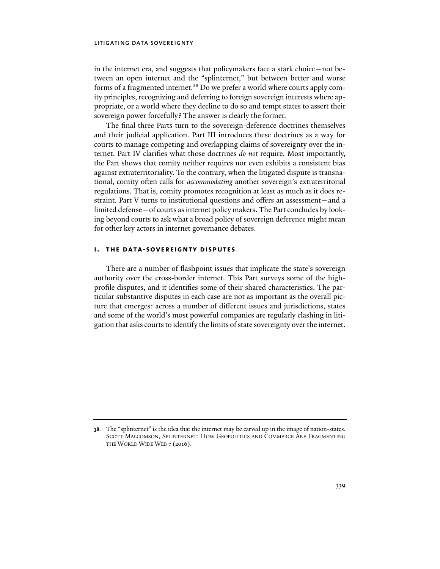in the internet era, and suggests that policymakers face a stark choice—not between an open internet and the "splinternet," but between better and worse forms of a fragmented internet.<sup>38</sup> Do we prefer a world where courts apply comity principles, recognizing and deferring to foreign sovereign interests where appropriate, or a world where they decline to do so and tempt states to assert their sovereign power forcefully? The answer is clearly the former.

The final three Parts turn to the sovereign-deference doctrines themselves and their judicial application. Part III introduces these doctrines as a way for courts to manage competing and overlapping claims of sovereignty over the internet. Part IV clarifies what those doctrines *do not* require. Most importantly, the Part shows that comity neither requires nor even exhibits a consistent bias against extraterritoriality. To the contrary, when the litigated dispute is transnational, comity often calls for *accommodating* another sovereign's extraterritorial regulations. That is, comity promotes recognition at least as much as it does restraint. Part V turns to institutional questions and offers an assessment—and a limited defense—of courts as internet policy makers. The Part concludes by looking beyond courts to ask what a broad policy of sovereign deference might mean for other key actors in internet governance debates.

# **i. the data-sovereignty disputes**

There are a number of flashpoint issues that implicate the state's sovereign authority over the cross-border internet. This Part surveys some of the highprofile disputes, and it identifies some of their shared characteristics. The particular substantive disputes in each case are not as important as the overall picture that emerges: across a number of different issues and jurisdictions, states and some of the world's most powerful companies are regularly clashing in litigation that asks courts to identify the limits of state sovereignty over the internet.

**<sup>38</sup>**. The "splinternet" is the idea that the internet may be carved up in the image of nation-states. SCOTT MALCOMSON, SPLINTERNET: HOW GEOPOLITICS AND COMMERCE ARE FRAGMENTING THE WORLD WIDE WEB 7 (2016).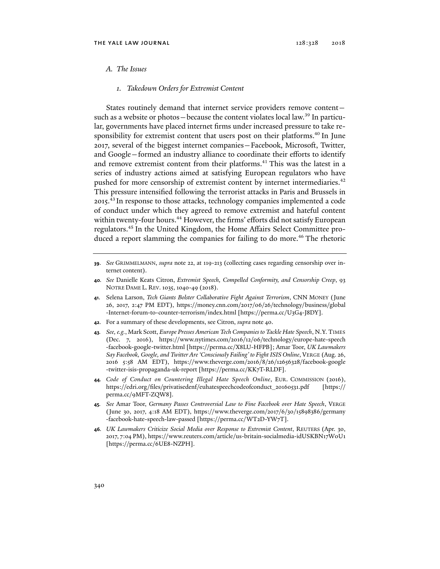#### *A. The Issues*

*1. Takedown Orders for Extremist Content* 

States routinely demand that internet service providers remove content such as a website or photos—because the content violates local law.<sup>39</sup> In particular, governments have placed internet firms under increased pressure to take responsibility for extremist content that users post on their platforms.<sup>40</sup> In June 2017, several of the biggest internet companies—Facebook, Microsoft, Twitter, and Google—formed an industry alliance to coordinate their efforts to identify and remove extremist content from their platforms.<sup>41</sup> This was the latest in a series of industry actions aimed at satisfying European regulators who have pushed for more censorship of extremist content by internet intermediaries.<sup>42</sup> This pressure intensified following the terrorist attacks in Paris and Brussels in 2015.43 In response to those attacks, technology companies implemented a code of conduct under which they agreed to remove extremist and hateful content within twenty-four hours.<sup>44</sup> However, the firms' efforts did not satisfy European regulators.45 In the United Kingdom, the Home Affairs Select Committee produced a report slamming the companies for failing to do more.<sup>46</sup> The rhetoric

- **42**. For a summary of these developments, see Citron, *supra* note 40.
- **43***. See, e.g.*, Mark Scott, *Europe Presses American Tech Companies to Tackle Hate Speech*, N.Y. TIMES (Dec. 7, 2016), https://www.nytimes.com/2016/12/06/technology/europe-hate-speech -facebook-google-twitter.html [https://perma.cc/X8LU-HFPB]; Amar Toor, *UK Lawmakers Say Facebook, Google, and Twitter Are 'Consciously Failing' to Fight ISIS Online*, VERGE (Aug. 26, 2016 5:58 AM EDT), https://www.theverge.com/2016/8/26/12656328/facebook-google -twitter-isis-propaganda-uk-report [https://perma.cc/KK7T-RLDF].
- **44***. Code of Conduct on Countering Illegal Hate Speech Online*, EUR. COMMISSION (2016), https://edri.org/files/privatisedenf/euhatespeechcodeofconduct\_20160531.pdf [https:// perma.cc/9MFT-ZQW8].
- **45***. See* Amar Toor, *Germany Passes Controversial Law to Fine Facebook over Hate Speech*, VERGE (June 30, 2017, 4:18 AM EDT), https://www.theverge.com/2017/6/30/15898386/germany -facebook-hate-speech-law-passed [https://perma.cc/WT2D-YW7T].
- **46***. UK Lawmakers Criticize Social Media over Response to Extremist Content*, REUTERS (Apr. 30, 2017, 7:04 PM), https://www.reuters.com/article/us-britain-socialmedia-idUSKBN17W0U1 [https://perma.cc/6UE8-NZPH].

**<sup>39</sup>**. *See* GRIMMELMANN, *supra* note 22, at 119-213 (collecting cases regarding censorship over internet content).

**<sup>40</sup>***. See* Danielle Keats Citron, *Extremist Speech, Compelled Conformity, and Censorship Creep*, 93 NOTRE DAME L. REV. 1035, 1040-49 (2018).

**<sup>41</sup>**. Selena Larson, *Tech Giants Bolster Collaborative Fight Against Terrorism*, CNN MONEY (June 26, 2017, 2:47 PM EDT), https://money.cnn.com/2017/06/26/technology/business/global -Internet-forum-to-counter-terrorism/index.html [https://perma.cc/U3G4-J8DY].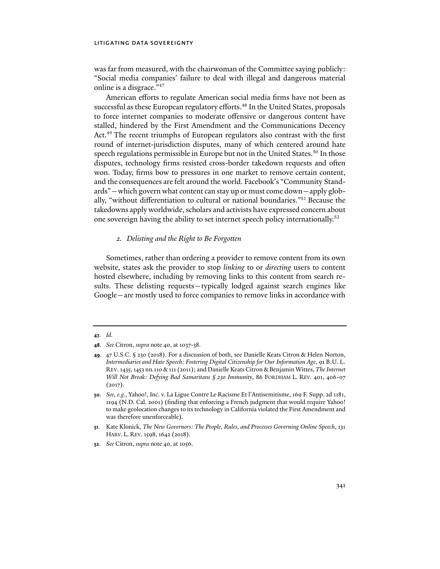was far from measured, with the chairwoman of the Committee saying publicly: "Social media companies' failure to deal with illegal and dangerous material online is a disgrace."47

American efforts to regulate American social media firms have not been as successful as these European regulatory efforts.<sup>48</sup> In the United States, proposals to force internet companies to moderate offensive or dangerous content have stalled, hindered by the First Amendment and the Communications Decency Act.49 The recent triumphs of European regulators also contrast with the first round of internet-jurisdiction disputes, many of which centered around hate speech regulations permissible in Europe but not in the United States.<sup>50</sup> In those disputes, technology firms resisted cross-border takedown requests and often won. Today, firms bow to pressures in one market to remove certain content, and the consequences are felt around the world. Facebook's "Community Standards"—which govern what content can stay up or must come down—apply globally, "without differentiation to cultural or national boundaries."51 Because the takedowns apply worldwide, scholars and activists have expressed concern about one sovereign having the ability to set internet speech policy internationally.52

# *2. Delisting and the Right to Be Forgotten*

Sometimes, rather than ordering a provider to remove content from its own website, states ask the provider to stop *linking* to or *directing* users to content hosted elsewhere, including by removing links to this content from search results. These delisting requests—typically lodged against search engines like Google—are mostly used to force companies to remove links in accordance with

**<sup>47</sup>***. Id.* 

**<sup>48</sup>**. *See* Citron, *supra* note 40, at 1037-38.

**<sup>49</sup>**. 47 U.S.C. § 230 (2018). For a discussion of both, see Danielle Keats Citron & Helen Norton, *Intermediaries and Hate Speech: Fostering Digital Citizenship for Our Information Age*, 91 B.U. L. REV. 1435, 1453 nn.110 & 111 (2011); and Danielle Keats Citron & Benjamin Wittes, *The Internet Will Not Break: Defying Bad Samaritans § 230 Immunity*, 86 FORDHAM L. REV. 401, 406-07  $(2017).$ 

**<sup>50</sup>**. *See, e.g.*, Yahoo!, Inc. v. La Ligue Contre Le Racisme Et l'Antisemitisme, 169 F. Supp. 2d 1181, 1194 (N.D. Cal. 2001) (finding that enforcing a French judgment that would require Yahoo! to make geolocation changes to its technology in California violated the First Amendment and was therefore unenforceable).

**<sup>51</sup>**. Kate Klonick, *The New Governors: The People, Rules, and Processes Governing Online Speech*, 131 HARV. L. REV. 1598, 1642 (2018).

**<sup>52</sup>**. *See* Citron, *supra* note 40, at 1056.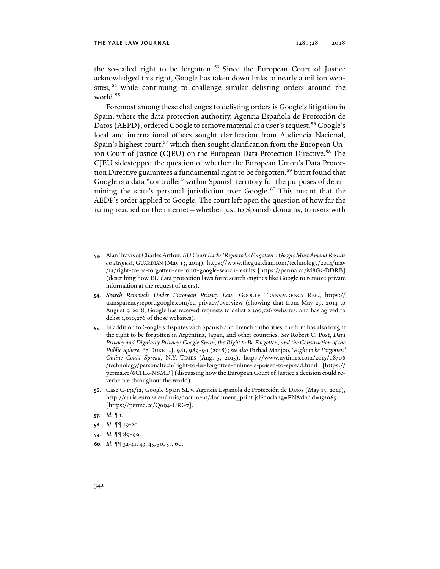the so-called right to be forgotten. 53 Since the European Court of Justice acknowledged this right, Google has taken down links to nearly a million websites, 54 while continuing to challenge similar delisting orders around the world.<sup>55</sup>

Foremost among these challenges to delisting orders is Google's litigation in Spain, where the data protection authority, Agencia Española de Protección de Datos (AEPD), ordered Google to remove material at a user's request.<sup>56</sup> Google's local and international offices sought clarification from Audiencia Nacional, Spain's highest court,<sup>57</sup> which then sought clarification from the European Union Court of Justice (CJEU) on the European Data Protection Directive.<sup>58</sup> The CJEU sidestepped the question of whether the European Union's Data Protection Directive guarantees a fundamental right to be forgotten,<sup>59</sup> but it found that Google is a data "controller" within Spanish territory for the purposes of determining the state's personal jurisdiction over Google.<sup>60</sup> This meant that the AEDP's order applied to Google. The court left open the question of how far the ruling reached on the internet—whether just to Spanish domains, to users with

- **53**. Alan Travis & Charles Arthur, *EU Court Backs 'Right to be Forgotten': Google Must Amend Results on Request*, GUARDIAN (May 13, 2014), https://www.theguardian.com/technology/2014/may /13/right-to-be-forgotten-eu-court-google-search-results [https://perma.cc/M8G5-DDRB] (describing how EU data protection laws force search engines like Google to remove private information at the request of users).
- **54**. *Search Removals Under European Privacy Law*, GOOGLE TRANSPARENCY REP., https:// transparencyreport.google.com/eu-privacy/overview (showing that from May 29, 2014 to August 5, 2018, Google has received requests to delist 2,300,526 websites, and has agreed to delist 1,010,276 of those websites).
- **55**. In addition to Google's disputes with Spanish and French authorities, the firm has also fought the right to be forgotten in Argentina, Japan, and other countries. *See* Robert C. Post, *Data Privacy and Dignitary Privacy: Google Spain, the Right to Be Forgotten, and the Construction of the Public Sphere*, 67 DUKE L.J. 981, 989-90 (2018); *see also* Farhad Manjoo, '*Right to be Forgotten' Online Could Spread*, N.Y. TIMES (Aug. 5, 2015), https://www.nytimes.com/2015/08/06 /technology/personaltech/right-to-be-forgotten-online-is-poised-to-spread.html [https:// perma.cc/6CHR-NSMD] (discussing how the European Court of Justice's decision could reverberate throughout the world).
- **56**. Case C-131/12, Google Spain SL v. Agencia Española de Protección de Datos (May 13, 2014), http://curia.europa.eu/juris/document/document\_print.jsf?doclang=EN&docid=152065 [https://perma.cc/Q694-URG7].
- **57***. Id.* ¶ 1.
- **58***. Id.* ¶¶ 19-20.
- **59***. Id.* ¶¶ 89-99.
- **60***. Id.* ¶¶ 32-41, 43, 45, 50, 57, 60.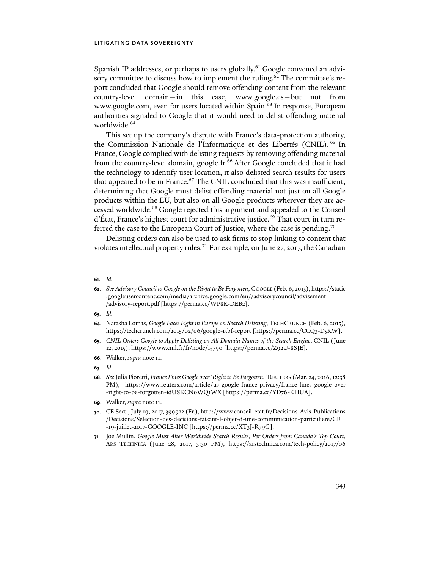Spanish IP addresses, or perhaps to users globally.<sup>61</sup> Google convened an advisory committee to discuss how to implement the ruling.<sup>62</sup> The committee's report concluded that Google should remove offending content from the relevant country-level domain—in this case, www.google.es—but not from www.google.com, even for users located within Spain.<sup>63</sup> In response, European authorities signaled to Google that it would need to delist offending material worldwide.<sup>64</sup>

This set up the company's dispute with France's data-protection authority, the Commission Nationale de l'Informatique et des Libertés (CNIL). 65 In France, Google complied with delisting requests by removing offending material from the country-level domain, google.fr.<sup>66</sup> After Google concluded that it had the technology to identify user location, it also delisted search results for users that appeared to be in France.<sup>67</sup> The CNIL concluded that this was insufficient, determining that Google must delist offending material not just on all Google products within the EU, but also on all Google products wherever they are accessed worldwide.68 Google rejected this argument and appealed to the Conseil d'État, France's highest court for administrative justice.<sup>69</sup> That court in turn referred the case to the European Court of Justice, where the case is pending.<sup>70</sup>

Delisting orders can also be used to ask firms to stop linking to content that violates intellectual property rules.71 For example, on June 27, 2017, the Canadian

- **63***. Id.*
- **64**. Natasha Lomas, *Google Faces Fight in Europe on Search Delisting*, TECHCRUNCH (Feb. 6, 2015), https://techcrunch.com/2015/02/06/google-rtbf-report [https://perma.cc/CCQ3-D5KW].
- **65***. CNIL Orders Google to Apply Delisting on All Domain Names of the Search Engine*, CNIL (June 12, 2015), https://www.cnil.fr/fr/node/15790 [https://perma.cc/Z92U-8SJE].
- **66**. Walker, *supra* note 11.
- **67***. Id.*
- **68**. *See* Julia Fioretti, *France Fines Google over 'Right to Be Forgotten*,*'* REUTERS (Mar. 24, 2016, 12:38 PM), https://www.reuters.com/article/us-google-france-privacy/france-fines-google-over -right-to-be-forgotten-idUSKCN0WQ1WX [https://perma.cc/YD76-KHUA].
- **69**. Walker, *supra* note 11.

**71**. Joe Mullin, *Google Must Alter Worldwide Search Results*, *Per Orders from Canada's Top Court*, ARS TECHNICA (June 28, 2017, 3:30 PM), https://arstechnica.com/tech-policy/2017/06

**<sup>61</sup>***. Id.*

**<sup>62</sup>***. See Advisory Council to Google on the Right to Be Forgotten*, GOOGLE (Feb. 6, 2015), https://static .googleusercontent.com/media/archive.google.com/en//advisorycouncil/advisement /advisory-report.pdf [https://perma.cc/WP8K-DEB2].

**<sup>70</sup>**. CE Sect., July 19, 2017, 399922 (Fr.), http://www.conseil-etat.fr/Decisions-Avis-Publications /Decisions/Selection-des-decisions-faisant-l-objet-d-une-communication-particuliere/CE -19-juillet-2017-GOOGLE-INC [https://perma.cc/XT3J-R79G].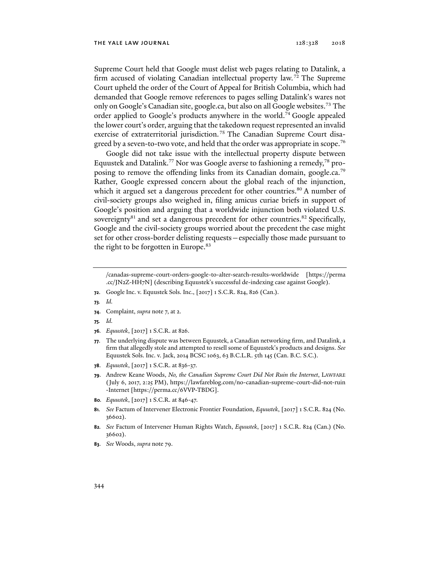Supreme Court held that Google must delist web pages relating to Datalink, a firm accused of violating Canadian intellectual property law.<sup>72</sup> The Supreme Court upheld the order of the Court of Appeal for British Columbia, which had demanded that Google remove references to pages selling Datalink's wares not only on Google's Canadian site, google.ca, but also on all Google websites.<sup>73</sup> The order applied to Google's products anywhere in the world.74 Google appealed the lower court's order, arguing that the takedown request represented an invalid exercise of extraterritorial jurisdiction.<sup>75</sup> The Canadian Supreme Court disagreed by a seven-to-two vote, and held that the order was appropriate in scope.<sup>76</sup>

Google did not take issue with the intellectual property dispute between Equustek and Datalink.<sup>77</sup> Nor was Google averse to fashioning a remedy,<sup>78</sup> proposing to remove the offending links from its Canadian domain, google.ca.<sup>79</sup> Rather, Google expressed concern about the global reach of the injunction, which it argued set a dangerous precedent for other countries.<sup>80</sup> A number of civil-society groups also weighed in, filing amicus curiae briefs in support of Google's position and arguing that a worldwide injunction both violated U.S. sovereignty<sup>81</sup> and set a dangerous precedent for other countries.<sup>82</sup> Specifically, Google and the civil-society groups worried about the precedent the case might set for other cross-border delisting requests—especially those made pursuant to the right to be forgotten in Europe.<sup>83</sup>

- **72**. Google Inc. v. Equustek Sols. Inc., [2017] 1 S.C.R. 824, 826 (Can.).
- **73***. Id.*
- **74**. Complaint, *supra* note 7, at 2.
- **75***. Id.*
- **76***. Equustek*, [2017] 1 S.C.R. at 826.
- **77**. The underlying dispute was between Equustek, a Canadian networking firm, and Datalink, a firm that allegedly stole and attempted to resell some of Equustek's products and designs. *See* Equustek Sols. Inc. v. Jack, 2014 BCSC 1063, 63 B.C.L.R. 5th 145 (Can. B.C. S.C.).
- **78**. *Equustek*, [2017] 1 S.C.R. at 836-37.
- **79**. Andrew Keane Woods, *No, the Canadian Supreme Court Did Not Ruin the Internet*, LAWFARE (July 6, 2017, 2:25 PM), https://lawfareblog.com/no-canadian-supreme-court-did-not-ruin -Internet [https://perma.cc/6VVP-TBDG].
- **80***. Equustek*, [2017] 1 S.C.R. at 846-47.
- **81***. See* Factum of Intervener Electronic Frontier Foundation, *Equustek*, [2017] 1 S.C.R. 824 (No. 36602).
- **82***. See* Factum of Intervener Human Rights Watch, *Equustek*, [2017] 1 S.C.R. 824 (Can.) (No. 36602).
- **83**. *See* Woods, *supra* note 79.

<sup>/</sup>canadas-supreme-court-orders-google-to-alter-search-results-worldwide [https://perma .cc/JN2Z-HH7N] (describing Equustek's successful de-indexing case against Google).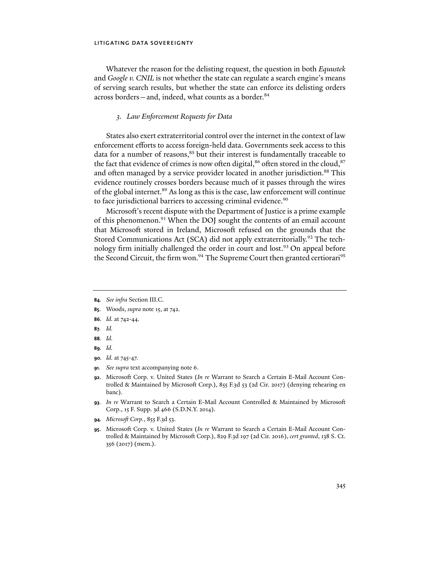Whatever the reason for the delisting request, the question in both *Equustek*  and *Google v. CNIL* is not whether the state can regulate a search engine's means of serving search results, but whether the state can enforce its delisting orders across borders—and, indeed, what counts as a border.<sup>84</sup>

#### *3. Law Enforcement Requests for Data*

States also exert extraterritorial control over the internet in the context of law enforcement efforts to access foreign-held data. Governments seek access to this data for a number of reasons,<sup>85</sup> but their interest is fundamentally traceable to the fact that evidence of crimes is now often digital, $86$  often stored in the cloud,  $87$ and often managed by a service provider located in another jurisdiction.<sup>88</sup> This evidence routinely crosses borders because much of it passes through the wires of the global internet.<sup>89</sup> As long as this is the case, law enforcement will continue to face jurisdictional barriers to accessing criminal evidence.<sup>90</sup>

Microsoft's recent dispute with the Department of Justice is a prime example of this phenomenon.<sup>91</sup> When the DOJ sought the contents of an email account that Microsoft stored in Ireland, Microsoft refused on the grounds that the Stored Communications Act (SCA) did not apply extraterritorially.<sup>92</sup> The technology firm initially challenged the order in court and lost.<sup>93</sup> On appeal before the Second Circuit, the firm won.<sup>94</sup> The Supreme Court then granted certiorari<sup>95</sup>

- **84***. See infra* Section III.C.
- **85**. Woods, *supra* note 15, at 742.
- **86***. Id.* at 742-44.
- **87***. Id.*
- **88***. Id.*
- **89***. Id.*
- **90***. Id.* at 745-47.
- **91***. See supra* text accompanying note 6.
- **92**. Microsoft Corp. v. United States (*In re* Warrant to Search a Certain E-Mail Account Controlled & Maintained by Microsoft Corp.), 855 F.3d 53 (2d Cir. 2017) (denying rehearing en banc).
- **93***. In re* Warrant to Search a Certain E-Mail Account Controlled & Maintained by Microsoft Corp., 15 F. Supp. 3d 466 (S.D.N.Y. 2014).
- **94***. Microsoft Corp.*, 855 F.3d 53.
- **95**. Microsoft Corp. v. United States (*In re* Warrant to Search a Certain E-Mail Account Controlled & Maintained by Microsoft Corp.), 829 F.3d 197 (2d Cir. 2016), *cert granted*, 138 S. Ct. 356 (2017) (mem.).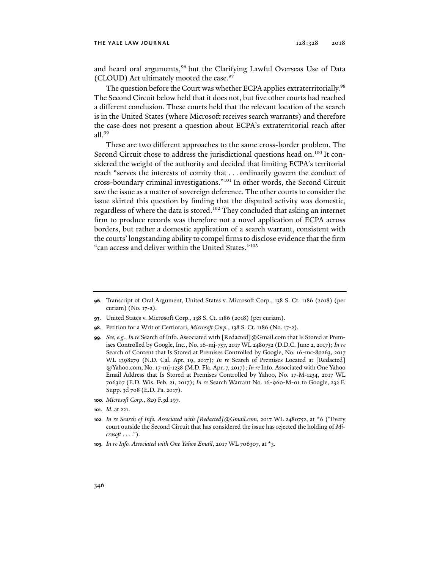and heard oral arguments,<sup>96</sup> but the Clarifying Lawful Overseas Use of Data (CLOUD) Act ultimately mooted the case.<sup>97</sup>

The question before the Court was whether ECPA applies extraterritorially.<sup>98</sup> The Second Circuit below held that it does not, but five other courts had reached a different conclusion. These courts held that the relevant location of the search is in the United States (where Microsoft receives search warrants) and therefore the case does not present a question about ECPA's extraterritorial reach after all.99

These are two different approaches to the same cross-border problem. The Second Circuit chose to address the jurisdictional questions head on.<sup>100</sup> It considered the weight of the authority and decided that limiting ECPA's territorial reach "serves the interests of comity that . . . ordinarily govern the conduct of cross-boundary criminal investigations."101 In other words, the Second Circuit saw the issue as a matter of sovereign deference. The other courts to consider the issue skirted this question by finding that the disputed activity was domestic, regardless of where the data is stored.102 They concluded that asking an internet firm to produce records was therefore not a novel application of ECPA across borders, but rather a domestic application of a search warrant, consistent with the courts' longstanding ability to compel firms to disclose evidence that the firm "can access and deliver within the United States."103

**100**. *Microsoft Corp.*, 829 F.3d 197.

**103***. In re Info. Associated with One Yahoo Email*, 2017 WL 706307, at \*3.

**<sup>96</sup>**. Transcript of Oral Argument, United States v. Microsoft Corp., 138 S. Ct. 1186 (2018) (per curiam) (No. 17-2).

**<sup>97</sup>**. United States v. Microsoft Corp., 138 S. Ct. 1186 (2018) (per curiam).

**<sup>98</sup>**. Petition for a Writ of Certiorari, *Microsoft Corp.*, 138 S. Ct. 1186 (No. 17-2).

**<sup>99</sup>***. See, e.g.*, *In re* Search of Info. Associated with [Redacted]@Gmail.com that Is Stored at Premises Controlled by Google, Inc., No. 16-mj-757, 2017 WL 2480752 (D.D.C. June 2, 2017); *In re* Search of Content that Is Stored at Premises Controlled by Google, No. 16-mc-80263, 2017 WL 1398279 (N.D. Cal. Apr. 19, 2017); *In re* Search of Premises Located at [Redacted] @Yahoo.com, No. 17-mj-1238 (M.D. Fla. Apr. 7, 2017); *In re* Info. Associated with One Yahoo Email Address that Is Stored at Premises Controlled by Yahoo, No. 17-M-1234, 2017 WL 706307 (E.D. Wis. Feb. 21, 2017); *In re* Search Warrant No. 16-960-M-01 to Google, 232 F. Supp. 3d 708 (E.D. Pa. 2017).

**<sup>101</sup>***. Id.* at 221.

**<sup>102</sup>***. In re Search of Info. Associated with [Redacted]@Gmail.com*, 2017 WL 2480752, at \*6 ("Every court outside the Second Circuit that has considered the issue has rejected the holding of *Microsoft* . . . .").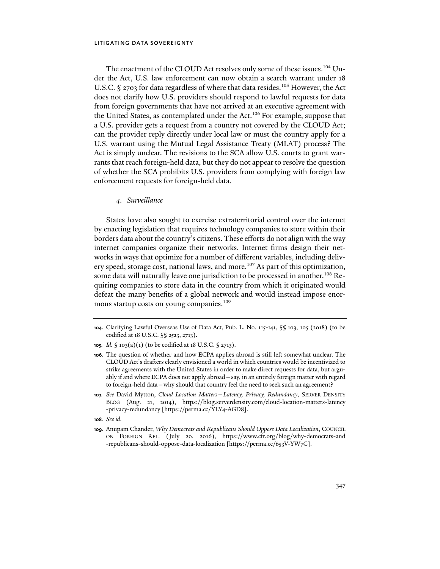The enactment of the CLOUD Act resolves only some of these issues.<sup>104</sup> Under the Act, U.S. law enforcement can now obtain a search warrant under 18 U.S.C. § 2703 for data regardless of where that data resides.<sup>105</sup> However, the Act does not clarify how U.S. providers should respond to lawful requests for data from foreign governments that have not arrived at an executive agreement with the United States, as contemplated under the Act.<sup>106</sup> For example, suppose that a U.S. provider gets a request from a country not covered by the CLOUD Act; can the provider reply directly under local law or must the country apply for a U.S. warrant using the Mutual Legal Assistance Treaty (MLAT) process? The Act is simply unclear. The revisions to the SCA allow U.S. courts to grant warrants that reach foreign-held data, but they do not appear to resolve the question of whether the SCA prohibits U.S. providers from complying with foreign law enforcement requests for foreign-held data.

#### *4. Surveillance*

States have also sought to exercise extraterritorial control over the internet by enacting legislation that requires technology companies to store within their borders data about the country's citizens. These efforts do not align with the way internet companies organize their networks. Internet firms design their networks in ways that optimize for a number of different variables, including delivery speed, storage cost, national laws, and more.<sup>107</sup> As part of this optimization, some data will naturally leave one jurisdiction to be processed in another.<sup>108</sup> Requiring companies to store data in the country from which it originated would defeat the many benefits of a global network and would instead impose enormous startup costs on young companies.<sup>109</sup>

- **104**. Clarifying Lawful Overseas Use of Data Act, Pub. L. No. 115-141, §§ 103, 105 (2018) (to be codified at 18 U.S.C. §§ 2523, 2713).
- **105***. Id.* § 103(a)(1) (to be codified at 18 U.S.C. § 2713).
- **106**. The question of whether and how ECPA applies abroad is still left somewhat unclear. The CLOUD Act's drafters clearly envisioned a world in which countries would be incentivized to strike agreements with the United States in order to make direct requests for data, but arguably if and where ECPA does not apply abroad—say, in an entirely foreign matter with regard to foreign-held data—why should that country feel the need to seek such an agreement?
- **107***. See* David Mytton, *Cloud Location Matters—Latency, Privacy, Redundancy*, SERVER DENSITY BLOG (Aug. 21, 2014), https://blog.serverdensity.com/cloud-location-matters-latency -privacy-redundancy [https://perma.cc/YLY4-AGD8].
- **108***. See id.*
- **109**. Anupam Chander, *Why Democrats and Republicans Should Oppose Data Localization*, COUNCIL ON FOREIGN REL. (July 20, 2016), https://www.cfr.org/blog/why-democrats-and -republicans-should-oppose-data-localization [https://perma.cc/653V-YW7C].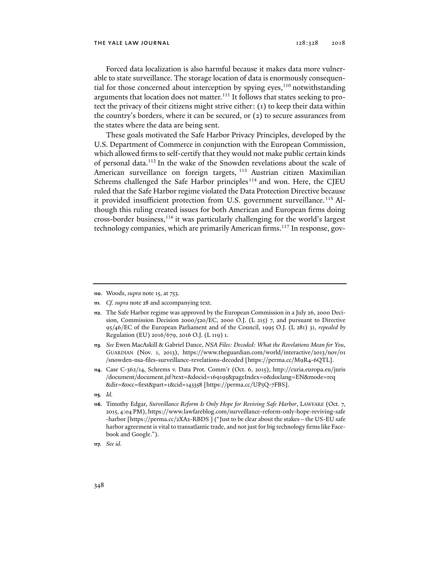Forced data localization is also harmful because it makes data more vulnerable to state surveillance. The storage location of data is enormously consequential for those concerned about interception by spying eyes, $110$  notwithstanding arguments that location does not matter.<sup>111</sup> It follows that states seeking to protect the privacy of their citizens might strive either: (1) to keep their data within the country's borders, where it can be secured, or (2) to secure assurances from the states where the data are being sent.

These goals motivated the Safe Harbor Privacy Principles, developed by the U.S. Department of Commerce in conjunction with the European Commission, which allowed firms to self-certify that they would not make public certain kinds of personal data.112 In the wake of the Snowden revelations about the scale of American surveillance on foreign targets, <sup>113</sup> Austrian citizen Maximilian Schrems challenged the Safe Harbor principles<sup>114</sup> and won. Here, the CJEU ruled that the Safe Harbor regime violated the Data Protection Directive because it provided insufficient protection from U.S. government surveillance.<sup>115</sup> Although this ruling created issues for both American and European firms doing cross-border business,116 it was particularly challenging for the world's largest technology companies, which are primarily American firms.<sup>117</sup> In response, gov-

**<sup>110</sup>**. Woods, *supra* note 15, at 753.

**<sup>111</sup>***. Cf. supra* note 28 and accompanying text.

**<sup>112</sup>**. The Safe Harbor regime was approved by the European Commission in a July 26, 2000 Decision, Commission Decision 2000/520/EC, 2000 O.J. (L 215) 7, and pursuant to Directive 95/46/EC of the European Parliament and of the Council, 1995 O.J. (L 281) 31, *repealed by*  Regulation (EU) 2016/679, 2016 O.J. (L 119) 1.

**<sup>113</sup>***. See* Ewen MacAskill & Gabriel Dance, *NSA Files: Decoded: What the Revelations Mean for You*, GUARDIAN (Nov. 1, 2013), https://www.theguardian.com/world/interactive/2013/nov/01 /snowden-nsa-files-surveillance-revelations-decoded [https://perma.cc/M9R4-6QTL].

**<sup>114</sup>**. Case C-362/14, Schrems v. Data Prot. Comm'r (Oct. 6, 2015), http://curia.europa.eu/juris /document/document.jsf?text=&docid=169195&pageIndex=0&doclang=EN&mode=req &dir=&occ=first&part=1&cid=143358 [https://perma.cc/UP5Q-7FBS].

**<sup>115</sup>***. Id.*

**<sup>116</sup>**. Timothy Edgar, *Surveillance Reform Is Only Hope for Reviving Safe Harbor*, LAWFARE (Oct. 7, 2015, 4:04 PM), https://www.lawfareblog.com/surveillance-reform-only-hope-reviving-safe -harbor [https://perma.cc/2XA2-RBDS ] ("Just to be clear about the stakes—the US-EU safe harbor agreement is vital to transatlantic trade, and not just for big technology firms like Facebook and Google.").

**<sup>117</sup>***. See id.*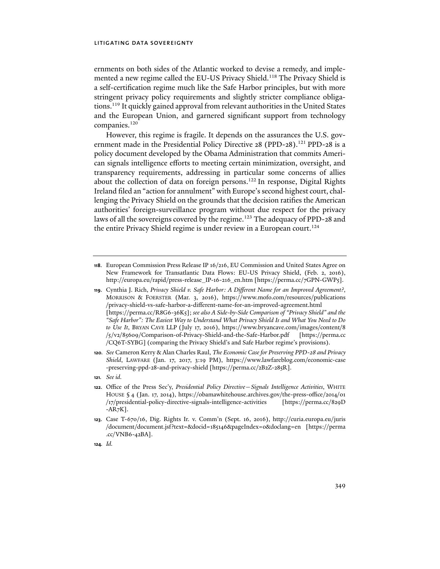ernments on both sides of the Atlantic worked to devise a remedy, and implemented a new regime called the EU-US Privacy Shield.<sup>118</sup> The Privacy Shield is a self-certification regime much like the Safe Harbor principles, but with more stringent privacy policy requirements and slightly stricter compliance obligations.119 It quickly gained approval from relevant authorities in the United States and the European Union, and garnered significant support from technology companies.<sup>120</sup>

However, this regime is fragile. It depends on the assurances the U.S. government made in the Presidential Policy Directive 28 (PPD-28).<sup>121</sup> PPD-28 is a policy document developed by the Obama Administration that commits American signals intelligence efforts to meeting certain minimization, oversight, and transparency requirements, addressing in particular some concerns of allies about the collection of data on foreign persons.<sup>122</sup> In response, Digital Rights Ireland filed an "action for annulment" with Europe's second highest court, challenging the Privacy Shield on the grounds that the decision ratifies the American authorities' foreign-surveillance program without due respect for the privacy laws of all the sovereigns covered by the regime.<sup>123</sup> The adequacy of PPD-28 and the entire Privacy Shield regime is under review in a European court.<sup>124</sup>

**<sup>118</sup>**. European Commission Press Release IP 16/216, EU Commission and United States Agree on New Framework for Transatlantic Data Flows: EU-US Privacy Shield, (Feb. 2, 2016), http://europa.eu/rapid/press-release\_IP-16-216\_en.htm [https://perma.cc/7GPN-GWP5].

**<sup>119</sup>**. Cynthia J. Rich, *Privacy Shield v. Safe Harbor: A Different Name for an Improved Agreement?*, MORRISON & FOERSTER (Mar. 3, 2016), https://www.mofo.com/resources/publications /privacy-shield-vs-safe-harbor-a-different-name-for-an-improved-agreement.html [https://perma.cc/R8G6-36K5]; *see also A Side-by-Side Comparison of "Privacy Shield" and the "Safe Harbor": The Easiest Way to Understand What Privacy Shield Is and What You Need to Do to Use It*, BRYAN CAVE LLP (July 17, 2016), https://www.bryancave.com/images/content/8 /5/v2/85609/Comparison-of-Privacy-Shield-and-the-Safe-Harbor.pdf [https://perma.cc /CQ6T-SYBG] (comparing the Privacy Shield's and Safe Harbor regime's provisions).

**<sup>120</sup>***. See* Cameron Kerry & Alan Charles Raul, *The Economic Case for Preserving PPD-28 and Privacy Shield*, LAWFARE (Jan. 17, 2017, 3:19 PM), https://www.lawfareblog.com/economic-case -preserving-ppd-28-and-privacy-shield [https://perma.cc/2B2Z-285R].

**<sup>121</sup>***. See id.*

**<sup>122</sup>**. Office of the Press Sec'y, *Presidential Policy Directive—Signals Intelligence Activities*, WHITE HOUSE § 4 (Jan. 17, 2014), https://obamawhitehouse.archives.gov/the-press-office/2014/01 /17/presidential-policy-directive-signals-intelligence-activities [https://perma.cc/829D  $-AR<sub>7</sub>K$ ].

**<sup>123</sup>**. Case T-670/16, Dig. Rights Ir. v. Comm'n (Sept. 16, 2016), http://curia.europa.eu/juris /document/document.jsf?text=&docid=185146&pageIndex=0&doclang=en [https://perma .cc/VNB6-42BA].

**<sup>124</sup>***. Id.*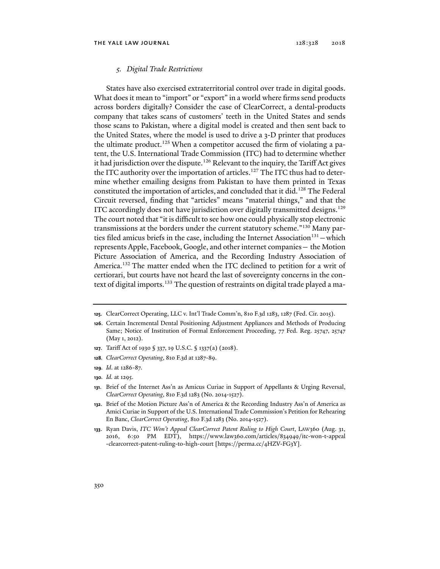#### *5. Digital Trade Restrictions*

States have also exercised extraterritorial control over trade in digital goods. What does it mean to "import" or "export" in a world where firms send products across borders digitally? Consider the case of ClearCorrect, a dental-products company that takes scans of customers' teeth in the United States and sends those scans to Pakistan, where a digital model is created and then sent back to the United States, where the model is used to drive a 3-D printer that produces the ultimate product.<sup>125</sup> When a competitor accused the firm of violating a patent, the U.S. International Trade Commission (ITC) had to determine whether it had jurisdiction over the dispute.<sup>126</sup> Relevant to the inquiry, the Tariff Act gives the ITC authority over the importation of articles.<sup>127</sup> The ITC thus had to determine whether emailing designs from Pakistan to have them printed in Texas constituted the importation of articles, and concluded that it did.<sup>128</sup> The Federal Circuit reversed, finding that "articles" means "material things," and that the ITC accordingly does not have jurisdiction over digitally transmitted designs.129 The court noted that "it is difficult to see how one could physically stop electronic transmissions at the borders under the current statutory scheme."130 Many parties filed amicus briefs in the case, including the Internet Association<sup>131</sup> – which represents Apple, Facebook, Google, and other internet companies— the Motion Picture Association of America, and the Recording Industry Association of America.<sup>132</sup> The matter ended when the ITC declined to petition for a writ of certiorari, but courts have not heard the last of sovereignty concerns in the context of digital imports.<sup>133</sup> The question of restraints on digital trade played a ma-

- **127**. Tariff Act of 1930 § 337, 19 U.S.C. § 1337(a) (2018).
- **128***. ClearCorrect Operating*, 810 F.3d at 1287-89.
- **129***. Id*. at 1286-87.
- **130***. Id.* at 1295.
- **131**. Brief of the Internet Ass'n as Amicus Curiae in Support of Appellants & Urging Reversal, *ClearCorrect Operating*, 810 F.3d 1283 (No. 2014-1527).
- **132**. Brief of the Motion Picture Ass'n of America & the Recording Industry Ass'n of America as Amici Curiae in Support of the U.S. International Trade Commission's Petition for Rehearing En Banc, *ClearCorrect Operating*, 810 F.3d 1283 (No. 2014-1527).
- **133**. Ryan Davis, *ITC Won't Appeal ClearCorrect Patent Ruling to High Court*, LAW360 (Aug. 31, 2016, 6:50 PM EDT), https://www.law360.com/articles/834949/itc-won-t-appeal -clearcorrect-patent-ruling-to-high-court [https://perma.cc/4HZV-FG3Y].

**<sup>125</sup>**. ClearCorrect Operating, LLC v. Int'l Trade Comm'n, 810 F.3d 1283, 1287 (Fed. Cir. 2015).

**<sup>126</sup>**. Certain Incremental Dental Positioning Adjustment Appliances and Methods of Producing Same; Notice of Institution of Formal Enforcement Proceeding, 77 Fed. Reg. 25747, 25747 (May 1, 2012).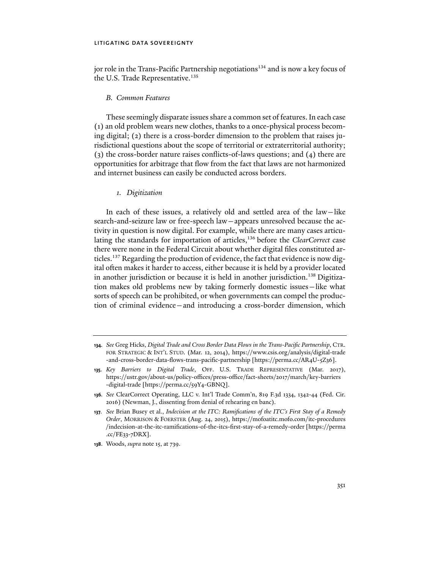jor role in the Trans-Pacific Partnership negotiations<sup>134</sup> and is now a key focus of the U.S. Trade Representative.<sup>135</sup>

#### *B. Common Features*

These seemingly disparate issues share a common set of features. In each case (1) an old problem wears new clothes, thanks to a once-physical process becoming digital; (2) there is a cross-border dimension to the problem that raises jurisdictional questions about the scope of territorial or extraterritorial authority; (3) the cross-border nature raises conflicts-of-laws questions; and (4) there are opportunities for arbitrage that flow from the fact that laws are not harmonized and internet business can easily be conducted across borders.

# *1. Digitization*

In each of these issues, a relatively old and settled area of the law—like search-and-seizure law or free-speech law—appears unresolved because the activity in question is now digital. For example, while there are many cases articulating the standards for importation of articles,<sup>136</sup> before the *ClearCorrect* case there were none in the Federal Circuit about whether digital files constituted articles.137 Regarding the production of evidence, the fact that evidence is now digital often makes it harder to access, either because it is held by a provider located in another jurisdiction or because it is held in another jurisdiction.<sup>138</sup> Digitization makes old problems new by taking formerly domestic issues—like what sorts of speech can be prohibited, or when governments can compel the production of criminal evidence—and introducing a cross-border dimension, which

**136***. See* ClearCorrect Operating, LLC v. Int'l Trade Comm'n, 819 F.3d 1334, 1342-44 (Fed. Cir. 2016) (Newman, J., dissenting from denial of rehearing en banc).

**138**. Woods, *supra* note 15, at 739.

**<sup>134</sup>***. See* Greg Hicks, *Digital Trade and Cross Border Data Flows in the Trans-Pacific Partnership*, CTR. FOR STRATEGIC & INT'L STUD. (Mar. 12, 2014), https://www.csis.org/analysis/digital-trade -and-cross-border-data-flows-trans-pacific-partnership [https://perma.cc/AR4U-5Z36].

**<sup>135</sup>***. Key Barriers to Digital Trade*, OFF. U.S. TRADE REPRESENTATIVE (Mar. 2017), https://ustr.gov/about-us/policy-offices/press-office/fact-sheets/2017/march/key-barriers -digital-trade [https://perma.cc/59Y4-GBNQ].

**<sup>137</sup>***. See* Brian Busey et al., *Indecision at the ITC: Ramifications of the ITC's First Stay of a Remedy Order*, MORRISON & FOERSTER (Aug. 24, 2015), https://mofoatitc.mofo.com/itc-procedures /indecision-at-the-itc-ramifications-of-the-itcs-first-stay-of-a-remedy-order [https://perma .cc/FE33-7DRX].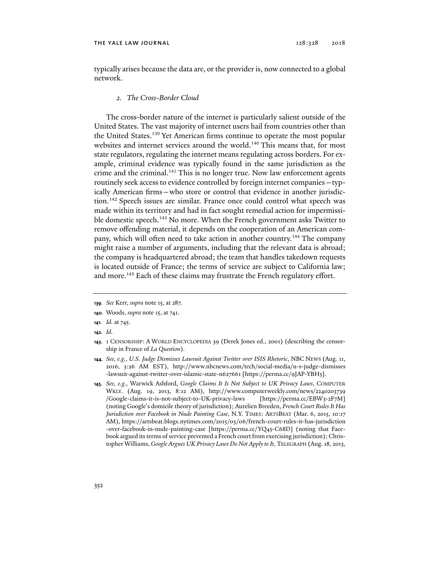typically arises because the data are, or the provider is, now connected to a global network.

# *2. The Cross-Border Cloud*

The cross-border nature of the internet is particularly salient outside of the United States. The vast majority of internet users hail from countries other than the United States.<sup>139</sup> Yet American firms continue to operate the most popular websites and internet services around the world.<sup>140</sup> This means that, for most state regulators, regulating the internet means regulating across borders. For example, criminal evidence was typically found in the same jurisdiction as the crime and the criminal.<sup>141</sup> This is no longer true. Now law enforcement agents routinely seek access to evidence controlled by foreign internet companies—typically American firms—who store or control that evidence in another jurisdiction.142 Speech issues are similar. France once could control what speech was made within its territory and had in fact sought remedial action for impermissible domestic speech.<sup>143</sup> No more. When the French government asks Twitter to remove offending material, it depends on the cooperation of an American company, which will often need to take action in another country.<sup>144</sup> The company might raise a number of arguments, including that the relevant data is abroad; the company is headquartered abroad; the team that handles takedown requests is located outside of France; the terms of service are subject to California law; and more.<sup>145</sup> Each of these claims may frustrate the French regulatory effort.

**142***. Id*.

**<sup>139</sup>***. See* Kerr, *supra* note 15, at 287.

**<sup>140</sup>**. Woods, *supra* note 15, at 741.

**<sup>141</sup>***. Id.* at 745.

**<sup>143</sup>**. 1 CENSORSHIP: A WORLD ENCYCLOPEDIA 39 (Derek Jones ed., 2001) (describing the censorship in France of *La Question*).

**<sup>144</sup>***. See, e.g.*, *U.S. Judge Dismisses Lawsuit Against Twitter over ISIS Rhetoric*, NBC NEWS (Aug. 11, 2016, 3:26 AM EST), http://www.nbcnews.com/tech/social-media/u-s-judge-dismisses -lawsuit-against-twitter-over-islamic-state-n627661 [https://perma.cc/9JAP-YBH5].

**<sup>145</sup>***. See, e.g.*, Warwick Ashford, *Google Claims It Is Not Subject to UK Privacy Laws*, COMPUTER WKLY. (Aug. 19, 2013, 8:12 AM), http://www.computerweekly.com/news/2240203739 /Google-claims-it-is-not-subject-to-UK-privacy-laws [https://perma.cc/EBW3-2F7M] (noting Google's domicile theory of jurisdiction); Aurelien Breeden, *French Court Rules It Has Jurisdiction over Facebook in Nude Painting Case*, N.Y. TIMES: ARTSBEAT (Mar. 6, 2015, 10:17 AM), https://artsbeat.blogs.nytimes.com/2015/03/06/french-court-rules-it-has-jurisdiction -over-facebook-in-nude-painting-case [https://perma.cc/YQ45-C68D] (noting that Facebook argued its terms of service prevented a French court from exercising jurisdiction); Christopher Williams, *Google Argues UK Privacy Laws Do Not Apply to It*, TELEGRAPH (Aug. 18, 2013,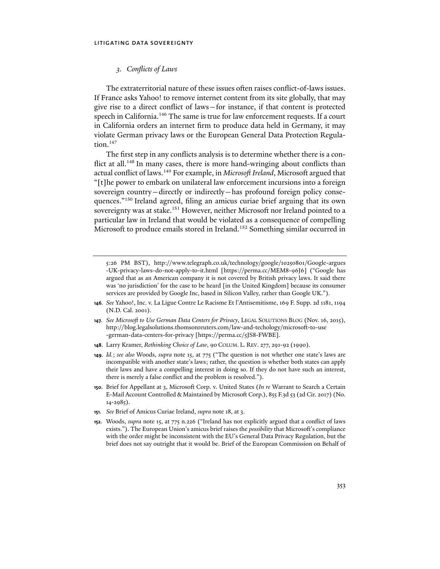# *3. Conflicts of Laws*

The extraterritorial nature of these issues often raises conflict-of-laws issues. If France asks Yahoo! to remove internet content from its site globally, that may give rise to a direct conflict of laws—for instance, if that content is protected speech in California.<sup>146</sup> The same is true for law enforcement requests. If a court in California orders an internet firm to produce data held in Germany, it may violate German privacy laws or the European General Data Protection Regulation.<sup>147</sup>

The first step in any conflicts analysis is to determine whether there is a conflict at all.<sup>148</sup> In many cases, there is more hand-wringing about conflicts than actual conflict of laws.149 For example, in *Microsoft Ireland*, Microsoft argued that "[t]he power to embark on unilateral law enforcement incursions into a foreign sovereign country—directly or indirectly—has profound foreign policy consequences."150 Ireland agreed, filing an amicus curiae brief arguing that its own sovereignty was at stake.<sup>151</sup> However, neither Microsoft nor Ireland pointed to a particular law in Ireland that would be violated as a consequence of compelling Microsoft to produce emails stored in Ireland.<sup>152</sup> Something similar occurred in

- **146***. See* Yahoo!, Inc. v. La Ligue Contre Le Racisme Et l'Antisemitisme, 169 F. Supp. 2d 1181, 1194 (N.D. Cal. 2001).
- **147***. See Microsoft to Use German Data Centers for Privacy*, LEGAL SOLUTIONS BLOG (Nov. 16, 2015), http://blog.legalsolutions.thomsonreuters.com/law-and-techology/microsoft-to-use -german-data-centers-for-privacy [https://perma.cc/5JS8-FWBE].
- **148**. Larry Kramer, *Rethinking Choice of Law*, 90 COLUM. L. REV. 277, 291-92 (1990).
- **149***. Id.*; *see also* Woods, *supra* note 15, at 775 ("The question is not whether one state's laws are incompatible with another state's laws; rather, the question is whether both states can apply their laws and have a compelling interest in doing so. If they do not have such an interest, there is merely a false conflict and the problem is resolved.").
- **150**. Brief for Appellant at 3, Microsoft Corp. v. United States (*In re* Warrant to Search a Certain E-Mail Account Controlled & Maintained by Microsoft Corp.), 855 F.3d 53 (2d Cir. 2017) (No. 14-2985).
- **151***. See* Brief of Amicus Curiae Ireland, *supra* note 18, at 3.
- **152**. Woods, *supra* note 15, at 775 n.226 ("Ireland has not explicitly argued that a conflict of laws exists."). The European Union's amicus brief raises the *possibility* that Microsoft's compliance with the order might be inconsistent with the EU's General Data Privacy Regulation, but the brief does not say outright that it would be. Brief of the European Commission on Behalf of

<sup>5:26</sup> PM BST), http://www.telegraph.co.uk/technology/google/10250801/Google-argues -UK-privacy-laws-do-not-apply-to-it.html [https://perma.cc/MEM8-96J6] ("Google has argued that as an American company it is not covered by British privacy laws. It said there was 'no jurisdiction' for the case to be heard [in the United Kingdom] because its consumer services are provided by Google Inc, based in Silicon Valley, rather than Google UK.").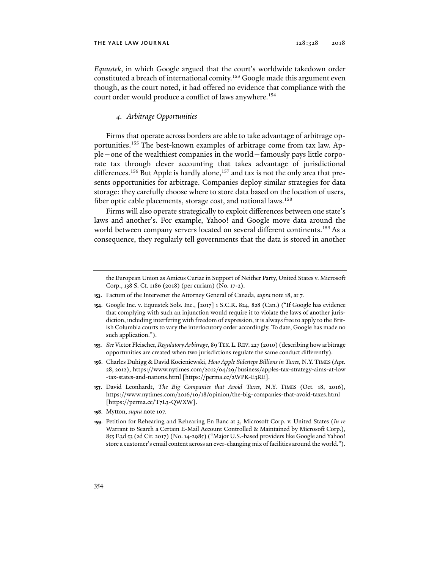*Equustek*, in which Google argued that the court's worldwide takedown order constituted a breach of international comity.153 Google made this argument even though, as the court noted, it had offered no evidence that compliance with the court order would produce a conflict of laws anywhere.<sup>154</sup>

#### *4. Arbitrage Opportunities*

Firms that operate across borders are able to take advantage of arbitrage opportunities.<sup>155</sup> The best-known examples of arbitrage come from tax law. Apple—one of the wealthiest companies in the world—famously pays little corporate tax through clever accounting that takes advantage of jurisdictional differences.<sup>156</sup> But Apple is hardly alone,<sup>157</sup> and tax is not the only area that presents opportunities for arbitrage. Companies deploy similar strategies for data storage: they carefully choose where to store data based on the location of users, fiber optic cable placements, storage cost, and national laws.<sup>158</sup>

Firms will also operate strategically to exploit differences between one state's laws and another's. For example, Yahoo! and Google move data around the world between company servers located on several different continents.<sup>159</sup> As a consequence, they regularly tell governments that the data is stored in another

- **153**. Factum of the Intervener the Attorney General of Canada, *supra* note 18, at 7.
- **154**. Google Inc. v. Equustek Sols. Inc., [2017] 1 S.C.R. 824, 828 (Can.) ("If Google has evidence that complying with such an injunction would require it to violate the laws of another jurisdiction, including interfering with freedom of expression, it is always free to apply to the British Columbia courts to vary the interlocutory order accordingly. To date, Google has made no such application.").
- **155***. See* Victor Fleischer, *Regulatory Arbitrage*, 89 TEX.L.REV. 227 (2010) (describing how arbitrage opportunities are created when two jurisdictions regulate the same conduct differently).
- **156**. Charles Duhigg & David Kocieniewski, *How Apple Sidesteps Billions in Taxes*, N.Y.TIMES (Apr. 28, 2012), https://www.nytimes.com/2012/04/29/business/apples-tax-strategy-aims-at-low -tax-states-and-nations.html [https://perma.cc/2WPK-E3RE].
- **157**. David Leonhardt, *The Big Companies that Avoid Taxes*, N.Y. TIMES (Oct. 18, 2016), https://www.nytimes.com/2016/10/18/opinion/the-big-companies-that-avoid-taxes.html [https://perma.cc/T7L3-QWXW].
- **158**. Mytton, *supra* note 107.
- **159**. Petition for Rehearing and Rehearing En Banc at 3, Microsoft Corp. v. United States (*In re* Warrant to Search a Certain E-Mail Account Controlled & Maintained by Microsoft Corp.), 855 F.3d 53 (2d Cir. 2017) (No. 14-2985) ("Major U.S.-based providers like Google and Yahoo! store a customer's email content across an ever-changing mix of facilities around the world.").

the European Union as Amicus Curiae in Support of Neither Party, United States v. Microsoft Corp., 138 S. Ct. 1186 (2018) (per curiam) (No. 17-2).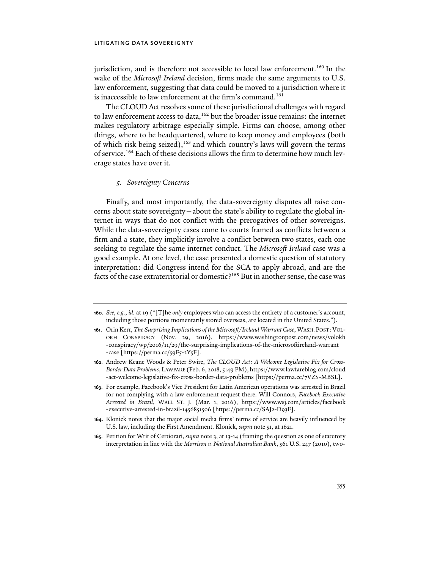jurisdiction, and is therefore not accessible to local law enforcement.<sup>160</sup> In the wake of the *Microsoft Ireland* decision, firms made the same arguments to U.S. law enforcement, suggesting that data could be moved to a jurisdiction where it is inaccessible to law enforcement at the firm's command.<sup>161</sup>

The CLOUD Act resolves some of these jurisdictional challenges with regard to law enforcement access to data,  $162$  but the broader issue remains: the internet makes regulatory arbitrage especially simple. Firms can choose, among other things, where to be headquartered, where to keep money and employees (both of which risk being seized),<sup>163</sup> and which country's laws will govern the terms of service.164 Each of these decisions allows the firm to determine how much leverage states have over it.

# *5. Sovereignty Concerns*

Finally, and most importantly, the data-sovereignty disputes all raise concerns about state sovereignty—about the state's ability to regulate the global internet in ways that do not conflict with the prerogatives of other sovereigns. While the data-sovereignty cases come to courts framed as conflicts between a firm and a state, they implicitly involve a conflict between two states, each one seeking to regulate the same internet conduct. The *Microsoft Ireland* case was a good example. At one level, the case presented a domestic question of statutory interpretation: did Congress intend for the SCA to apply abroad, and are the facts of the case extraterritorial or domestic?<sup>165</sup> But in another sense, the case was

**<sup>160</sup>***. See, e.g.*, *id.* at 19 ("[T]he *only* employees who can access the entirety of a customer's account, including those portions momentarily stored overseas, are located in the United States.").

**<sup>161</sup>**. Orin Kerr, *The Surprising Implications of the Microsoft/Ireland Warrant Case*, WASH.POST: VOL-OKH CONSPIRACY (Nov. 29, 2016), https://www.washingtonpost.com/news/volokh -conspiracy/wp/2016/11/29/the-surprising-implications-of-the-microsoftireland-warrant -case [https://perma.cc/59F5-2Y5F].

**<sup>162</sup>**. Andrew Keane Woods & Peter Swire, *The CLOUD Act: A Welcome Legislative Fix for Cross-Border Data Problems*, LAWFARE (Feb. 6, 2018, 5:49 PM), https://www.lawfareblog.com/cloud -act-welcome-legislative-fix-cross-border-data-problems [https://perma.cc/7VZS-MBSL].

**<sup>163</sup>**. For example, Facebook's Vice President for Latin American operations was arrested in Brazil for not complying with a law enforcement request there. Will Connors, *Facebook Executive Arrested in Brazil*, WALL ST. J. (Mar. 1, 2016), https://www.wsj.com/articles/facebook -executive-arrested-in-brazil-1456851506 [https://perma.cc/SAJ2-D93F].

**<sup>164</sup>**. Klonick notes that the major social media firms' terms of service are heavily influenced by U.S. law, including the First Amendment. Klonick, *supra* note 51, at 1621.

**<sup>165</sup>**. Petition for Writ of Certiorari, *supra* note 3, at 13-14 (framing the question as one of statutory interpretation in line with the *Morrison v. National Australian Bank*, 561 U.S. 247 (2010), two-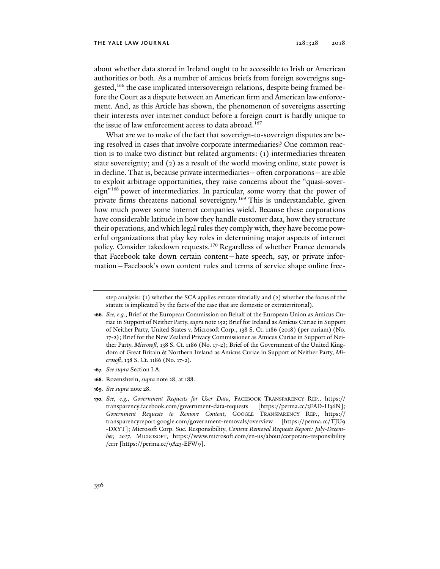#### THE YALE LAW JOURNAL 128:328 2018

about whether data stored in Ireland ought to be accessible to Irish or American authorities or both. As a number of amicus briefs from foreign sovereigns suggested,166 the case implicated intersovereign relations, despite being framed before the Court as a dispute between an American firm and American law enforcement. And, as this Article has shown, the phenomenon of sovereigns asserting their interests over internet conduct before a foreign court is hardly unique to the issue of law enforcement access to data abroad.<sup>167</sup>

What are we to make of the fact that sovereign-to-sovereign disputes are being resolved in cases that involve corporate intermediaries? One common reaction is to make two distinct but related arguments: (1) intermediaries threaten state sovereignty; and (2) as a result of the world moving online, state power is in decline. That is, because private intermediaries—often corporations—are able to exploit arbitrage opportunities, they raise concerns about the "quasi-sovereign"168 power of intermediaries. In particular, some worry that the power of private firms threatens national sovereignty.<sup>169</sup> This is understandable, given how much power some internet companies wield. Because these corporations have considerable latitude in how they handle customer data, how they structure their operations, and which legal rules they comply with, they have become powerful organizations that play key roles in determining major aspects of internet policy. Consider takedown requests.<sup>170</sup> Regardless of whether France demands that Facebook take down certain content—hate speech, say, or private information—Facebook's own content rules and terms of service shape online free-

- **167***. See supra* Section I.A.
- **168**. Rozenshtein, *supra* note 28, at 188.
- **169***. See supra* note 28.

step analysis: (1) whether the SCA applies extraterritorially and (2) whether the focus of the statute is implicated by the facts of the case that are domestic or extraterritorial).

**<sup>166</sup>***. See, e.g.*, Brief of the European Commission on Behalf of the European Union as Amicus Curiae in Support of Neither Party, *supra* note 152; Brief for Ireland as Amicus Curiae in Support of Neither Party, United States v. Microsoft Corp., 138 S. Ct. 1186 (2018) (per curiam) (No. 17-2); Brief for the New Zealand Privacy Commissioner as Amicus Curiae in Support of Neither Party, *Microsoft*, 138 S. Ct. 1186 (No. 17-2); Brief of the Government of the United Kingdom of Great Britain & Northern Ireland as Amicus Curiae in Support of Neither Party, *Microsoft*, 138 S. Ct. 1186 (No. 17-2).

**<sup>170</sup>***. See, e.g.*, *Government Requests for User Data*, FACEBOOK TRANSPARENCY REP., https:// transparency.facebook.com/government-data-requests [https://perma.cc/3FAD-H36N]; *Government Requests to Remove Content*, GOOGLE TRANSPARENCY REP., https:// transparencyreport.google.com/government-removals/overview [https://perma.cc/TJU9 -DXYT]; Microsoft Corp. Soc. Responsibility, *Content Removal Requests Report: July-December, 2017*, MICROSOFT, https://www.microsoft.com/en-us/about/corporate-responsibility /crrr [https://perma.cc/9A23-EFW9].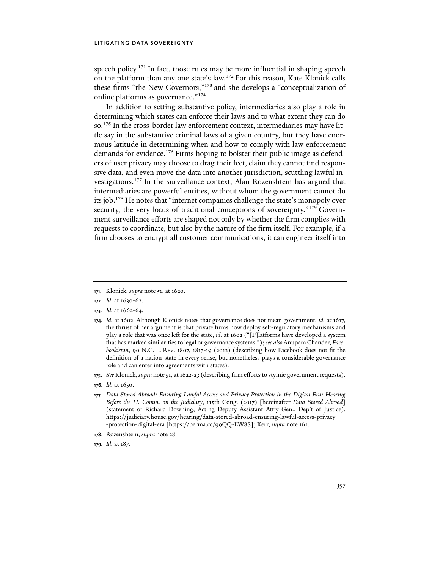speech policy.<sup>171</sup> In fact, those rules may be more influential in shaping speech on the platform than any one state's law.172 For this reason, Kate Klonick calls these firms "the New Governors,"173 and she develops a "conceptualization of online platforms as governance."174

In addition to setting substantive policy, intermediaries also play a role in determining which states can enforce their laws and to what extent they can do so.175 In the cross-border law enforcement context, intermediaries may have little say in the substantive criminal laws of a given country, but they have enormous latitude in determining when and how to comply with law enforcement demands for evidence.<sup>176</sup> Firms hoping to bolster their public image as defenders of user privacy may choose to drag their feet, claim they cannot find responsive data, and even move the data into another jurisdiction, scuttling lawful investigations.177 In the surveillance context, Alan Rozenshtein has argued that intermediaries are powerful entities, without whom the government cannot do its job.178 He notes that "internet companies challenge the state's monopoly over security, the very locus of traditional conceptions of sovereignty."<sup>179</sup> Government surveillance efforts are shaped not only by whether the firm complies with requests to coordinate, but also by the nature of the firm itself. For example, if a firm chooses to encrypt all customer communications, it can engineer itself into

- **172***. Id.* at 1630-62.
- **173***. Id.* at 1662-64.
- **174***. Id.* at 1602. Although Klonick notes that governance does not mean government, *id.* at 1617, the thrust of her argument is that private firms now deploy self-regulatory mechanisms and play a role that was once left for the state, *id.* at 1602 ("[P]latforms have developed a system that has marked similarities to legal or governance systems."); *see also* Anupam Chander, *Facebookistan*, 90 N.C. L. REV. 1807, 1817-19 (2012) (describing how Facebook does not fit the definition of a nation-state in every sense, but nonetheless plays a considerable governance role and can enter into agreements with states).
- **175**. *See* Klonick, *supra* note 51, at 1622-23 (describing firm efforts to stymie government requests).
- **176***. Id.* at 1650.
- **177***. Data Stored Abroad: Ensuring Lawful Access and Privacy Protection in the Digital Era: Hearing Before the H. Comm. on the Judiciary*, 115th Cong. (2017) [hereinafter *Data Stored Abroad*] (statement of Richard Downing, Acting Deputy Assistant Att'y Gen., Dep't of Justice), https://judiciary.house.gov/hearing/data-stored-abroad-ensuring-lawful-access-privacy -protection-digital-era [https://perma.cc/99QQ-LW8S]; Kerr, *supra* note 161.
- **178**. Rozenshtein, *supra* note 28.
- **179***. Id.* at 187.

**<sup>171</sup>**. Klonick, *supra* note 51, at 1620.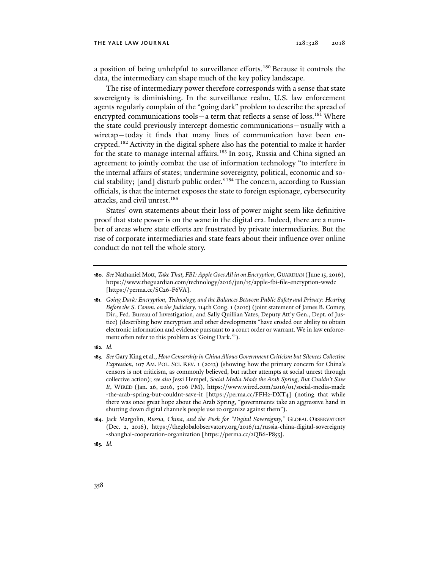#### THE YALE LAW JOURNAL 128:328 2018

a position of being unhelpful to surveillance efforts.<sup>180</sup> Because it controls the data, the intermediary can shape much of the key policy landscape.

The rise of intermediary power therefore corresponds with a sense that state sovereignty is diminishing. In the surveillance realm, U.S. law enforcement agents regularly complain of the "going dark" problem to describe the spread of encrypted communications tools  $-$  a term that reflects a sense of loss.<sup>181</sup> Where the state could previously intercept domestic communications—usually with a wiretap—today it finds that many lines of communication have been encrypted.182 Activity in the digital sphere also has the potential to make it harder for the state to manage internal affairs.<sup>183</sup> In 2015, Russia and China signed an agreement to jointly combat the use of information technology "to interfere in the internal affairs of states; undermine sovereignty, political, economic and social stability; [and] disturb public order."184 The concern, according to Russian officials, is that the internet exposes the state to foreign espionage, cybersecurity attacks, and civil unrest.<sup>185</sup>

States' own statements about their loss of power might seem like definitive proof that state power is on the wane in the digital era. Indeed, there are a number of areas where state efforts are frustrated by private intermediaries. But the rise of corporate intermediaries and state fears about their influence over online conduct do not tell the whole story.

**182***. Id.*

**<sup>180</sup>***. See* Nathaniel Mott, *Take That, FBI: Apple Goes All in on Encryption*, GUARDIAN (June 15, 2016), https://www.theguardian.com/technology/2016/jun/15/apple-fbi-file-encryption-wwdc [https://perma.cc/SC26-F6VA].

**<sup>181</sup>***. Going Dark: Encryption, Technology, and the Balances Between Public Safety and Privacy*: *Hearing Before the S. Comm. on the Judiciary*, 114th Cong. 1 (2015) (joint statement of James B. Comey, Dir., Fed. Bureau of Investigation, and Sally Quillian Yates, Deputy Att'y Gen., Dept. of Justice) (describing how encryption and other developments "have eroded our ability to obtain electronic information and evidence pursuant to a court order or warrant. We in law enforcement often refer to this problem as 'Going Dark.'").

**<sup>183</sup>***. See* Gary King et al., *How Censorship in China Allows Government Criticism but Silences Collective Expression*, 107 AM. POL. SCI. REV. 1 (2013) (showing how the primary concern for China's censors is not criticism, as commonly believed, but rather attempts at social unrest through collective action); *see also* Jessi Hempel, *Social Media Made the Arab Spring, But Couldn't Save It*, WIRED (Jan. 26, 2016, 3:06 PM), https://www.wired.com/2016/01/social-media-made -the-arab-spring-but-couldnt-save-it [https://perma.cc/FFH2-DXT4] (noting that while there was once great hope about the Arab Spring, "governments take an aggressive hand in shutting down digital channels people use to organize against them").

**<sup>184</sup>**. Jack Margolin, *Russia, China, and the Push for "Digital Sovereignty,"* GLOBAL OBSERVATORY (Dec. 2, 2016), https://theglobalobservatory.org/2016/12/russia-china-digital-sovereignty -shanghai-cooperation-organization [https://perma.cc/2QB6-P855].

**<sup>185</sup>***. Id.*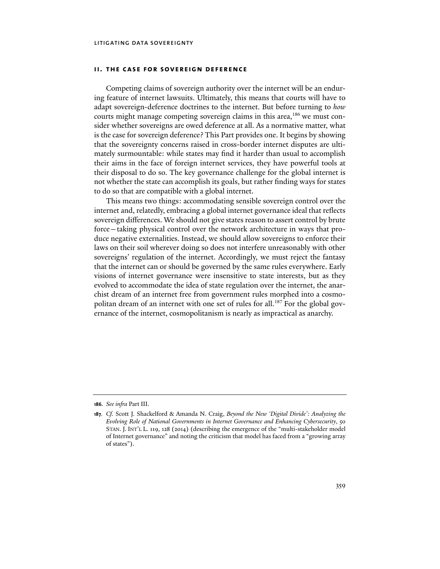# **ii. the case for sovereign deference**

Competing claims of sovereign authority over the internet will be an enduring feature of internet lawsuits. Ultimately, this means that courts will have to adapt sovereign-deference doctrines to the internet. But before turning to *how* courts might manage competing sovereign claims in this area,<sup>186</sup> we must consider whether sovereigns are owed deference at all. As a normative matter, what is the case for sovereign deference? This Part provides one. It begins by showing that the sovereignty concerns raised in cross-border internet disputes are ultimately surmountable: while states may find it harder than usual to accomplish their aims in the face of foreign internet services, they have powerful tools at their disposal to do so. The key governance challenge for the global internet is not whether the state can accomplish its goals, but rather finding ways for states to do so that are compatible with a global internet.

This means two things: accommodating sensible sovereign control over the internet and, relatedly, embracing a global internet governance ideal that reflects sovereign differences. We should not give states reason to assert control by brute force—taking physical control over the network architecture in ways that produce negative externalities. Instead, we should allow sovereigns to enforce their laws on their soil wherever doing so does not interfere unreasonably with other sovereigns' regulation of the internet. Accordingly, we must reject the fantasy that the internet can or should be governed by the same rules everywhere. Early visions of internet governance were insensitive to state interests, but as they evolved to accommodate the idea of state regulation over the internet, the anarchist dream of an internet free from government rules morphed into a cosmopolitan dream of an internet with one set of rules for all.<sup>187</sup> For the global governance of the internet, cosmopolitanism is nearly as impractical as anarchy.

**<sup>186</sup>***. See infra* Part III.

**<sup>187</sup>***. Cf.* Scott J. Shackelford & Amanda N. Craig, *Beyond the New 'Digital Divide': Analyzing the Evolving Role of National Governments in Internet Governance and Enhancing Cybersecurity*, 50 STAN. J. INT'L L. 119, 128 (2014) (describing the emergence of the "multi-stakeholder model of Internet governance" and noting the criticism that model has faced from a "growing array of states").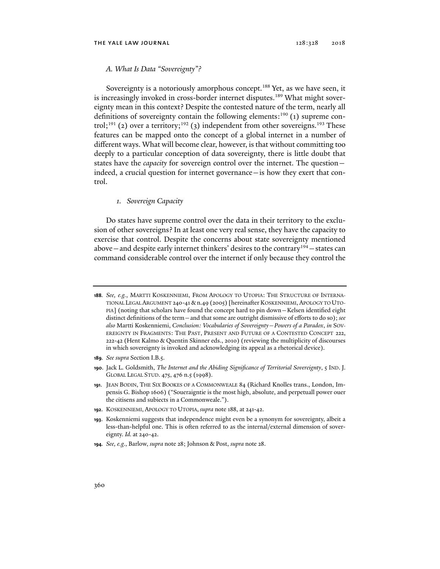# *A. What Is Data "Sovereignty"?*

Sovereignty is a notoriously amorphous concept.<sup>188</sup> Yet, as we have seen, it is increasingly invoked in cross-border internet disputes.<sup>189</sup> What might sovereignty mean in this context? Despite the contested nature of the term, nearly all definitions of sovereignty contain the following elements:<sup>190</sup> (1) supreme control;<sup>191</sup> (2) over a territory;<sup>192</sup> (3) independent from other sovereigns.<sup>193</sup> These features can be mapped onto the concept of a global internet in a number of different ways. What will become clear, however, is that without committing too deeply to a particular conception of data sovereignty, there is little doubt that states have the *capacity* for sovereign control over the internet. The question indeed, a crucial question for internet governance—is how they exert that control.

# *1. Sovereign Capacity*

Do states have supreme control over the data in their territory to the exclusion of other sovereigns? In at least one very real sense, they have the capacity to exercise that control. Despite the concerns about state sovereignty mentioned above — and despite early internet thinkers' desires to the contrary<sup>194</sup> — states can command considerable control over the internet if only because they control the

- **189***. See supra* Section I.B.5.
- **190**. Jack L. Goldsmith, *The Internet and the Abiding Significance of Territorial Sovereignty*, 5 IND. J. GLOBAL LEGAL STUD. 475, 476 n.5 (1998).
- **191**. JEAN BODIN, THE SIX BOOKES OF A COMMONWEALE 84 (Richard Knolles trans., London, Impensis G. Bishop 1606) ("Soueraigntie is the most high, absolute, and perpetuall power ouer the citisens and subiects in a Commonweale.").
- **192**. KOSKENNIEMI, APOLOGY TO UTOPIA, *supra* note 188, at 241-42.
- **193**. Koskenniemi suggests that independence might even be a synonym for sovereignty, albeit a less-than-helpful one. This is often referred to as the internal/external dimension of sovereignty. *Id.* at 240-42.
- **194***. See, e.g.*, Barlow, *supra* note 28; Johnson & Post, *supra* note 28.

**<sup>188</sup>***. See, e.g.*, MARTTI KOSKENNIEMI, FROM APOLOGY TO UTOPIA: THE STRUCTURE OF INTERNA-TIONAL LEGAL ARGUMENT 240-41 & n.49 (2005) [hereinafter KOSKENNIEMI, APOLOGY TO UTO-PIA] (noting that scholars have found the concept hard to pin down—Kelsen identified eight distinct definitions of the term—and that some are outright dismissive of efforts to do so); *see also* Martti Koskenniemi, *Conclusion: Vocabularies of Sovereignty—Powers of a Paradox*, *in* SOV-EREIGNTY IN FRAGMENTS: THE PAST, PRESENT AND FUTURE OF A CONTESTED CONCEPT 222, 222-42 (Hent Kalmo & Quentin Skinner eds., 2010) (reviewing the multiplicity of discourses in which sovereignty is invoked and acknowledging its appeal as a rhetorical device).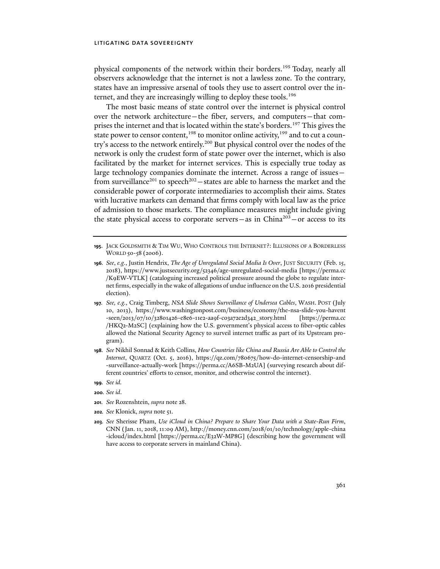physical components of the network within their borders.195 Today, nearly all observers acknowledge that the internet is not a lawless zone. To the contrary, states have an impressive arsenal of tools they use to assert control over the internet, and they are increasingly willing to deploy these tools.<sup>196</sup>

The most basic means of state control over the internet is physical control over the network architecture—the fiber, servers, and computers—that comprises the internet and that is located within the state's borders.<sup>197</sup> This gives the state power to censor content,<sup>198</sup> to monitor online activity,<sup>199</sup> and to cut a country's access to the network entirely.<sup>200</sup> But physical control over the nodes of the network is only the crudest form of state power over the internet, which is also facilitated by the market for internet services. This is especially true today as large technology companies dominate the internet. Across a range of issues from surveillance<sup>201</sup> to speech<sup>202</sup> – states are able to harness the market and the considerable power of corporate intermediaries to accomplish their aims. States with lucrative markets can demand that firms comply with local law as the price of admission to those markets. The compliance measures might include giving the state physical access to corporate servers—as in China<sup>203</sup>—or access to its

- **197***. See, e.g.*, Craig Timberg, *NSA Slide Shows Surveillance of Undersea Cables*, WASH. POST (July 10, 2013), https://www.washingtonpost.com/business/economy/the-nsa-slide-you-havent -seen/2013/07/10/32801426-e8e6-11e2-aa9f-c03a72e2d342\_story.html [https://perma.cc /HKQ2-M2SC] (explaining how the U.S. government's physical access to fiber-optic cables allowed the National Security Agency to surveil internet traffic as part of its Upstream program).
- **198***. See* Nikhil Sonnad & Keith Collins, *How Countries like China and Russia Are Able to Control the Internet*, QUARTZ (Oct. 5, 2016), https://qz.com/780675/how-do-internet-censorship-and -surveillance-actually-work [https://perma.cc/A6SB-M2UA] (surveying research about different countries' efforts to censor, monitor, and otherwise control the internet).
- **199***. See id.*
- **200***. See id*.
- **201***. See* Rozenshtein, *supra* note 28.
- **202***. See* Klonick, *supra* note 51.
- **203***. See* Sherisse Pham, *Use iCloud in China? Prepare to Share Your Data with a State-Run Firm*, CNN (Jan. 11, 2018, 11:09 AM), http://money.cnn.com/2018/01/10/technology/apple-china -icloud/index.html [https://perma.cc/E32W-MP8G] (describing how the government will have access to corporate servers in mainland China).

**<sup>195</sup>**. JACK GOLDSMITH & TIM WU, WHO CONTROLS THE INTERNET?: ILLUSIONS OF A BORDERLESS WORLD 50-58 (2006).

**<sup>196</sup>***. See*, *e.g.*, Justin Hendrix, *The Age of Unregulated Social Media Is Over*, JUST SECURITY (Feb. 15, 2018), https://www.justsecurity.org/52346/age-unregulated-social-media [https://perma.cc /K9EW-VTLK] (cataloguing increased political pressure around the globe to regulate internet firms, especially in the wake of allegations of undue influence on the U.S. 2016 presidential election).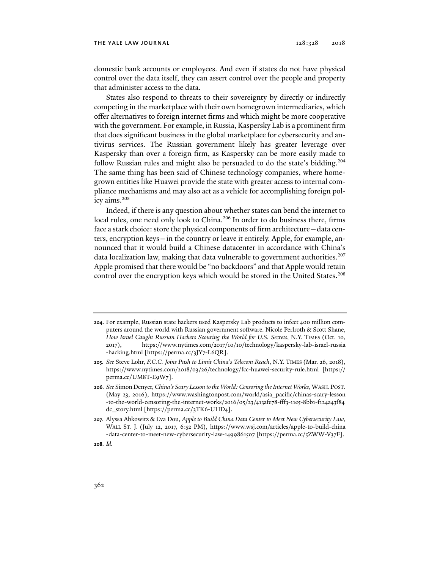domestic bank accounts or employees. And even if states do not have physical control over the data itself, they can assert control over the people and property that administer access to the data.

States also respond to threats to their sovereignty by directly or indirectly competing in the marketplace with their own homegrown intermediaries, which offer alternatives to foreign internet firms and which might be more cooperative with the government. For example, in Russia, Kaspersky Lab is a prominent firm that does significant business in the global marketplace for cybersecurity and antivirus services. The Russian government likely has greater leverage over Kaspersky than over a foreign firm, as Kaspersky can be more easily made to follow Russian rules and might also be persuaded to do the state's bidding.204 The same thing has been said of Chinese technology companies, where homegrown entities like Huawei provide the state with greater access to internal compliance mechanisms and may also act as a vehicle for accomplishing foreign policy aims.205

Indeed, if there is any question about whether states can bend the internet to local rules, one need only look to China.<sup>206</sup> In order to do business there, firms face a stark choice: store the physical components of firm architecture—data centers, encryption keys—in the country or leave it entirely. Apple, for example, announced that it would build a Chinese datacenter in accordance with China's data localization law, making that data vulnerable to government authorities.<sup>207</sup> Apple promised that there would be "no backdoors" and that Apple would retain control over the encryption keys which would be stored in the United States.<sup>208</sup>

**<sup>204</sup>**. For example, Russian state hackers used Kaspersky Lab products to infect 400 million computers around the world with Russian government software. Nicole Perlroth & Scott Shane, *How Israel Caught Russian Hackers Scouring the World for U.S. Secrets*, N.Y. TIMES (Oct. 10, 2017), https://www.nytimes.com/2017/10/10/technology/kaspersky-lab-israel-russia -hacking.html [https://perma.cc/3JY7-L6QR].

**<sup>205</sup>***. See* Steve Lohr, *F.C.C. Joins Push to Limit China's Telecom Reach*, N.Y. TIMES (Mar. 26, 2018), https://www.nytimes.com/2018/03/26/technology/fcc-huawei-security-rule.html [https:// perma.cc/UM8T-E9W7].

**<sup>206</sup>***. See* Simon Denyer, *China's Scary Lesson to the World: Censoring the Internet Works*, WASH. POST. (May 23, 2016), https://www.washingtonpost.com/world/asia\_pacific/chinas-scary-lesson -to-the-world-censoring-the-internet-works/2016/05/23/413afe78-fff3-11e5-8bb1-f124a43f84 dc\_story.html [https://perma.cc/3TK6-UHD4].

**<sup>207</sup>**. Alyssa Abkowitz & Eva Dou, *Apple to Build China Data Center to Meet New Cybersecurity Law*, WALL ST. J. (July 12, 2017, 6:52 PM), https://www.wsj.com/articles/apple-to-build-china -data-center-to-meet-new-cybersecurity-law-1499861507 [https://perma.cc/5ZWW-V37F].

**<sup>208</sup>***. Id.*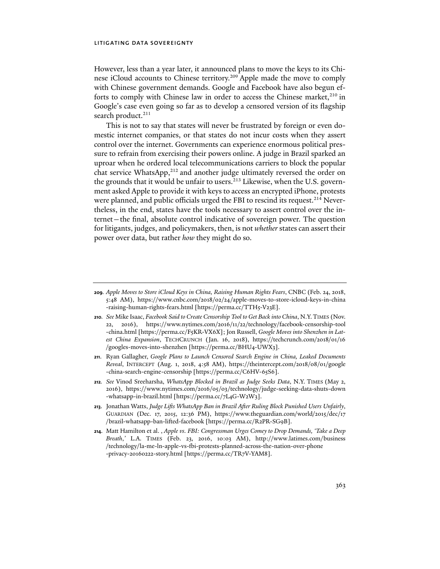However, less than a year later, it announced plans to move the keys to its Chinese iCloud accounts to Chinese territory.<sup>209</sup> Apple made the move to comply with Chinese government demands. Google and Facebook have also begun efforts to comply with Chinese law in order to access the Chinese market, $^{210}$  in Google's case even going so far as to develop a censored version of its flagship search product.<sup>211</sup>

This is not to say that states will never be frustrated by foreign or even domestic internet companies, or that states do not incur costs when they assert control over the internet. Governments can experience enormous political pressure to refrain from exercising their powers online. A judge in Brazil sparked an uproar when he ordered local telecommunications carriers to block the popular chat service WhatsApp,<sup>212</sup> and another judge ultimately reversed the order on the grounds that it would be unfair to users.<sup>213</sup> Likewise, when the U.S. government asked Apple to provide it with keys to access an encrypted iPhone, protests were planned, and public officials urged the FBI to rescind its request.<sup>214</sup> Nevertheless, in the end, states have the tools necessary to assert control over the internet—the final, absolute control indicative of sovereign power. The question for litigants, judges, and policymakers, then, is not *whether* states can assert their power over data, but rather *how* they might do so.

- **210***. See* Mike Isaac, *Facebook Said to Create Censorship Tool to Get Back into China*, N.Y.TIMES (Nov. 22, 2016), https://www.nytimes.com/2016/11/22/technology/facebook-censorship-tool -china.html [https://perma.cc/F5KR-VX6X]; Jon Russell, *Google Moves into Shenzhen in Latest China Expansion*, TECHCRUNCH (Jan. 16, 2018), https://techcrunch.com/2018/01/16 /googles-moves-into-shenzhen [https://perma.cc/BHU4-UWX3].
- **211**. Ryan Gallagher, *Google Plans to Launch Censored Search Engine in China, Leaked Documents Reveal*, INTERCEPT (Aug. 1, 2018, 4:58 AM), https://theintercept.com/2018/08/01/google -china-search-engine-censorship [https://perma.cc/C6HV-65S6].
- **212***. See* Vinod Sreeharsha, *WhatsApp Blocked in Brazil as Judge Seeks Data*, N.Y. TIMES (May 2, 2016), https://www.nytimes.com/2016/05/03/technology/judge-seeking-data-shuts-down -whatsapp-in-brazil.html [https://perma.cc/7L4G-W2W3].
- **213**. Jonathan Watts, *Judge Lifts WhatsApp Ban in Brazil After Ruling Block Punished Users Unfairly*, GUARDIAN (Dec. 17, 2015, 12:36 PM), https://www.theguardian.com/world/2015/dec/17 /brazil-whatsapp-ban-lifted-facebook [https://perma.cc/R2PR-SG9B].
- **214**. Matt Hamilton et al. , *Apple vs. FBI: Congressman Urges Comey to Drop Demands, 'Take a Deep Breath*,*'* L.A. TIMES (Feb. 23, 2016, 10:03 AM), http://www.latimes.com/business /technology/la-me-ln-apple-vs-fbi-protests-planned-across-the-nation-over-phone -privacy-20160222-story.html [https://perma.cc/TR7V-YAM8].

**<sup>209</sup>***. Apple Moves to Store iCloud Keys in China, Raising Human Rights Fears*, CNBC (Feb. 24, 2018, 5:48 AM), https://www.cnbc.com/2018/02/24/apple-moves-to-store-icloud-keys-in-china -raising-human-rights-fears.html [https://perma.cc/TTH5-V23E].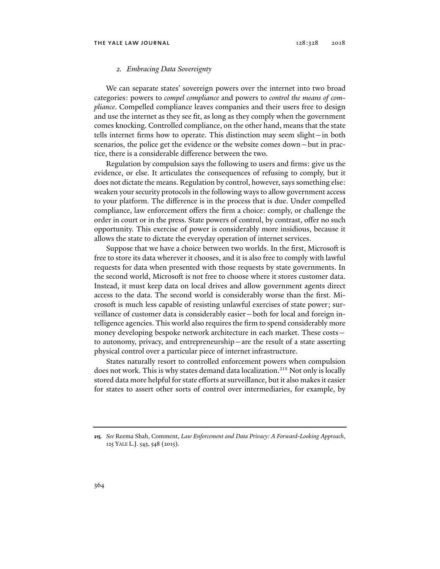#### *2. Embracing Data Sovereignty*

We can separate states' sovereign powers over the internet into two broad categories: powers to *compel compliance* and powers to *control the means of compliance*. Compelled compliance leaves companies and their users free to design and use the internet as they see fit, as long as they comply when the government comes knocking. Controlled compliance, on the other hand, means that the state tells internet firms how to operate. This distinction may seem slight—in both scenarios, the police get the evidence or the website comes down—but in practice, there is a considerable difference between the two.

Regulation by compulsion says the following to users and firms: give us the evidence, or else. It articulates the consequences of refusing to comply, but it does not dictate the means. Regulation by control, however, says something else: weaken your security protocols in the following ways to allow government access to your platform. The difference is in the process that is due. Under compelled compliance, law enforcement offers the firm a choice: comply, or challenge the order in court or in the press. State powers of control, by contrast, offer no such opportunity. This exercise of power is considerably more insidious, because it allows the state to dictate the everyday operation of internet services.

Suppose that we have a choice between two worlds. In the first, Microsoft is free to store its data wherever it chooses, and it is also free to comply with lawful requests for data when presented with those requests by state governments. In the second world, Microsoft is not free to choose where it stores customer data. Instead, it must keep data on local drives and allow government agents direct access to the data. The second world is considerably worse than the first. Microsoft is much less capable of resisting unlawful exercises of state power; surveillance of customer data is considerably easier—both for local and foreign intelligence agencies. This world also requires the firm to spend considerably more money developing bespoke network architecture in each market. These costs to autonomy, privacy, and entrepreneurship—are the result of a state asserting physical control over a particular piece of internet infrastructure.

States naturally resort to controlled enforcement powers when compulsion does not work. This is why states demand data localization.<sup>215</sup> Not only is locally stored data more helpful for state efforts at surveillance, but it also makes it easier for states to assert other sorts of control over intermediaries, for example, by

**<sup>215</sup>***. See* Reema Shah, Comment, *Law Enforcement and Data Privacy: A Forward-Looking Approach*, 125 YALE L.J. 543, 548 (2015).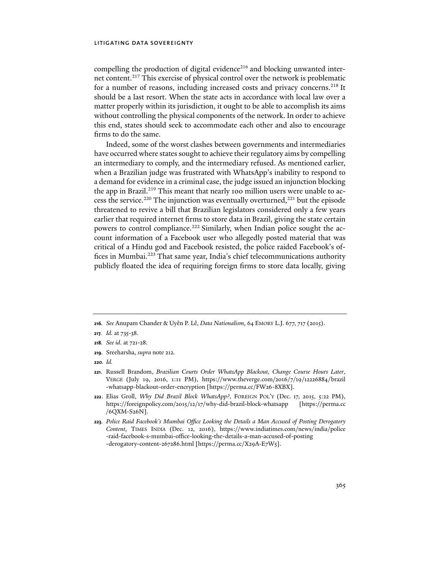compelling the production of digital evidence<sup>216</sup> and blocking unwanted internet content.<sup>217</sup> This exercise of physical control over the network is problematic for a number of reasons, including increased costs and privacy concerns.<sup>218</sup> It should be a last resort. When the state acts in accordance with local law over a matter properly within its jurisdiction, it ought to be able to accomplish its aims without controlling the physical components of the network. In order to achieve this end, states should seek to accommodate each other and also to encourage firms to do the same.

Indeed, some of the worst clashes between governments and intermediaries have occurred where states sought to achieve their regulatory aims by compelling an intermediary to comply, and the intermediary refused. As mentioned earlier, when a Brazilian judge was frustrated with WhatsApp's inability to respond to a demand for evidence in a criminal case, the judge issued an injunction blocking the app in Brazil.<sup>219</sup> This meant that nearly 100 million users were unable to access the service.<sup>220</sup> The injunction was eventually overturned,<sup>221</sup> but the episode threatened to revive a bill that Brazilian legislators considered only a few years earlier that required internet firms to store data in Brazil, giving the state certain powers to control compliance.<sup>222</sup> Similarly, when Indian police sought the account information of a Facebook user who allegedly posted material that was critical of a Hindu god and Facebook resisted, the police raided Facebook's offices in Mumbai.<sup>223</sup> That same year, India's chief telecommunications authority publicly floated the idea of requiring foreign firms to store data locally, giving

**<sup>216</sup>***. See* Anupam Chander & Uyên P. Lê, *Data Nationalism*, 64 EMORY L.J. 677, 717 (2015).

**<sup>217</sup>***. Id.* at 735-38.

**<sup>218</sup>***. See id.* at 721-28.

**<sup>219</sup>**. Sreeharsha, *supra* note 212.

**<sup>220</sup>***. Id.*

**<sup>221</sup>**. Russell Brandom, *Brazilian Courts Order WhatsApp Blackout, Change Course Hours Later*, VERGE (July 19, 2016, 1:11 PM), https://www.theverge.com/2016/7/19/12226884/brazil -whatsapp-blackout-order-encryption [https://perma.cc/FW26-8XBX].

**<sup>222</sup>**. Elias Groll, *Why Did Brazil Block WhatsApp?*, FOREIGN POL'Y (Dec. 17, 2015, 5:22 PM), https://foreignpolicy.com/2015/12/17/why-did-brazil-block-whatsapp [https://perma.cc /6QXM-S26N].

**<sup>223</sup>***. Police Raid Facebook's Mumbai Office Looking the Details a Man Accused of Posting Derogatory Content*, TIMES INDIA (Dec. 12, 2016), https://www.indiatimes.com/news/india/police -raid-facebook-s-mumbai-office-looking-the-details-a-man-accused-of-posting -derogatory-content-267286.html [https://perma.cc/X29A-E7W5].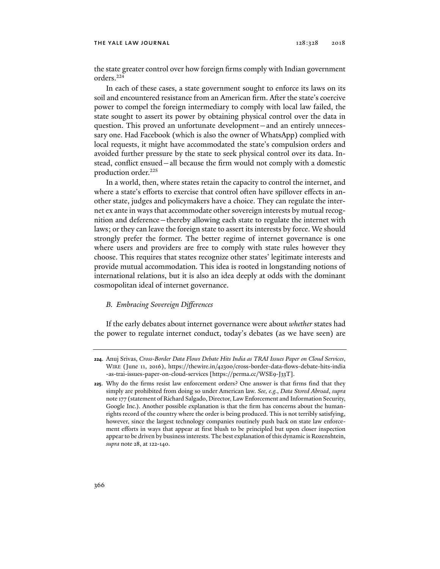the state greater control over how foreign firms comply with Indian government orders.224

In each of these cases, a state government sought to enforce its laws on its soil and encountered resistance from an American firm. After the state's coercive power to compel the foreign intermediary to comply with local law failed, the state sought to assert its power by obtaining physical control over the data in question. This proved an unfortunate development—and an entirely unnecessary one. Had Facebook (which is also the owner of WhatsApp) complied with local requests, it might have accommodated the state's compulsion orders and avoided further pressure by the state to seek physical control over its data. Instead, conflict ensued—all because the firm would not comply with a domestic production order.<sup>225</sup>

In a world, then, where states retain the capacity to control the internet, and where a state's efforts to exercise that control often have spillover effects in another state, judges and policymakers have a choice. They can regulate the internet ex ante in ways that accommodate other sovereign interests by mutual recognition and deference—thereby allowing each state to regulate the internet with laws; or they can leave the foreign state to assert its interests by force. We should strongly prefer the former. The better regime of internet governance is one where users and providers are free to comply with state rules however they choose. This requires that states recognize other states' legitimate interests and provide mutual accommodation. This idea is rooted in longstanding notions of international relations, but it is also an idea deeply at odds with the dominant cosmopolitan ideal of internet governance.

### *B. Embracing Sovereign Differences*

If the early debates about internet governance were about *whether* states had the power to regulate internet conduct, today's debates (as we have seen) are

**<sup>224</sup>**. Anuj Srivas, *Cross-Border Data Flows Debate Hits India as TRAI Issues Paper on Cloud Services*, WIRE (June 11, 2016), https://thewire.in/42300/cross-border-data-flows-debate-hits-india -as-trai-issues-paper-on-cloud-services [https://perma.cc/WSE9-J33T].

**<sup>225</sup>**. Why do the firms resist law enforcement orders? One answer is that firms find that they simply are prohibited from doing so under American law. *See, e.g.*, *Data Stored Abroad*, *supra*  note 177 (statement of Richard Salgado, Director, Law Enforcement and Information Security, Google Inc.). Another possible explanation is that the firm has concerns about the humanrights record of the country where the order is being produced. This is not terribly satisfying, however, since the largest technology companies routinely push back on state law enforcement efforts in ways that appear at first blush to be principled but upon closer inspection appear to be driven by business interests. The best explanation of this dynamic is Rozenshtein, *supra* note 28, at 122-140.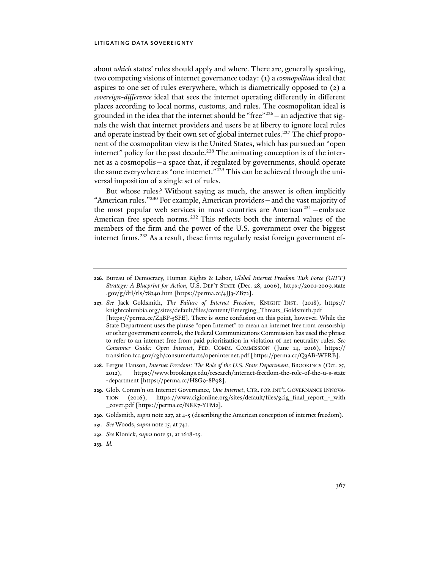about *which* states' rules should apply and where. There are, generally speaking, two competing visions of internet governance today: (1) a *cosmopolitan* ideal that aspires to one set of rules everywhere, which is diametrically opposed to (2) a *sovereign-difference* ideal that sees the internet operating differently in different places according to local norms, customs, and rules. The cosmopolitan ideal is grounded in the idea that the internet should be "free"226—an adjective that signals the wish that internet providers and users be at liberty to ignore local rules and operate instead by their own set of global internet rules.<sup>227</sup> The chief proponent of the cosmopolitan view is the United States, which has pursued an "open internet" policy for the past decade.<sup>228</sup> The animating conception is of the internet as a cosmopolis—a space that, if regulated by governments, should operate the same everywhere as "one internet."229 This can be achieved through the universal imposition of a single set of rules.

But whose rules? Without saying as much, the answer is often implicitly "American rules."230 For example, American providers—and the vast majority of the most popular web services in most countries are American<sup>231</sup> – embrace American free speech norms.<sup>232</sup> This reflects both the internal values of the members of the firm and the power of the U.S. government over the biggest internet firms.<sup>233</sup> As a result, these firms regularly resist foreign government ef-

- **228**. Fergus Hanson, *Internet Freedom: The Role of the U.S. State Department*, BROOKINGS (Oct. 25, 2012), https://www.brookings.edu/research/internet-freedom-the-role-of-the-u-s-state -department [https://perma.cc/H8G9-8P98].
- **229**. Glob. Comm'n on Internet Governance, *One Internet*, CTR. FOR INT'L GOVERNANCE INNOVA-TION (2016), https://www.cigionline.org/sites/default/files/gcig\_final\_report\_-\_with \_cover.pdf [https://perma.cc/N8K7-YFM2].
- **230**. Goldsmith, *supra* note 227, at 4-5 (describing the American conception of internet freedom).
- **231***. See* Woods, *supra* note 15, at 741.
- **232***. See* Klonick, *supra* note 51, at 1618-25.
- **233***. Id.*

**<sup>226</sup>**. Bureau of Democracy, Human Rights & Labor, *Global Internet Freedom Task Force (GIFT) Strategy: A Blueprint for Action,* U.S. DEP'T STATE (Dec. 28, 2006), https://2001-2009.state .gov/g/drl/rls/78340.htm [https://perma.cc/4JJ3-ZB72].

**<sup>227</sup>***. See* Jack Goldsmith, *The Failure of Internet Freedom*, KNIGHT INST. (2018), https:// knightcolumbia.org/sites/default/files/content/Emerging\_Threats\_Goldsmith.pdf [https://perma.cc/Z4BP-5SFE]. There is some confusion on this point, however. While the State Department uses the phrase "open Internet" to mean an internet free from censorship or other government controls, the Federal Communications Commission has used the phrase to refer to an internet free from paid prioritization in violation of net neutrality rules. *See Consumer Guide: Open Internet*, FED. COMM. COMMISSION (June 14, 2016), https:// transition.fcc.gov/cgb/consumerfacts/openinternet.pdf [https://perma.cc/Q3AB-WFRB].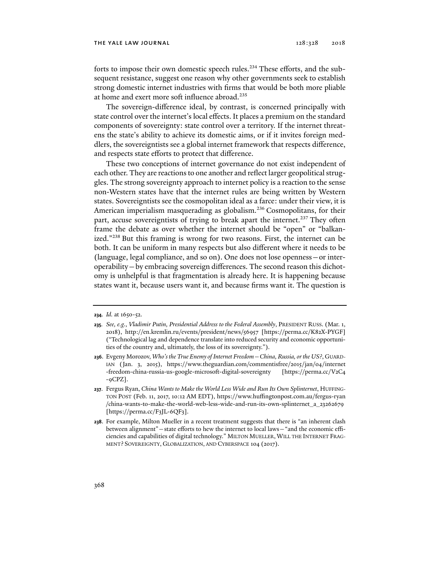#### THE YALE LAW JOURNAL 128:328 2018

forts to impose their own domestic speech rules.<sup>234</sup> These efforts, and the subsequent resistance, suggest one reason why other governments seek to establish strong domestic internet industries with firms that would be both more pliable at home and exert more soft influence abroad.<sup>235</sup>

The sovereign-difference ideal, by contrast, is concerned principally with state control over the internet's local effects. It places a premium on the standard components of sovereignty: state control over a territory. If the internet threatens the state's ability to achieve its domestic aims, or if it invites foreign meddlers, the sovereigntists see a global internet framework that respects difference, and respects state efforts to protect that difference.

These two conceptions of internet governance do not exist independent of each other. They are reactions to one another and reflect larger geopolitical struggles. The strong sovereignty approach to internet policy is a reaction to the sense non-Western states have that the internet rules are being written by Western states. Sovereigntists see the cosmopolitan ideal as a farce: under their view, it is American imperialism masquerading as globalism.<sup>236</sup> Cosmopolitans, for their part, accuse sovereigntists of trying to break apart the internet.<sup>237</sup> They often frame the debate as over whether the internet should be "open" or "balkanized."238 But this framing is wrong for two reasons. First, the internet can be both. It can be uniform in many respects but also different where it needs to be (language, legal compliance, and so on). One does not lose openness—or interoperability—by embracing sovereign differences. The second reason this dichotomy is unhelpful is that fragmentation is already here. It is happening because states want it, because users want it, and because firms want it. The question is

**<sup>234</sup>***. Id.* at 1650-52.

**<sup>235</sup>***. See, e.g.*, *Vladimir Putin, Presidential Address to the Federal Assembly*, PRESIDENT RUSS. (Mar. 1, 2018), http://en.kremlin.ru/events/president/news/56957 [https://perma.cc/K82X-PYGF] ("Technological lag and dependence translate into reduced security and economic opportunities of the country and, ultimately, the loss of its sovereignty.").

**<sup>236</sup>**. Evgeny Morozov, *Who's the True Enemy of Internet Freedom—China, Russia, or the US?*, GUARD-IAN (Jan. 3, 2015), https://www.theguardian.com/commentisfree/2015/jan/04/internet -freedom-china-russia-us-google-microsoft-digital-sovereignty [https://perma.cc/V2C4 -9CPZ].

**<sup>237</sup>**. Fergus Ryan, *China Wants to Make the World Less Wide and Run Its Own Splinternet*, HUFFING-TON POST (Feb. 11, 2017, 10:12 AM EDT), https://www.huffingtonpost.com.au/fergus-ryan /china-wants-to-make-the-world-web-less-wide-and-run-its-own-splinternet\_a\_23262679 [https://perma.cc/F3JL-6QF3].

**<sup>238</sup>**. For example, Milton Mueller in a recent treatment suggests that there is "an inherent clash between alignment"—state efforts to hew the internet to local laws—"and the economic efficiencies and capabilities of digital technology." MILTON MUELLER,WILL THE INTERNET FRAG-MENT? SOVEREIGNTY, GLOBALIZATION, AND CYBERSPACE 104 (2017).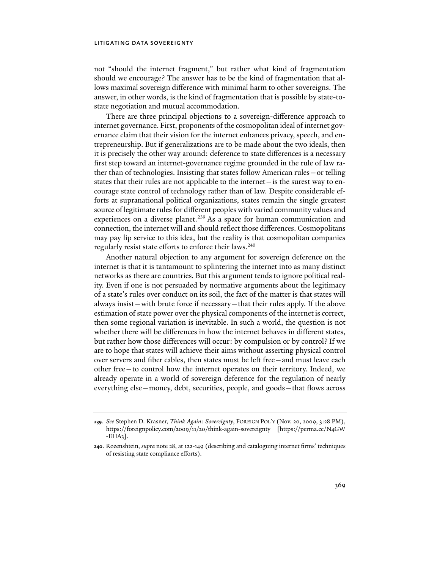not "should the internet fragment," but rather what kind of fragmentation should we encourage? The answer has to be the kind of fragmentation that allows maximal sovereign difference with minimal harm to other sovereigns. The answer, in other words, is the kind of fragmentation that is possible by state-tostate negotiation and mutual accommodation.

There are three principal objections to a sovereign-difference approach to internet governance. First, proponents of the cosmopolitan ideal of internet governance claim that their vision for the internet enhances privacy, speech, and entrepreneurship. But if generalizations are to be made about the two ideals, then it is precisely the other way around: deference to state differences is a necessary first step toward an internet-governance regime grounded in the rule of law rather than of technologies. Insisting that states follow American rules—or telling states that their rules are not applicable to the internet—is the surest way to encourage state control of technology rather than of law. Despite considerable efforts at supranational political organizations, states remain the single greatest source of legitimate rules for different peoples with varied community values and experiences on a diverse planet.<sup>239</sup> As a space for human communication and connection, the internet will and should reflect those differences. Cosmopolitans may pay lip service to this idea, but the reality is that cosmopolitan companies regularly resist state efforts to enforce their laws.<sup>240</sup>

Another natural objection to any argument for sovereign deference on the internet is that it is tantamount to splintering the internet into as many distinct networks as there are countries. But this argument tends to ignore political reality. Even if one is not persuaded by normative arguments about the legitimacy of a state's rules over conduct on its soil, the fact of the matter is that states will always insist—with brute force if necessary—that their rules apply. If the above estimation of state power over the physical components of the internet is correct, then some regional variation is inevitable. In such a world, the question is not whether there will be differences in how the internet behaves in different states, but rather how those differences will occur: by compulsion or by control? If we are to hope that states will achieve their aims without asserting physical control over servers and fiber cables, then states must be left free—and must leave each other free—to control how the internet operates on their territory. Indeed, we already operate in a world of sovereign deference for the regulation of nearly everything else—money, debt, securities, people, and goods—that flows across

**<sup>239</sup>***. See* Stephen D. Krasner, *Think Again: Sovereignty*, FOREIGN POL'Y (Nov. 20, 2009, 3:28 PM), https://foreignpolicy.com/2009/11/20/think-again-sovereignty [https://perma.cc/N4GW  $-EHA3$ ].

**<sup>240</sup>**. Rozenshtein, *supra* note 28, at 122-149 (describing and cataloguing internet firms' techniques of resisting state compliance efforts).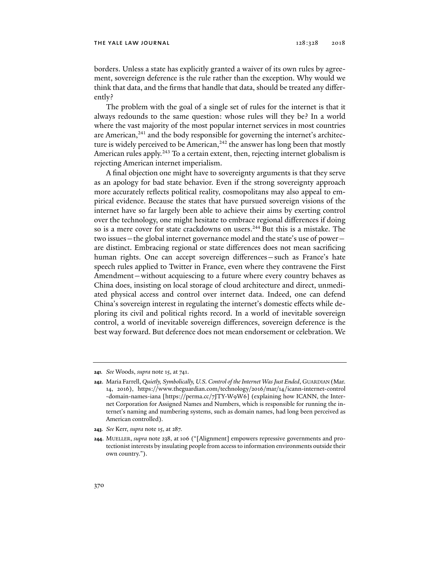borders. Unless a state has explicitly granted a waiver of its own rules by agreement, sovereign deference is the rule rather than the exception. Why would we think that data, and the firms that handle that data, should be treated any differently?

The problem with the goal of a single set of rules for the internet is that it always redounds to the same question: whose rules will they be? In a world where the vast majority of the most popular internet services in most countries are American, $241$  and the body responsible for governing the internet's architecture is widely perceived to be American,<sup>242</sup> the answer has long been that mostly American rules apply.<sup>243</sup> To a certain extent, then, rejecting internet globalism is rejecting American internet imperialism.

A final objection one might have to sovereignty arguments is that they serve as an apology for bad state behavior. Even if the strong sovereignty approach more accurately reflects political reality, cosmopolitans may also appeal to empirical evidence. Because the states that have pursued sovereign visions of the internet have so far largely been able to achieve their aims by exerting control over the technology, one might hesitate to embrace regional differences if doing so is a mere cover for state crackdowns on users.<sup>244</sup> But this is a mistake. The two issues—the global internet governance model and the state's use of power are distinct. Embracing regional or state differences does not mean sacrificing human rights. One can accept sovereign differences—such as France's hate speech rules applied to Twitter in France, even where they contravene the First Amendment—without acquiescing to a future where every country behaves as China does, insisting on local storage of cloud architecture and direct, unmediated physical access and control over internet data. Indeed, one can defend China's sovereign interest in regulating the internet's domestic effects while deploring its civil and political rights record. In a world of inevitable sovereign control, a world of inevitable sovereign differences, sovereign deference is the best way forward. But deference does not mean endorsement or celebration. We

**<sup>241</sup>***. See* Woods, *supra* note 15, at 741.

**<sup>242</sup>**. Maria Farrell, *Quietly, Symbolically, U.S. Control of the Internet Was Just Ended*, GUARDIAN (Mar. 14, 2016), https://www.theguardian.com/technology/2016/mar/14/icann-internet-control -domain-names-iana [https://perma.cc/7JTY-W9W6] (explaining how ICANN, the Internet Corporation for Assigned Names and Numbers, which is responsible for running the internet's naming and numbering systems, such as domain names, had long been perceived as American controlled).

**<sup>243</sup>***. See* Kerr, *supra* note 15, at 287.

**<sup>244</sup>**. MUELLER, *supra* note 238, at 106 ("[Alignment] empowers repressive governments and protectionist interests by insulating people from access to information environments outside their own country.").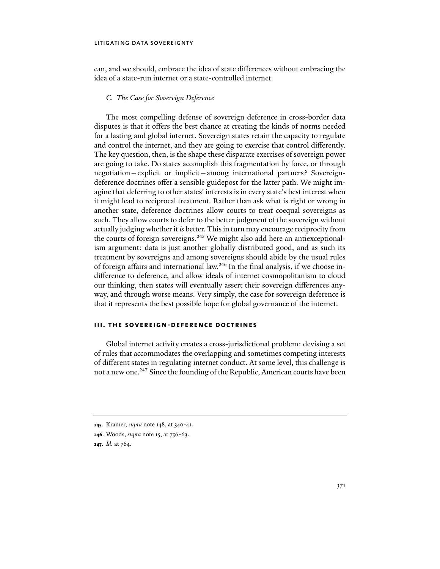can, and we should, embrace the idea of state differences without embracing the idea of a state-run internet or a state-controlled internet.

### *C. The Case for Sovereign Deference*

The most compelling defense of sovereign deference in cross-border data disputes is that it offers the best chance at creating the kinds of norms needed for a lasting and global internet. Sovereign states retain the capacity to regulate and control the internet, and they are going to exercise that control differently. The key question, then, is the shape these disparate exercises of sovereign power are going to take. Do states accomplish this fragmentation by force, or through negotiation—explicit or implicit—among international partners? Sovereigndeference doctrines offer a sensible guidepost for the latter path. We might imagine that deferring to other states' interests is in every state's best interest when it might lead to reciprocal treatment. Rather than ask what is right or wrong in another state, deference doctrines allow courts to treat coequal sovereigns as such. They allow courts to defer to the better judgment of the sovereign without actually judging whether it *is* better. This in turn may encourage reciprocity from the courts of foreign sovereigns.<sup>245</sup> We might also add here an antiexceptionalism argument: data is just another globally distributed good, and as such its treatment by sovereigns and among sovereigns should abide by the usual rules of foreign affairs and international law.246 In the final analysis, if we choose indifference to deference, and allow ideals of internet cosmopolitanism to cloud our thinking, then states will eventually assert their sovereign differences anyway, and through worse means. Very simply, the case for sovereign deference is that it represents the best possible hope for global governance of the internet.

# **iii. the sovereign-deference doctrines**

Global internet activity creates a cross-jurisdictional problem: devising a set of rules that accommodates the overlapping and sometimes competing interests of different states in regulating internet conduct. At some level, this challenge is not a new one.<sup>247</sup> Since the founding of the Republic, American courts have been

**<sup>245</sup>**. Kramer, *supra* note 148, at 340-41.

**<sup>246</sup>**. Woods, *supra* note 15, at 756-63.

**<sup>247</sup>**. *Id.* at 764.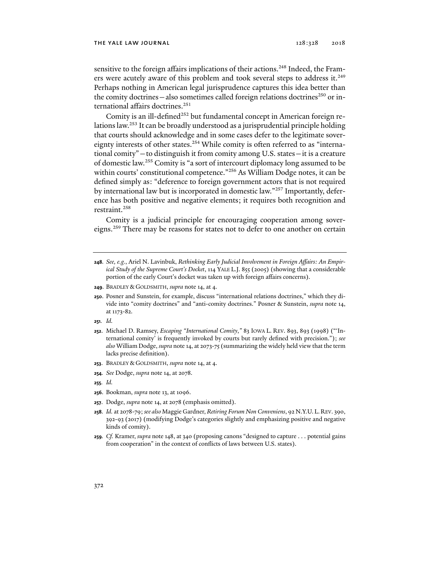#### THE YALE LAW JOURNAL 128:328 2018

sensitive to the foreign affairs implications of their actions.<sup>248</sup> Indeed, the Framers were acutely aware of this problem and took several steps to address it.<sup>249</sup> Perhaps nothing in American legal jurisprudence captures this idea better than the comity doctrines—also sometimes called foreign relations doctrines<sup>250</sup> or international affairs doctrines.<sup>251</sup>

Comity is an ill-defined<sup>252</sup> but fundamental concept in American foreign relations law.253 It can be broadly understood as a jurisprudential principle holding that courts should acknowledge and in some cases defer to the legitimate sovereignty interests of other states.<sup>254</sup> While comity is often referred to as "international comity"—to distinguish it from comity among U.S. states—it is a creature of domestic law.255 Comity is "a sort of intercourt diplomacy long assumed to be within courts' constitutional competence."<sup>256</sup> As William Dodge notes, it can be defined simply as: "deference to foreign government actors that is not required by international law but is incorporated in domestic law."257 Importantly, deference has both positive and negative elements; it requires both recognition and restraint.<sup>258</sup>

Comity is a judicial principle for encouraging cooperation among sovereigns.259 There may be reasons for states not to defer to one another on certain

- **248***. See, e.g.*, Ariel N. Lavinbuk, *Rethinking Early Judicial Involvement in Foreign Affairs: An Empirical Study of the Supreme Court's Docket*, 114 YALE L.J. 855 (2005) (showing that a considerable portion of the early Court's docket was taken up with foreign affairs concerns).
- **249**. BRADLEY & GOLDSMITH, *supra* note 14, at 4.
- **250**. Posner and Sunstein, for example, discuss "international relations doctrines," which they divide into "comity doctrines" and "anti-comity doctrines." Posner & Sunstein, *supra* note 14, at 1173-82.
- **251***. Id.*
- **252**. Michael D. Ramsey, *Escaping "International Comity*,*"* 83 IOWA L. REV. 893, 893 (1998) ("'International comity' is frequently invoked by courts but rarely defined with precision."); *see also* William Dodge, *supra* note 14, at 2073-75 (summarizing the widely held view that the term lacks precise definition).
- **253**. BRADLEY & GOLDSMITH, *supra* note 14, at 4.
- **254***. See* Dodge, *supra* note 14, at 2078.
- **255***. Id.*
- **256**. Bookman, *supra* note 13, at 1096.
- **257**. Dodge, *supra* note 14, at 2078 (emphasis omitted).
- **258***. Id.* at 2078-79; *see also* Maggie Gardner, *Retiring Forum Non Conveniens*, 92 N.Y.U. L. REV. 390, 392-93 (2017) (modifying Dodge's categories slightly and emphasizing positive and negative kinds of comity).
- **259***. Cf.* Kramer, *supra* note 148, at 340 (proposing canons "designed to capture . . . potential gains from cooperation" in the context of conflicts of laws between U.S. states).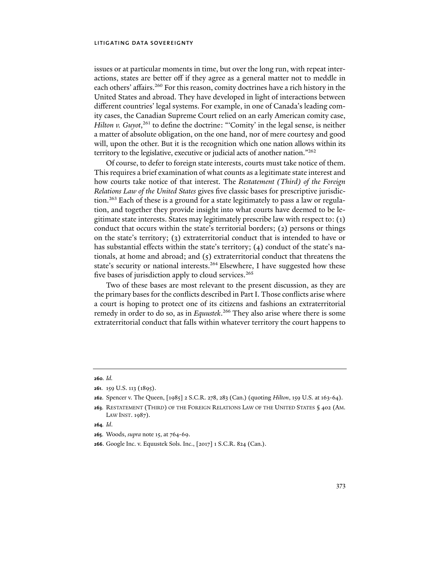issues or at particular moments in time, but over the long run, with repeat interactions, states are better off if they agree as a general matter not to meddle in each others' affairs.260 For this reason, comity doctrines have a rich history in the United States and abroad. They have developed in light of interactions between different countries' legal systems. For example, in one of Canada's leading comity cases, the Canadian Supreme Court relied on an early American comity case, *Hilton v. Guyot*,<sup>261</sup> to define the doctrine: "'Comity' in the legal sense, is neither a matter of absolute obligation, on the one hand, nor of mere courtesy and good will, upon the other. But it is the recognition which one nation allows within its territory to the legislative, executive or judicial acts of another nation."262

Of course, to defer to foreign state interests, courts must take notice of them. This requires a brief examination of what counts as a legitimate state interest and how courts take notice of that interest. The *Restatement (Third) of the Foreign Relations Law of the United States* gives five classic bases for prescriptive jurisdiction.263 Each of these is a ground for a state legitimately to pass a law or regulation, and together they provide insight into what courts have deemed to be legitimate state interests. States may legitimately prescribe law with respect to: (1) conduct that occurs within the state's territorial borders; (2) persons or things on the state's territory; (3) extraterritorial conduct that is intended to have or has substantial effects within the state's territory; (4) conduct of the state's nationals, at home and abroad; and (5) extraterritorial conduct that threatens the state's security or national interests.<sup>264</sup> Elsewhere, I have suggested how these five bases of jurisdiction apply to cloud services.<sup>265</sup>

Two of these bases are most relevant to the present discussion, as they are the primary bases for the conflicts described in Part I. Those conflicts arise where a court is hoping to protect one of its citizens and fashions an extraterritorial remedy in order to do so, as in *Equustek*. 266 They also arise where there is some extraterritorial conduct that falls within whatever territory the court happens to

**<sup>260</sup>***. Id.* 

**<sup>261</sup>**. 159 U.S. 113 (1895).

**<sup>262</sup>**. Spencer v. The Queen, [1985] 2 S.C.R. 278, 283 (Can.) (quoting *Hilton*, 159 U.S. at 163-64).

**<sup>263</sup>**. RESTATEMENT (THIRD) OF THE FOREIGN RELATIONS LAW OF THE UNITED STATES § 402 (AM. LAW INST. 1987).

**<sup>264</sup>***. Id*.

**<sup>265</sup>**. Woods, *supra* note 15, at 764-69.

**<sup>266</sup>**. Google Inc. v. Equustek Sols. Inc., [2017] 1 S.C.R. 824 (Can.).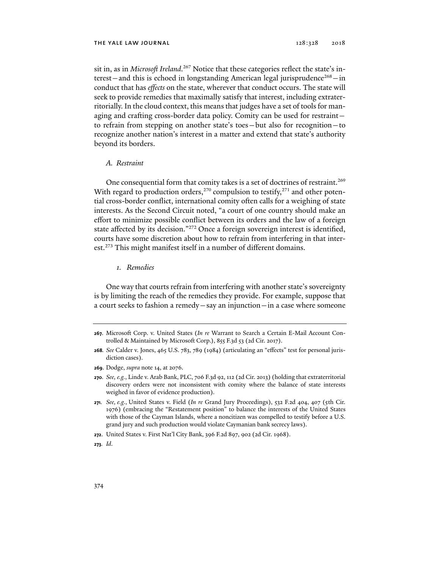sit in, as in *Microsoft Ireland*. 267 Notice that these categories reflect the state's interest—and this is echoed in longstanding American legal jurisprudence<sup>268</sup>—in conduct that has *effects* on the state, wherever that conduct occurs. The state will seek to provide remedies that maximally satisfy that interest, including extraterritorially. In the cloud context, this means that judges have a set of tools for managing and crafting cross-border data policy. Comity can be used for restraint to refrain from stepping on another state's toes—but also for recognition—to recognize another nation's interest in a matter and extend that state's authority beyond its borders.

### *A. Restraint*

One consequential form that comity takes is a set of doctrines of restraint.<sup>269</sup> With regard to production orders,<sup>270</sup> compulsion to testify,<sup>271</sup> and other potential cross-border conflict, international comity often calls for a weighing of state interests. As the Second Circuit noted, "a court of one country should make an effort to minimize possible conflict between its orders and the law of a foreign state affected by its decision."272 Once a foreign sovereign interest is identified, courts have some discretion about how to refrain from interfering in that interest.<sup>273</sup> This might manifest itself in a number of different domains.

# *1. Remedies*

One way that courts refrain from interfering with another state's sovereignty is by limiting the reach of the remedies they provide. For example, suppose that a court seeks to fashion a remedy—say an injunction—in a case where someone

- **269**. Dodge, *supra* note 14, at 2076.
- **270***. See, e.g.*, Linde v. Arab Bank, PLC, 706 F.3d 92, 112 (2d Cir. 2013) (holding that extraterritorial discovery orders were not inconsistent with comity where the balance of state interests weighed in favor of evidence production).
- **271***. See, e.g.*, United States v. Field (*In re* Grand Jury Proceedings), 532 F.2d 404, 407 (5th Cir. 1976) (embracing the "Restatement position" to balance the interests of the United States with those of the Cayman Islands, where a noncitizen was compelled to testify before a U.S. grand jury and such production would violate Caymanian bank secrecy laws).

**273***. Id*.

**<sup>267</sup>**. Microsoft Corp. v. United States (*In re* Warrant to Search a Certain E-Mail Account Controlled & Maintained by Microsoft Corp.), 855 F.3d 53 (2d Cir. 2017).

**<sup>268</sup>***. See* Calder v. Jones, 465 U.S. 783, 789 (1984) (articulating an "effects" test for personal jurisdiction cases).

**<sup>272</sup>**. United States v. First Nat'l City Bank, 396 F.2d 897, 902 (2d Cir. 1968).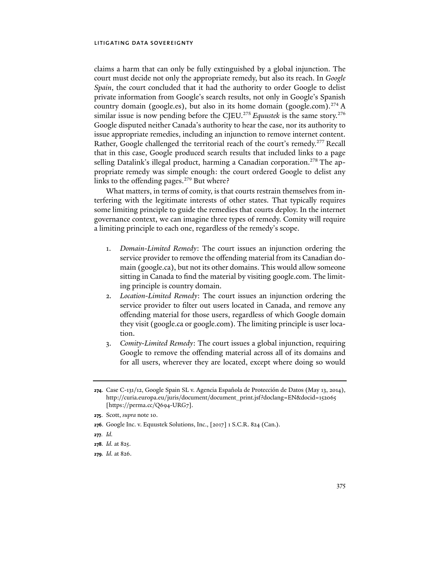claims a harm that can only be fully extinguished by a global injunction. The court must decide not only the appropriate remedy, but also its reach. In *Google Spain*, the court concluded that it had the authority to order Google to delist private information from Google's search results, not only in Google's Spanish country domain (google.es), but also in its home domain (google.com).<sup>274</sup> A similar issue is now pending before the CJEU.<sup>275</sup> *Equustek* is the same story.<sup>276</sup> Google disputed neither Canada's authority to hear the case, nor its authority to issue appropriate remedies, including an injunction to remove internet content. Rather, Google challenged the territorial reach of the court's remedy.277 Recall that in this case, Google produced search results that included links to a page selling Datalink's illegal product, harming a Canadian corporation.<sup>278</sup> The appropriate remedy was simple enough: the court ordered Google to delist any links to the offending pages.<sup>279</sup> But where?

What matters, in terms of comity, is that courts restrain themselves from interfering with the legitimate interests of other states. That typically requires some limiting principle to guide the remedies that courts deploy. In the internet governance context, we can imagine three types of remedy. Comity will require a limiting principle to each one, regardless of the remedy's scope.

- 1. *Domain-Limited Remedy*: The court issues an injunction ordering the service provider to remove the offending material from its Canadian domain (google.ca), but not its other domains. This would allow someone sitting in Canada to find the material by visiting google.com. The limiting principle is country domain.
- 2. *Location-Limited Remedy*: The court issues an injunction ordering the service provider to filter out users located in Canada, and remove any offending material for those users, regardless of which Google domain they visit (google.ca or google.com). The limiting principle is user location.
- 3. *Comity-Limited Remedy*: The court issues a global injunction, requiring Google to remove the offending material across all of its domains and for all users, wherever they are located, except where doing so would

**<sup>274</sup>**. Case C-131/12, Google Spain SL v. Agencia Española de Protección de Datos (May 13, 2014), http://curia.europa.eu/juris/document/document\_print.jsf?doclang=EN&docid=152065 [https://perma.cc/Q694-URG7].

**<sup>275</sup>**. Scott, *supra* note 10.

**<sup>276</sup>**. Google Inc. v. Equustek Solutions, Inc., [2017] 1 S.C.R. 824 (Can.).

**<sup>277</sup>***. Id.*

**<sup>278</sup>***. Id.* at 825.

**<sup>279</sup>***. Id.* at 826.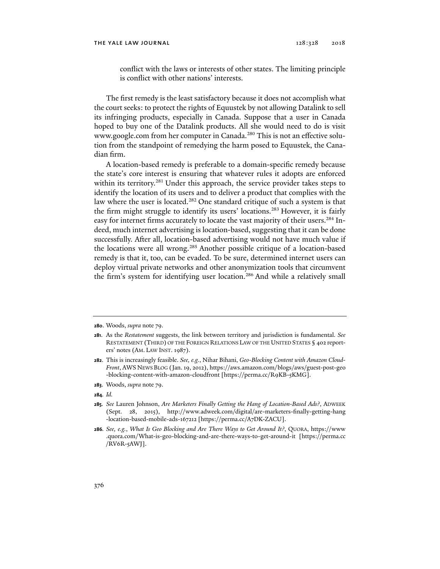conflict with the laws or interests of other states. The limiting principle is conflict with other nations' interests.

The first remedy is the least satisfactory because it does not accomplish what the court seeks: to protect the rights of Equustek by not allowing Datalink to sell its infringing products, especially in Canada. Suppose that a user in Canada hoped to buy one of the Datalink products. All she would need to do is visit www.google.com from her computer in Canada.<sup>280</sup> This is not an effective solution from the standpoint of remedying the harm posed to Equustek, the Canadian firm.

A location-based remedy is preferable to a domain-specific remedy because the state's core interest is ensuring that whatever rules it adopts are enforced within its territory.<sup>281</sup> Under this approach, the service provider takes steps to identify the location of its users and to deliver a product that complies with the law where the user is located.<sup>282</sup> One standard critique of such a system is that the firm might struggle to identify its users' locations.<sup>283</sup> However, it is fairly easy for internet firms accurately to locate the vast majority of their users.<sup>284</sup> Indeed, much internet advertising is location-based, suggesting that it can be done successfully. After all, location-based advertising would not have much value if the locations were all wrong.<sup>285</sup> Another possible critique of a location-based remedy is that it, too, can be evaded. To be sure, determined internet users can deploy virtual private networks and other anonymization tools that circumvent the firm's system for identifying user location.<sup>286</sup> And while a relatively small

**<sup>280</sup>**. Woods, *supra* note 79.

**<sup>281</sup>**. As the *Restatement* suggests, the link between territory and jurisdiction is fundamental. *See*  RESTATEMENT (THIRD) OF THE FOREIGN RELATIONS LAW OF THE UNITED STATES § 402 reporters' notes (AM. LAW INST. 1987).

**<sup>282</sup>**. This is increasingly feasible. *See, e.g.*, Nihar Bihani, *Geo-Blocking Content with Amazon Cloud-Front*, AWS NEWS BLOG (Jan. 19, 2012), https://aws.amazon.com/blogs/aws/guest-post-geo -blocking-content-with-amazon-cloudfront [https://perma.cc/R9KB-5KMG].

**<sup>283</sup>**. Woods, *supra* note 79.

**<sup>284</sup>***. Id.*

**<sup>285</sup>***. See* Lauren Johnson, *Are Marketers Finally Getting the Hang of Location-Based Ads?*, ADWEEK (Sept. 28, 2015), http://www.adweek.com/digital/are-marketers-finally-getting-hang -location-based-mobile-ads-167212 [https://perma.cc/A7DK-ZACU].

**<sup>286</sup>***. See, e.g.*, *What Is Geo Blocking and Are There Ways to Get Around It?*, QUORA, https://www .quora.com/What-is-geo-blocking-and-are-there-ways-to-get-around-it [https://perma.cc /RV6R-5AWJ].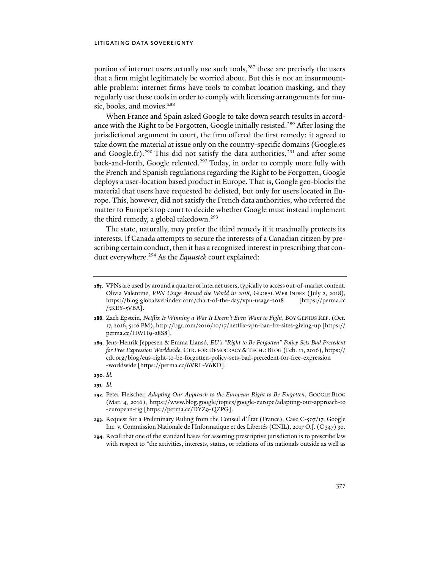portion of internet users actually use such tools,<sup>287</sup> these are precisely the users that a firm might legitimately be worried about. But this is not an insurmountable problem: internet firms have tools to combat location masking, and they regularly use these tools in order to comply with licensing arrangements for music, books, and movies.<sup>288</sup>

When France and Spain asked Google to take down search results in accordance with the Right to be Forgotten, Google initially resisted.<sup>289</sup> After losing the jurisdictional argument in court, the firm offered the first remedy: it agreed to take down the material at issue only on the country-specific domains (Google.es and Google.fr).<sup>290</sup> This did not satisfy the data authorities,<sup>291</sup> and after some back-and-forth, Google relented.<sup>292</sup> Today, in order to comply more fully with the French and Spanish regulations regarding the Right to be Forgotten, Google deploys a user-location based product in Europe. That is, Google geo-blocks the material that users have requested be delisted, but only for users located in Europe. This, however, did not satisfy the French data authorities, who referred the matter to Europe's top court to decide whether Google must instead implement the third remedy, a global takedown.<sup>293</sup>

The state, naturally, may prefer the third remedy if it maximally protects its interests. If Canada attempts to secure the interests of a Canadian citizen by prescribing certain conduct, then it has a recognized interest in prescribing that conduct everywhere.294 As the *Equustek* court explained:

**290***. Id.*

**<sup>287</sup>**. VPNs are used by around a quarter of internet users, typically to access out-of-market content. Olivia Valentine, *VPN Usage Around the World in 2018*, GLOBAL WEB INDEX (July 2, 2018), https://blog.globalwebindex.com/chart-of-the-day/vpn-usage-2018 [https://perma.cc  $/3$ KEY- $5$ VBA].

**<sup>288</sup>**. Zach Epstein, *Netflix Is Winning a War It Doesn't Even Want to Fight*, BOY GENIUS REP. (Oct. 17, 2016, 5:16 PM), http://bgr.com/2016/10/17/netflix-vpn-ban-fix-sites-giving-up [https:// perma.cc/HWH9-28S8].

**<sup>289</sup>**. Jens-Henrik Jeppesen & Emma Llansó, *EU's "Right to Be Forgotten" Policy Sets Bad Precedent for Free Expression Worldwide*, CTR. FOR DEMOCRACY & TECH.: BLOG (Feb. 11, 2016), https:// cdt.org/blog/eus-right-to-be-forgotten-policy-sets-bad-precedent-for-free-expression -worldwide [https://perma.cc/6VRL-V6KD].

**<sup>291</sup>***. Id.*

**<sup>292</sup>**. Peter Fleischer, *Adapting Our Approach to the European Right to Be Forgotten*, GOOGLE BLOG (Mar. 4, 2016), https://www.blog.google/topics/google-europe/adapting-our-approach-to -european-rig [https://perma.cc/DYZ9-QZPG].

**<sup>293</sup>***.* Request for a Preliminary Ruling from the Conseil d'État (France), Case C-507/17, Google Inc. v. Commission Nationale de l'Informatique et des Libertés (CNIL), 2017 O.J. (C 347) 30.

**<sup>294</sup>**. Recall that one of the standard bases for asserting prescriptive jurisdiction is to prescribe law with respect to "the activities, interests, status, or relations of its nationals outside as well as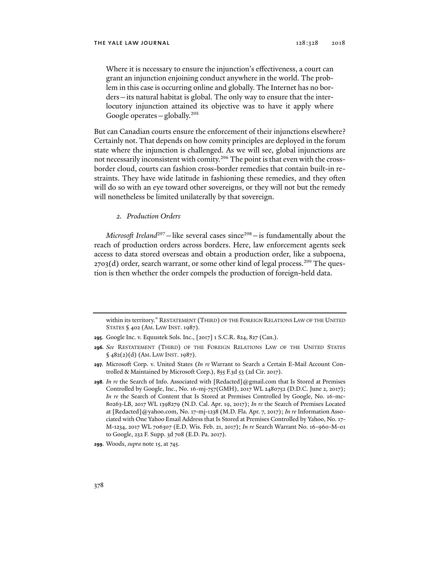Where it is necessary to ensure the injunction's effectiveness, a court can grant an injunction enjoining conduct anywhere in the world. The problem in this case is occurring online and globally. The Internet has no borders—its natural habitat is global. The only way to ensure that the interlocutory injunction attained its objective was to have it apply where Google operates  $-\frac{1}{2}$ globally.<sup>295</sup>

But can Canadian courts ensure the enforcement of their injunctions elsewhere? Certainly not. That depends on how comity principles are deployed in the forum state where the injunction is challenged. As we will see, global injunctions are not necessarily inconsistent with comity.296 The point is that even with the crossborder cloud, courts can fashion cross-border remedies that contain built-in restraints. They have wide latitude in fashioning these remedies, and they often will do so with an eye toward other sovereigns, or they will not but the remedy will nonetheless be limited unilaterally by that sovereign.

## *2. Production Orders*

*Microsoft Ireland*<sup>297</sup>—like several cases since<sup>298</sup>—is fundamentally about the reach of production orders across borders. Here, law enforcement agents seek access to data stored overseas and obtain a production order, like a subpoena,  $2703(d)$  order, search warrant, or some other kind of legal process.<sup>299</sup> The question is then whether the order compels the production of foreign-held data.

within its territory." RESTATEMENT (THIRD) OF THE FOREIGN RELATIONS LAW OF THE UNITED STATES § 402 (AM. LAW INST. 1987).

**<sup>295</sup>**. Google Inc. v. Equustek Sols. Inc., [2017] 1 S.C.R. 824, 827 (Can.).

**<sup>296</sup>***. See* RESTATEMENT (THIRD) OF THE FOREIGN RELATIONS LAW OF THE UNITED STATES § 482(2)(d) (AM. LAW INST. 1987).

**<sup>297</sup>**. Microsoft Corp. v. United States (*In re* Warrant to Search a Certain E-Mail Account Controlled & Maintained by Microsoft Corp.), 855 F.3d 53 (2d Cir. 2017).

**<sup>298</sup>***. In re* the Search of Info. Associated with [Redacted]@gmail.com that Is Stored at Premises Controlled by Google, Inc., No. 16-mj-757(GMH), 2017 WL 2480752 (D.D.C. June 2, 2017); *In re* the Search of Content that Is Stored at Premises Controlled by Google, No. 16-mc-80263-LB, 2017 WL 1398279 (N.D. Cal. Apr. 19, 2017); *In re* the Search of Premises Located at [Redacted]@yahoo.com, No. 17-mj-1238 (M.D. Fla. Apr. 7, 2017); *In re* Information Associated with One Yahoo Email Address that Is Stored at Premises Controlled by Yahoo, No. 17- M-1234, 2017 WL 706307 (E.D. Wis. Feb. 21, 2017); *In re* Search Warrant No. 16-960-M-01 to Google, 232 F. Supp. 3d 708 (E.D. Pa. 2017).

**<sup>299</sup>**. Woods, *supra* note 15, at 745.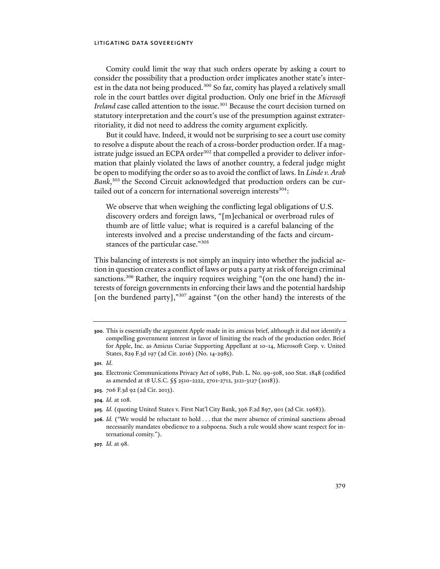Comity could limit the way that such orders operate by asking a court to consider the possibility that a production order implicates another state's interest in the data not being produced.<sup>300</sup> So far, comity has played a relatively small role in the court battles over digital production. Only one brief in the *Microsoft Ireland* case called attention to the issue.<sup>301</sup> Because the court decision turned on statutory interpretation and the court's use of the presumption against extraterritoriality, it did not need to address the comity argument explicitly.

But it could have. Indeed, it would not be surprising to see a court use comity to resolve a dispute about the reach of a cross-border production order. If a magistrate judge issued an ECPA order<sup>302</sup> that compelled a provider to deliver information that plainly violated the laws of another country, a federal judge might be open to modifying the order so as to avoid the conflict of laws. In *Linde v. Arab*  Bank,<sup>303</sup> the Second Circuit acknowledged that production orders can be curtailed out of a concern for international sovereign interests<sup>304</sup>:

We observe that when weighing the conflicting legal obligations of U.S. discovery orders and foreign laws, "[m]echanical or overbroad rules of thumb are of little value; what is required is a careful balancing of the interests involved and a precise understanding of the facts and circumstances of the particular case."305

This balancing of interests is not simply an inquiry into whether the judicial action in question creates a conflict of laws or puts a party at risk of foreign criminal sanctions.306 Rather, the inquiry requires weighing "(on the one hand) the interests of foreign governments in enforcing their laws and the potential hardship [on the burdened party],"<sup>307</sup> against "(on the other hand) the interests of the

**<sup>300</sup>**. This is essentially the argument Apple made in its amicus brief, although it did not identify a compelling government interest in favor of limiting the reach of the production order. Brief for Apple, Inc. as Amicus Curiae Supporting Appellant at 10-14, Microsoft Corp. v. United States, 829 F.3d 197 (2d Cir. 2016) (No. 14-2985).

**<sup>301</sup>***. Id*.

**<sup>302</sup>**. Electronic Communications Privacy Act of 1986, Pub. L. No. 99-508, 100 Stat. 1848 (codified as amended at 18 U.S.C. §§ 2510-2222, 2701-2712, 3121-3127 (2018)).

**<sup>303</sup>**. 706 F.3d 92 (2d Cir. 2013).

**<sup>304</sup>***. Id.* at 108.

**<sup>305</sup>***. Id.* (quoting United States v. First Nat'l City Bank, 396 F.2d 897, 901 (2d Cir. 1968)).

**<sup>306</sup>***. Id.* ("We would be reluctant to hold . . . that the mere absence of criminal sanctions abroad necessarily mandates obedience to a subpoena. Such a rule would show scant respect for international comity.").

**<sup>307</sup>***. Id.* at 98.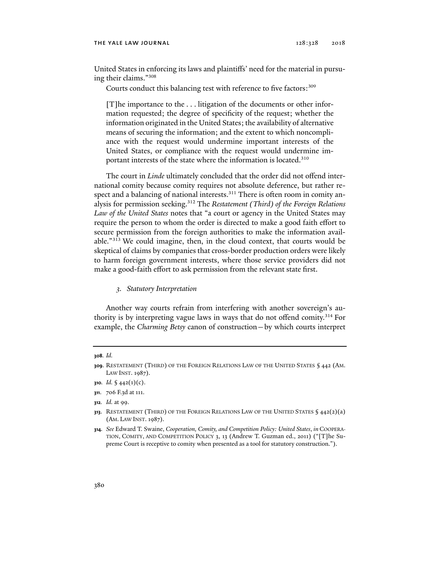#### THE YALE LAW JOURNAL 128:328 2018

United States in enforcing its laws and plaintiffs' need for the material in pursuing their claims."308

Courts conduct this balancing test with reference to five factors: 309

[T]he importance to the . . . litigation of the documents or other information requested; the degree of specificity of the request; whether the information originated in the United States; the availability of alternative means of securing the information; and the extent to which noncompliance with the request would undermine important interests of the United States, or compliance with the request would undermine important interests of the state where the information is located.<sup>310</sup>

The court in *Linde* ultimately concluded that the order did not offend international comity because comity requires not absolute deference, but rather respect and a balancing of national interests.<sup>311</sup> There is often room in comity analysis for permission seeking.312 The *Restatement (Third) of the Foreign Relations Law of the United States* notes that "a court or agency in the United States may require the person to whom the order is directed to make a good faith effort to secure permission from the foreign authorities to make the information available."313 We could imagine, then, in the cloud context, that courts would be skeptical of claims by companies that cross-border production orders were likely to harm foreign government interests, where those service providers did not make a good-faith effort to ask permission from the relevant state first.

### *3. Statutory Interpretation*

Another way courts refrain from interfering with another sovereign's authority is by interpreting vague laws in ways that do not offend comity.<sup>314</sup> For example, the *Charming Betsy* canon of construction—by which courts interpret

**312***. Id.* at 99.

**<sup>308</sup>***. Id.*

**<sup>309</sup>**. RESTATEMENT (THIRD) OF THE FOREIGN RELATIONS LAW OF THE UNITED STATES § 442 (AM. LAW INST. 1987).

**<sup>310</sup>***. Id.* § 442(1)(c).

**<sup>311</sup>**. 706 F.3d at 111.

**<sup>313.</sup>** RESTATEMENT (THIRD) OF THE FOREIGN RELATIONS LAW OF THE UNITED STATES § 442(2)(a) (AM. LAW INST. 1987).

**<sup>314</sup>***. See* Edward T. Swaine, *Cooperation, Comity, and Competition Policy: United States*, *in* COOPERA-TION, COMITY, AND COMPETITION POLICY 3, 13 (Andrew T. Guzman ed., 2011) ("[T]he Supreme Court is receptive to comity when presented as a tool for statutory construction.").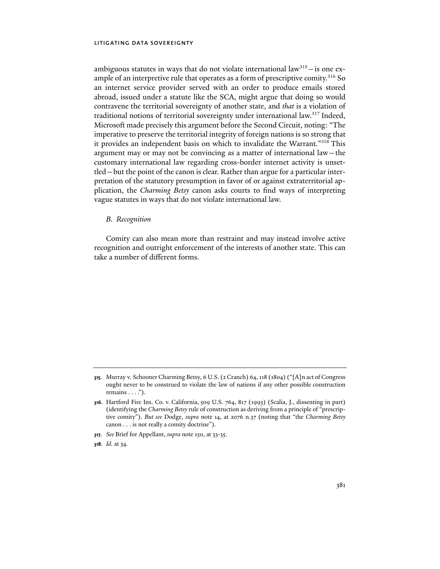ambiguous statutes in ways that do not violate international  $law<sup>315</sup> - is$  one example of an interpretive rule that operates as a form of prescriptive comity.<sup>316</sup> So an internet service provider served with an order to produce emails stored abroad, issued under a statute like the SCA, might argue that doing so would contravene the territorial sovereignty of another state, and *that* is a violation of traditional notions of territorial sovereignty under international law.<sup>317</sup> Indeed, Microsoft made precisely this argument before the Second Circuit, noting: "The imperative to preserve the territorial integrity of foreign nations is so strong that it provides an independent basis on which to invalidate the Warrant."318 This argument may or may not be convincing as a matter of international law—the customary international law regarding cross-border internet activity is unsettled—but the point of the canon is clear. Rather than argue for a particular interpretation of the statutory presumption in favor of or against extraterritorial application, the *Charming Betsy* canon asks courts to find ways of interpreting vague statutes in ways that do not violate international law.

### *B. Recognition*

Comity can also mean more than restraint and may instead involve active recognition and outright enforcement of the interests of another state. This can take a number of different forms.

- **317***. See* Brief for Appellant, *supra* note 150, at 33-35.
- **318***. Id.* at 34*.*

**<sup>315</sup>**. Murray v. Schooner Charming Betsy, 6 U.S. (2 Cranch) 64, 118 (1804) ("[A]n act of Congress ought never to be construed to violate the law of nations if any other possible construction remains  $\dots$ ").

**<sup>316</sup>**. Hartford Fire Ins. Co. v. California, 509 U.S. 764, 817 (1993) (Scalia, J., dissenting in part) (identifying the *Charming Betsy* rule of construction as deriving from a principle of "prescriptive comity"). *But see* Dodge, *supra* note 14, at 2076 n.37 (noting that "the *Charming Betsy* canon . . . is not really a comity doctrine").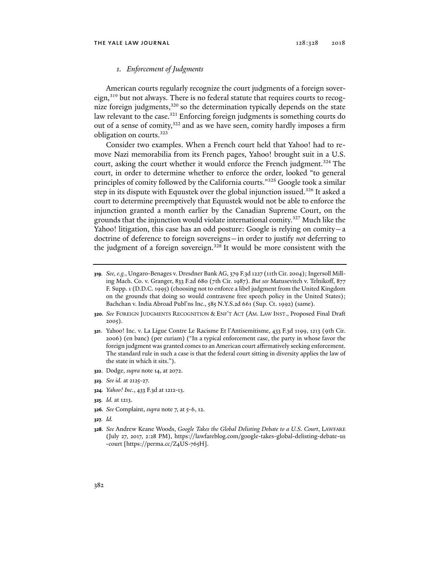### *1. Enforcement of Judgments*

American courts regularly recognize the court judgments of a foreign sovereign, $319$  but not always. There is no federal statute that requires courts to recognize foreign judgments,<sup>320</sup> so the determination typically depends on the state law relevant to the case.<sup>321</sup> Enforcing foreign judgments is something courts do out of a sense of comity,<sup>322</sup> and as we have seen, comity hardly imposes a firm obligation on courts.323

Consider two examples. When a French court held that Yahoo! had to remove Nazi memorabilia from its French pages, Yahoo! brought suit in a U.S. court, asking the court whether it would enforce the French judgment.<sup>324</sup> The court, in order to determine whether to enforce the order, looked "to general principles of comity followed by the California courts."325 Google took a similar step in its dispute with Equustek over the global injunction issued.<sup>326</sup> It asked a court to determine preemptively that Equustek would not be able to enforce the injunction granted a month earlier by the Canadian Supreme Court, on the grounds that the injunction would violate international comity.327 Much like the Yahoo! litigation, this case has an odd posture: Google is relying on comity—a doctrine of deference to foreign sovereigns—in order to justify *not* deferring to the judgment of a foreign sovereign.<sup>328</sup> It would be more consistent with the

- **320***. See* FOREIGN JUDGMENTS RECOGNITION & ENF'T ACT (AM. LAW INST., Proposed Final Draft 2005).
- **321**. Yahoo! Inc. v. La Ligue Contre Le Racisme Et l'Antisemitisme, 433 F.3d 1199, 1213 (9th Cir. 2006) (en banc) (per curiam) ("In a typical enforcement case, the party in whose favor the foreign judgment was granted comes to an American court affirmatively seeking enforcement. The standard rule in such a case is that the federal court sitting in diversity applies the law of the state in which it sits.").
- **322**. Dodge, *supra* note 14, at 2072.
- **323***. See id.* at 2125-27.
- **324***. Yahoo! Inc.*, 433 F.3d at 1212-13.
- **325***. Id.* at 1213.
- **326***. See* Complaint, *supra* note 7, at 5-6, 12.
- **327***. Id.*
- **328***. See* Andrew Keane Woods, *Google Takes the Global Delisting Debate to a U.S. Court*, LAWFARE (July 27, 2017, 2:28 PM), https://lawfareblog.com/google-takes-global-delisting-debate-us -court [https://perma.cc/Z4US-765H].

**<sup>319</sup>***. See, e.g.*, Ungaro-Benages v. Dresdner Bank AG, 379 F.3d 1227 (11th Cir. 2004); Ingersoll Milling Mach. Co. v. Granger, 833 F.2d 680 (7th Cir. 1987). *But see* Matusevitch v. Telnikoff, 877 F. Supp. 1 (D.D.C. 1995) (choosing not to enforce a libel judgment from the United Kingdom on the grounds that doing so would contravene free speech policy in the United States); Bachchan v. India Abroad Publ'ns Inc., 585 N.Y.S.2d 661 (Sup. Ct. 1992) (same).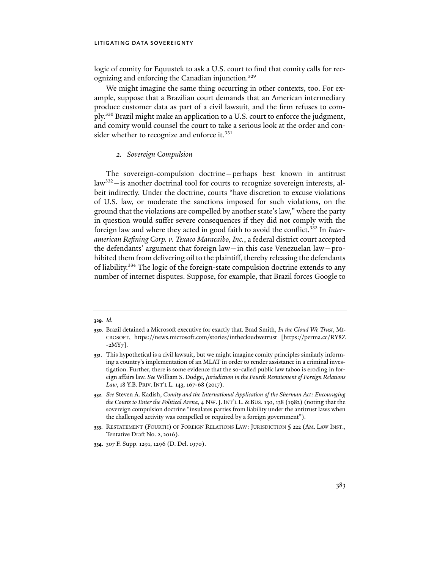logic of comity for Equustek to ask a U.S. court to find that comity calls for recognizing and enforcing the Canadian injunction.<sup>329</sup>

We might imagine the same thing occurring in other contexts, too. For example, suppose that a Brazilian court demands that an American intermediary produce customer data as part of a civil lawsuit, and the firm refuses to comply.330 Brazil might make an application to a U.S. court to enforce the judgment, and comity would counsel the court to take a serious look at the order and consider whether to recognize and enforce it.<sup>331</sup>

## *2. Sovereign Compulsion*

The sovereign-compulsion doctrine—perhaps best known in antitrust law<sup>332</sup>-is another doctrinal tool for courts to recognize sovereign interests, albeit indirectly. Under the doctrine, courts "have discretion to excuse violations of U.S. law, or moderate the sanctions imposed for such violations, on the ground that the violations are compelled by another state's law," where the party in question would suffer severe consequences if they did not comply with the foreign law and where they acted in good faith to avoid the conflict.333 In *Interamerican Refining Corp. v. Texaco Maracaibo, Inc.*, a federal district court accepted the defendants' argument that foreign law—in this case Venezuelan law—prohibited them from delivering oil to the plaintiff, thereby releasing the defendants of liability.334 The logic of the foreign-state compulsion doctrine extends to any number of internet disputes. Suppose, for example, that Brazil forces Google to

**<sup>329</sup>***. Id.*

**<sup>330</sup>**. Brazil detained a Microsoft executive for exactly that. Brad Smith, *In the Cloud We Trust*, MI-CROSOFT, https://news.microsoft.com/stories/inthecloudwetrust [https://perma.cc/RY8Z -2MY7].

**<sup>331</sup>**. This hypothetical is a civil lawsuit, but we might imagine comity principles similarly informing a country's implementation of an MLAT in order to render assistance in a criminal investigation. Further, there is some evidence that the so-called public law taboo is eroding in foreign affairs law. *See* William S. Dodge, *Jurisdiction in the Fourth Restatement of Foreign Relations Law*, 18 Y.B. PRIV. INT'L L. 143, 167-68 (2017).

**<sup>332</sup>***. See* Steven A. Kadish, *Comity and the International Application of the Sherman Act: Encouraging the Courts to Enter the Political Arena*, 4 NW. J. INT'L L. & BUS. 130, 138 (1982) (noting that the sovereign compulsion doctrine "insulates parties from liability under the antitrust laws when the challenged activity was compelled or required by a foreign government").

**<sup>333</sup>**. RESTATEMENT (FOURTH) OF FOREIGN RELATIONS LAW: JURISDICTION § 222 (AM. LAW INST., Tentative Draft No. 2, 2016).

**<sup>334</sup>**. 307 F. Supp. 1291, 1296 (D. Del. 1970).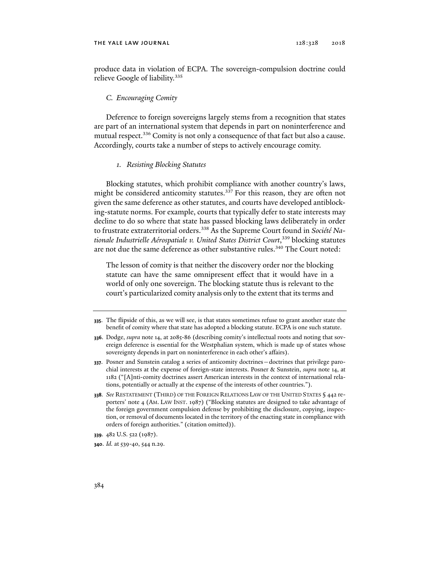produce data in violation of ECPA. The sovereign-compulsion doctrine could relieve Google of liability.<sup>335</sup>

### *C. Encouraging Comity*

Deference to foreign sovereigns largely stems from a recognition that states are part of an international system that depends in part on noninterference and mutual respect.<sup>336</sup> Comity is not only a consequence of that fact but also a cause. Accordingly, courts take a number of steps to actively encourage comity.

### *1. Resisting Blocking Statutes*

Blocking statutes, which prohibit compliance with another country's laws, might be considered anticomity statutes.<sup>337</sup> For this reason, they are often not given the same deference as other statutes, and courts have developed antiblocking-statute norms. For example, courts that typically defer to state interests may decline to do so where that state has passed blocking laws deliberately in order to frustrate extraterritorial orders.338 As the Supreme Court found in *Société Nationale Industrielle Aérospatiale v. United States District Court*, 339 blocking statutes are not due the same deference as other substantive rules.<sup>340</sup> The Court noted:

The lesson of comity is that neither the discovery order nor the blocking statute can have the same omnipresent effect that it would have in a world of only one sovereign. The blocking statute thus is relevant to the court's particularized comity analysis only to the extent that its terms and

**<sup>335</sup>**. The flipside of this, as we will see, is that states sometimes refuse to grant another state the benefit of comity where that state has adopted a blocking statute. ECPA is one such statute.

**<sup>336</sup>**. Dodge, *supra* note 14, at 2085-86 (describing comity's intellectual roots and noting that sovereign deference is essential for the Westphalian system, which is made up of states whose sovereignty depends in part on noninterference in each other's affairs).

**<sup>337</sup>**. Posner and Sunstein catalog a series of anticomity doctrines—doctrines that privilege parochial interests at the expense of foreign-state interests. Posner & Sunstein, *supra* note 14, at 1182 ("[A]nti-comity doctrines assert American interests in the context of international relations, potentially or actually at the expense of the interests of other countries.").

**<sup>338</sup>***. See* RESTATEMENT (THIRD) OF THE FOREIGN RELATIONS LAW OF THE UNITED STATES § 442 reporters' note 4 (AM. LAW INST. 1987) ("Blocking statutes are designed to take advantage of the foreign government compulsion defense by prohibiting the disclosure, copying, inspection, or removal of documents located in the territory of the enacting state in compliance with orders of foreign authorities." (citation omitted)).

**<sup>339</sup>**. 482 U.S. 522 (1987).

**<sup>340</sup>**. *Id.* at 539-40, 544 n.29.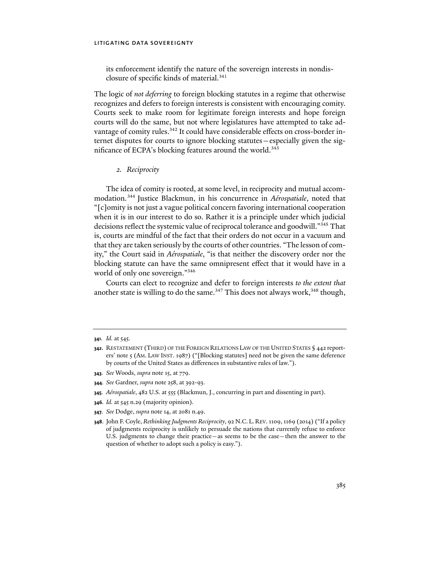its enforcement identify the nature of the sovereign interests in nondisclosure of specific kinds of material.<sup>341</sup>

The logic of *not deferring* to foreign blocking statutes in a regime that otherwise recognizes and defers to foreign interests is consistent with encouraging comity. Courts seek to make room for legitimate foreign interests and hope foreign courts will do the same, but not where legislatures have attempted to take advantage of comity rules.<sup>342</sup> It could have considerable effects on cross-border internet disputes for courts to ignore blocking statutes—especially given the significance of ECPA's blocking features around the world.<sup>343</sup>

# *2. Reciprocity*

The idea of comity is rooted, at some level, in reciprocity and mutual accommodation.344 Justice Blackmun, in his concurrence in *Aérospatiale*, noted that "[c]omity is not just a vague political concern favoring international cooperation when it is in our interest to do so. Rather it is a principle under which judicial decisions reflect the systemic value of reciprocal tolerance and goodwill."345 That is, courts are mindful of the fact that their orders do not occur in a vacuum and that they are taken seriously by the courts of other countries. "The lesson of comity," the Court said in *Aérospatiale*, "is that neither the discovery order nor the blocking statute can have the same omnipresent effect that it would have in a world of only one sovereign."346

Courts can elect to recognize and defer to foreign interests *to the extent that*  another state is willing to do the same.<sup>347</sup> This does not always work,<sup>348</sup> though,

- **343***. See* Woods, *supra* note 15, at 779.
- **344***. See* Gardner, *supra* note 258, at 392-93.
- **345***. Aérospatiale*, 482 U.S. at 555 (Blackmun, J., concurring in part and dissenting in part).
- **346***. Id.* at 545 n.29 (majority opinion).
- **347***. See* Dodge, *supra* note 14, at 2081 n.49.
- **348**. John F. Coyle, *Rethinking Judgments Reciprocity*, 92 N.C. L. REV. 1109, 1169 (2014) ("If a policy of judgments reciprocity is unlikely to persuade the nations that currently refuse to enforce U.S. judgments to change their practice—as seems to be the case—then the answer to the question of whether to adopt such a policy is easy.").

**<sup>341</sup>***. Id.* at 545.

**<sup>342</sup>**. RESTATEMENT (THIRD) OF THE FOREIGN RELATIONS LAW OF THE UNITED STATES § 442 reporters' note 5 (AM. LAW INST. 1987) ("[Blocking statutes] need not be given the same deference by courts of the United States as differences in substantive rules of law.").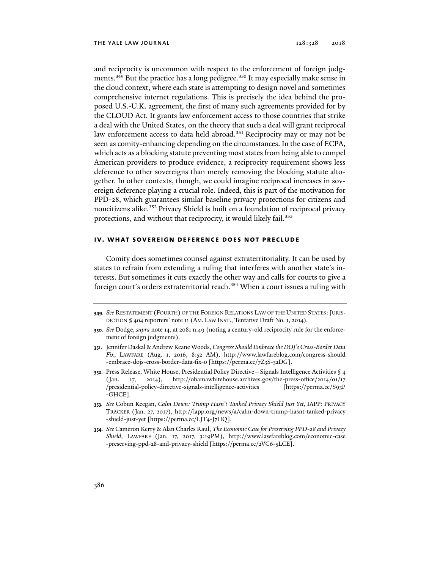and reciprocity is uncommon with respect to the enforcement of foreign judgments.<sup>349</sup> But the practice has a long pedigree.<sup>350</sup> It may especially make sense in the cloud context, where each state is attempting to design novel and sometimes comprehensive internet regulations. This is precisely the idea behind the proposed U.S.-U.K. agreement, the first of many such agreements provided for by the CLOUD Act. It grants law enforcement access to those countries that strike a deal with the United States, on the theory that such a deal will grant reciprocal law enforcement access to data held abroad.<sup>351</sup> Reciprocity may or may not be seen as comity-enhancing depending on the circumstances. In the case of ECPA, which acts as a blocking statute preventing most states from being able to compel American providers to produce evidence, a reciprocity requirement shows less deference to other sovereigns than merely removing the blocking statute altogether. In other contexts, though, we could imagine reciprocal increases in sovereign deference playing a crucial role. Indeed, this is part of the motivation for PPD-28, which guarantees similar baseline privacy protections for citizens and noncitizens alike.<sup>352</sup> Privacy Shield is built on a foundation of reciprocal privacy protections, and without that reciprocity, it would likely fail.<sup>353</sup>

# **iv. what sovereign deference does not preclude**

Comity does sometimes counsel against extraterritoriality. It can be used by states to refrain from extending a ruling that interferes with another state's interests. But sometimes it cuts exactly the other way and calls for courts to give a foreign court's orders extraterritorial reach.<sup>354</sup> When a court issues a ruling with

- **349***. See* RESTATEMENT (FOURTH) OF THE FOREIGN RELATIONS LAW OF THE UNITED STATES: JURIS-DICTION § 404 reporters' note 11 (AM. LAW INST., Tentative Draft No. 1, 2014).
- **350***. See* Dodge, *supra* note 14, at 2081 n.49 (noting a century-old reciprocity rule for the enforcement of foreign judgments).
- **351**. Jennifer Daskal & Andrew Keane Woods, *Congress Should Embrace the DOJ's Cross-Border Data Fix*, LAWFARE (Aug. 1, 2016, 8:52 AM), http://www.lawfareblog.com/congress-should -embrace-dojs-cross-border-data-fix-0 [https://perma.cc/7Z3S-32DG].
- **352**. Press Release, White House, Presidential Policy Directive—Signals Intelligence Activities § 4 (Jan. 17, 2014), http://obamawhitehouse.archives.gov/the-press-office/2014/01/17 /presidential-policy-directive-signals-intelligence-activities [https://perma.cc/S93P -GHCE].
- **353***. See* Cobun Keegan, *Calm Down: Trump Hasn't Tanked Privacy Shield Just Yet*, IAPP: PRIVACY TRACKER (Jan. 27, 2017), http://iapp.org/news/a/calm-down-trump-hasnt-tanked-privacy -shield-just-yet [https://perma.cc/LJT4-J7HQ].
- **354***. See* Cameron Kerry & Alan Charles Raul, *The Economic Case for Preserving PPD-28 and Privacy Shield*, LAWFARE (Jan. 17, 2017, 3:19PM), http://www.lawfareblog.com/economic-case -preserving-ppd-28-and-privacy-shield [https://perma.cc/2VC6-5LCE].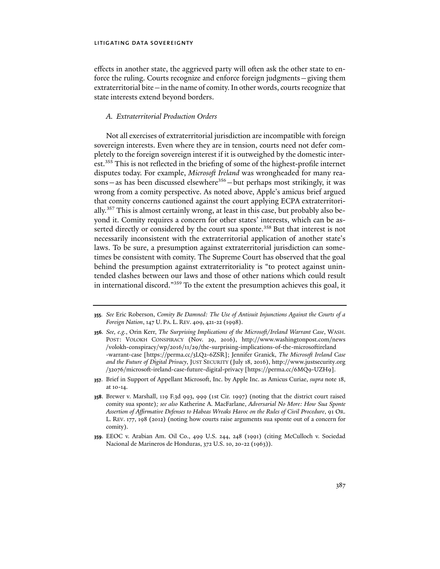effects in another state, the aggrieved party will often ask the other state to enforce the ruling. Courts recognize and enforce foreign judgments—giving them extraterritorial bite—in the name of comity. In other words, courts recognize that state interests extend beyond borders.

# *A. Extraterritorial Production Orders*

Not all exercises of extraterritorial jurisdiction are incompatible with foreign sovereign interests. Even where they are in tension, courts need not defer completely to the foreign sovereign interest if it is outweighed by the domestic interest.<sup>355</sup> This is not reflected in the briefing of some of the highest-profile internet disputes today. For example, *Microsoft Ireland* was wrongheaded for many reasons—as has been discussed elsewhere<sup>356</sup>—but perhaps most strikingly, it was wrong from a comity perspective. As noted above, Apple's amicus brief argued that comity concerns cautioned against the court applying ECPA extraterritorially.357 This is almost certainly wrong, at least in this case, but probably also beyond it. Comity requires a concern for other states' interests, which can be asserted directly or considered by the court sua sponte.<sup>358</sup> But that interest is not necessarily inconsistent with the extraterritorial application of another state's laws. To be sure, a presumption against extraterritorial jurisdiction can sometimes be consistent with comity. The Supreme Court has observed that the goal behind the presumption against extraterritoriality is "to protect against unintended clashes between our laws and those of other nations which could result in international discord."359 To the extent the presumption achieves this goal, it

**<sup>355</sup>***. See* Eric Roberson, *Comity Be Damned: The Use of Antisuit Injunctions Against the Courts of a Foreign Nation*, 147 U. PA. L. REV. 409, 421-22 (1998).

**<sup>356</sup>***. See, e.g.*, Orin Kerr, *The Surprising Implications of the Microsoft/Ireland Warrant Case*, WASH. POST: VOLOKH CONSPIRACY (Nov. 29, 2016), http://www.washingtonpost.com/news /volokh-conspiracy/wp/2016/11/29/the-surprising-implications-of-the-microsoftireland -warrant-case [https://perma.cc/3LQ2-6ZSR]; Jennifer Granick, *The Microsoft Ireland Case and the Future of Digital Privacy*, JUST SECURITY (July 18, 2016), http://www.justsecurity.org /32076/microsoft-ireland-case-future-digital-privacy [https://perma.cc/6MQ9-UZH9].

**<sup>357</sup>**. Brief in Support of Appellant Microsoft, Inc. by Apple Inc. as Amicus Curiae, *supra* note 18, at 10-14.

**<sup>358</sup>**. Brewer v. Marshall, 119 F.3d 993, 999 (1st Cir. 1997) (noting that the district court raised comity sua sponte)*; see also* Katherine A. MacFarlane, *Adversarial No More: How Sua Sponte Assertion of Affirmative Defenses to Habeas Wreaks Havoc on the Rules of Civil Procedure*, 91 OR. L. REV. 177, 198 (2012) (noting how courts raise arguments sua sponte out of a concern for comity).

**<sup>359</sup>**. EEOC v. Arabian Am. Oil Co., 499 U.S. 244, 248 (1991) (citing McCulloch v. Sociedad Nacional de Marineros de Honduras, 372 U.S. 10, 20-22 (1963)).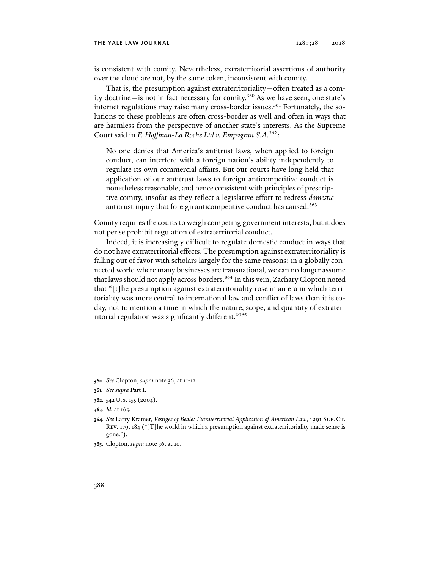#### THE YALE LAW JOURNAL 128:328 2018

is consistent with comity. Nevertheless, extraterritorial assertions of authority over the cloud are not, by the same token, inconsistent with comity.

That is, the presumption against extraterritoriality—often treated as a comity doctrine—is not in fact necessary for comity.360 As we have seen, one state's internet regulations may raise many cross-border issues.<sup>361</sup> Fortunately, the solutions to these problems are often cross-border as well and often in ways that are harmless from the perspective of another state's interests. As the Supreme Court said in *F. Hoffman-La Roche Ltd v. Empagran S.A.*362:

No one denies that America's antitrust laws, when applied to foreign conduct, can interfere with a foreign nation's ability independently to regulate its own commercial affairs. But our courts have long held that application of our antitrust laws to foreign anticompetitive conduct is nonetheless reasonable, and hence consistent with principles of prescriptive comity, insofar as they reflect a legislative effort to redress *domestic* antitrust injury that foreign anticompetitive conduct has caused.<sup>363</sup>

Comity requires the courts to weigh competing government interests, but it does not per se prohibit regulation of extraterritorial conduct.

Indeed, it is increasingly difficult to regulate domestic conduct in ways that do not have extraterritorial effects. The presumption against extraterritoriality is falling out of favor with scholars largely for the same reasons: in a globally connected world where many businesses are transnational, we can no longer assume that laws should not apply across borders.<sup>364</sup> In this vein, Zachary Clopton noted that "[t]he presumption against extraterritoriality rose in an era in which territoriality was more central to international law and conflict of laws than it is today, not to mention a time in which the nature, scope, and quantity of extraterritorial regulation was significantly different."365

**<sup>360</sup>***. See* Clopton, *supra* note 36, at 11-12.

**<sup>361</sup>***. See supra* Part I.

**<sup>362</sup>**. 542 U.S. 155 (2004).

**<sup>363</sup>***. Id.* at 165.

**<sup>364</sup>***. See* Larry Kramer, *Vestiges of Beale: Extraterritorial Application of American Law*, 1991 SUP. CT. REV. 179, 184 ("[T]he world in which a presumption against extraterritoriality made sense is gone.").

**<sup>365</sup>**. Clopton, *supra* note 36, at 10.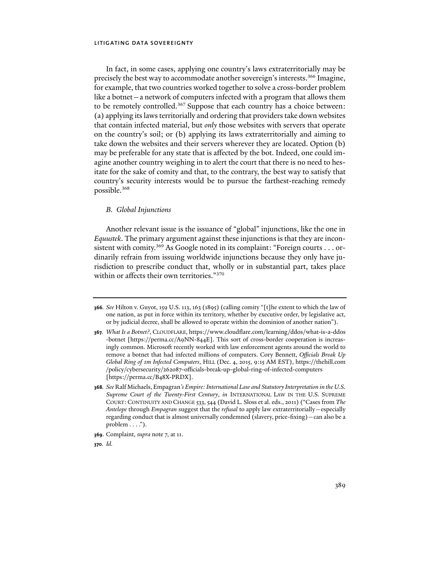In fact, in some cases, applying one country's laws extraterritorially may be precisely the best way to accommodate another sovereign's interests.366 Imagine, for example, that two countries worked together to solve a cross-border problem like a botnet—a network of computers infected with a program that allows them to be remotely controlled.<sup>367</sup> Suppose that each country has a choice between: (a) applying its laws territorially and ordering that providers take down websites that contain infected material, but *only* those websites with servers that operate on the country's soil; or (b) applying its laws extraterritorially and aiming to take down the websites and their servers wherever they are located. Option (b) may be preferable for any state that is affected by the bot. Indeed, one could imagine another country weighing in to alert the court that there is no need to hesitate for the sake of comity and that, to the contrary, the best way to satisfy that country's security interests would be to pursue the farthest-reaching remedy possible.368

### *B. Global Injunctions*

Another relevant issue is the issuance of "global" injunctions, like the one in *Equustek*. The primary argument against these injunctions is that they are inconsistent with comity.<sup>369</sup> As Google noted in its complaint: "Foreign courts . . . ordinarily refrain from issuing worldwide injunctions because they only have jurisdiction to prescribe conduct that, wholly or in substantial part, takes place within or affects their own territories."370

**<sup>366</sup>***. See* Hilton v. Guyot, 159 U.S. 113, 163 (1895) (calling comity "[t]he extent to which the law of one nation, as put in force within its territory, whether by executive order, by legislative act, or by judicial decree, shall be allowed to operate within the dominion of another nation").

**<sup>367</sup>***. What Is a Botnet?*, CLOUDFLARE, https://www.cloudflare.com/learning/ddos/what-is-a-ddos -botnet [https://perma.cc/A9NN-844E]. This sort of cross-border cooperation is increasingly common. Microsoft recently worked with law enforcement agents around the world to remove a botnet that had infected millions of computers. Cory Bennett, *Officials Break Up Global Ring of 1m Infected Computers*, HILL (Dec. 4, 2015, 9:15 AM EST), https://thehill.com /policy/cybersecurity/262087-officials-break-up-global-ring-of-infected-computers [https://perma.cc/B48X-PRDX].

**<sup>368</sup>***. See* Ralf Michaels, Empagran*'s Empire: International Law and Statutory Interpretation in the U.S. Supreme Court of the Twenty-First Century*, *in* INTERNATIONAL LAW IN THE U.S. SUPREME COURT: CONTINUITY AND CHANGE 533, 544 (David L. Sloss et al. eds., 2011) ("Cases from *The Antelope* through *Empagran* suggest that the *refusal* to apply law extraterritorially—especially regarding conduct that is almost universally condemned (slavery, price-fixing)—can also be a problem  $\dots$ .").

**<sup>369</sup>**. Complaint, *supra* note 7, at 11.

**<sup>370</sup>***. Id.*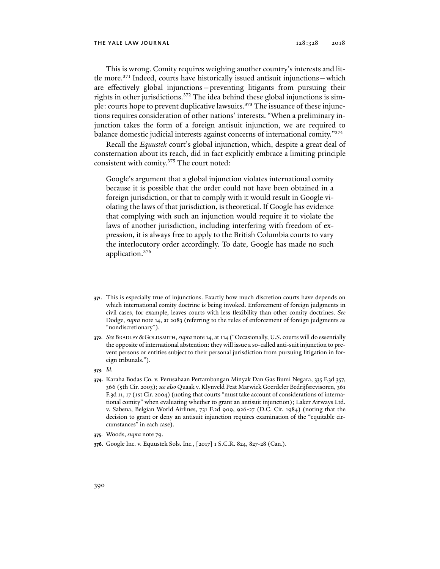This is wrong. Comity requires weighing another country's interests and little more. $371$  Indeed, courts have historically issued antisuit injunctions — which are effectively global injunctions—preventing litigants from pursuing their rights in other jurisdictions.<sup>372</sup> The idea behind these global injunctions is simple: courts hope to prevent duplicative lawsuits.<sup>373</sup> The issuance of these injunctions requires consideration of other nations' interests. "When a preliminary injunction takes the form of a foreign antisuit injunction, we are required to balance domestic judicial interests against concerns of international comity."374

Recall the *Equustek* court's global injunction, which, despite a great deal of consternation about its reach, did in fact explicitly embrace a limiting principle consistent with comity.375 The court noted:

Google's argument that a global injunction violates international comity because it is possible that the order could not have been obtained in a foreign jurisdiction, or that to comply with it would result in Google violating the laws of that jurisdiction, is theoretical. If Google has evidence that complying with such an injunction would require it to violate the laws of another jurisdiction, including interfering with freedom of expression, it is always free to apply to the British Columbia courts to vary the interlocutory order accordingly. To date, Google has made no such application.376

**<sup>371</sup>**. This is especially true of injunctions. Exactly how much discretion courts have depends on which international comity doctrine is being invoked. Enforcement of foreign judgments in civil cases, for example, leaves courts with less flexibility than other comity doctrines. *See*  Dodge, *supra* note 14, at 2083 (referring to the rules of enforcement of foreign judgments as "nondiscretionary").

**<sup>372</sup>***. See* BRADLEY & GOLDSMITH, *supra* note 14, at 114 ("Occasionally, U.S. courts will do essentially the opposite of international abstention: they will issue a so-called anti-suit injunction to prevent persons or entities subject to their personal jurisdiction from pursuing litigation in foreign tribunals.").

**<sup>373</sup>***. Id.* 

**<sup>374</sup>**. Karaha Bodas Co. v. Perusahaan Pertambangan Minyak Dan Gas Bumi Negara, 335 F.3d 357, 366 (5th Cir. 2003); *see also* Quaak v. Klynveld Peat Marwick Goerdeler Bedrijfsrevisoren, 361 F.3d 11, 17 (1st Cir. 2004) (noting that courts "must take account of considerations of international comity" when evaluating whether to grant an antisuit injunction); Laker Airways Ltd. v. Sabena, Belgian World Airlines, 731 F.2d 909, 926-27 (D.C. Cir. 1984) (noting that the decision to grant or deny an antisuit injunction requires examination of the "equitable circumstances" in each case).

**<sup>375</sup>**. Woods, *supra* note 79.

**<sup>376</sup>**. Google Inc. v. Equustek Sols. Inc., [2017] 1 S.C.R. 824, 827-28 (Can.).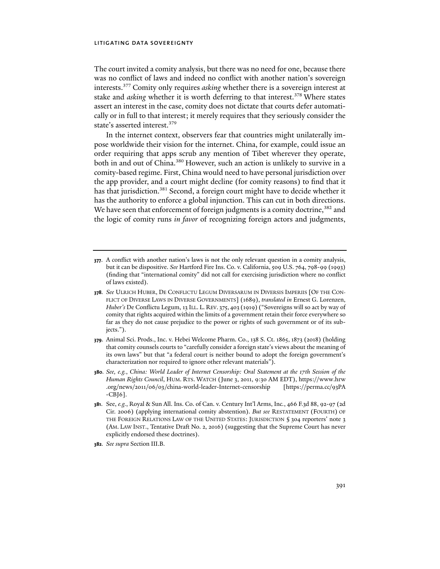The court invited a comity analysis, but there was no need for one, because there was no conflict of laws and indeed no conflict with another nation's sovereign interests.377 Comity only requires *asking* whether there is a sovereign interest at stake and *asking* whether it is worth deferring to that interest.<sup>378</sup> Where states assert an interest in the case, comity does not dictate that courts defer automatically or in full to that interest; it merely requires that they seriously consider the state's asserted interest.<sup>379</sup>

In the internet context, observers fear that countries might unilaterally impose worldwide their vision for the internet. China, for example, could issue an order requiring that apps scrub any mention of Tibet wherever they operate, both in and out of China.<sup>380</sup> However, such an action is unlikely to survive in a comity-based regime. First, China would need to have personal jurisdiction over the app provider, and a court might decline (for comity reasons) to find that it has that jurisdiction.<sup>381</sup> Second, a foreign court might have to decide whether it has the authority to enforce a global injunction. This can cut in both directions. We have seen that enforcement of foreign judgments is a comity doctrine,<sup>382</sup> and the logic of comity runs *in favor* of recognizing foreign actors and judgments,

- **378***. See* ULRICH HUBER, DE CONFLICTU LEGUM DIVERSARUM IN DIVERSIS IMPERIIS [OF THE CON-FLICT OF DIVERSE LAWS IN DIVERSE GOVERNMENTS] (1689), *translated in* Ernest G. Lorenzen, *Huber's* De Conflictu Legum, 13 ILL. L. REV. 375, 403 (1919) ("Sovereigns will so act by way of comity that rights acquired within the limits of a government retain their force everywhere so far as they do not cause prejudice to the power or rights of such government or of its subjects.").
- **379**. Animal Sci. Prods., Inc. v. Hebei Welcome Pharm. Co., 138 S. Ct. 1865, 1873 (2018) (holding that comity counsels courts to "carefully consider a foreign state's views about the meaning of its own laws" but that "a federal court is neither bound to adopt the foreign government's characterization nor required to ignore other relevant materials").
- **380***. See, e.g.*, *China: World Leader of Internet Censorship: Oral Statement at the 17th Session of the Human Rights Council*, HUM. RTS. WATCH (June 3, 2011, 9:30 AM EDT), https://www.hrw .org/news/2011/06/03/china-world-leader-Internet-censorship [https://perma.cc/93PA -CBJ6].
- **381**. See, *e.g.*, Royal & Sun All. Ins. Co. of Can. v. Century Int'l Arms, Inc*.*, 466 F.3d 88, 92-97 (2d Cir. 2006) (applying international comity abstention). *But see* RESTATEMENT (FOURTH) OF THE FOREIGN RELATIONS LAW OF THE UNITED STATES: JURISDICTION § 304 reporters' note 3 (AM. LAW INST., Tentative Draft No. 2, 2016) (suggesting that the Supreme Court has never explicitly endorsed these doctrines).
- **382***. See supra* Section III.B.

**<sup>377</sup>**. A conflict with another nation's laws is not the only relevant question in a comity analysis, but it can be dispositive. *See* Hartford Fire Ins. Co. v. California, 509 U.S. 764, 798-99 (1993) (finding that "international comity" did not call for exercising jurisdiction where no conflict of laws existed).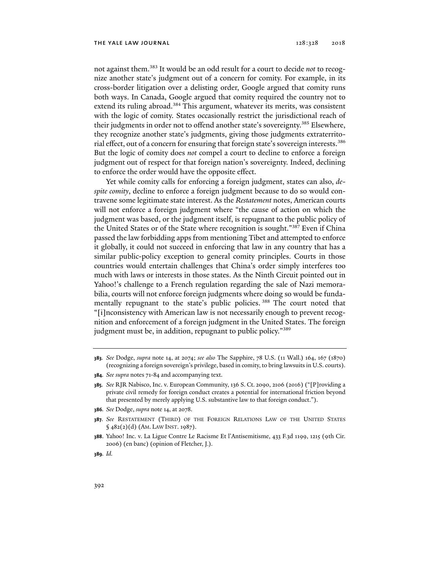not against them.383 It would be an odd result for a court to decide *not* to recognize another state's judgment out of a concern for comity. For example, in its cross-border litigation over a delisting order, Google argued that comity runs both ways. In Canada, Google argued that comity required the country not to extend its ruling abroad.<sup>384</sup> This argument, whatever its merits, was consistent with the logic of comity. States occasionally restrict the jurisdictional reach of their judgments in order not to offend another state's sovereignty.385 Elsewhere, they recognize another state's judgments, giving those judgments extraterritorial effect, out of a concern for ensuring that foreign state's sovereign interests.386 But the logic of comity does *not* compel a court to decline to enforce a foreign judgment out of respect for that foreign nation's sovereignty. Indeed, declining to enforce the order would have the opposite effect.

Yet while comity calls for enforcing a foreign judgment, states can also, *despite comity*, decline to enforce a foreign judgment because to do so would contravene some legitimate state interest. As the *Restatement* notes, American courts will not enforce a foreign judgment where "the cause of action on which the judgment was based, or the judgment itself, is repugnant to the public policy of the United States or of the State where recognition is sought."387 Even if China passed the law forbidding apps from mentioning Tibet and attempted to enforce it globally, it could not succeed in enforcing that law in any country that has a similar public-policy exception to general comity principles. Courts in those countries would entertain challenges that China's order simply interferes too much with laws or interests in those states. As the Ninth Circuit pointed out in Yahoo!'s challenge to a French regulation regarding the sale of Nazi memorabilia, courts will not enforce foreign judgments where doing so would be fundamentally repugnant to the state's public policies. 388 The court noted that "[i]nconsistency with American law is not necessarily enough to prevent recognition and enforcement of a foreign judgment in the United States. The foreign judgment must be, in addition, repugnant to public policy."389

- **386***. See* Dodge, *supra* note 14, at 2078.
- **387***. See* RESTATEMENT (THIRD) OF THE FOREIGN RELATIONS LAW OF THE UNITED STATES § 482(2)(d) (AM. LAW INST. 1987).

**389***. Id.*

**<sup>383</sup>***. See* Dodge, *supra* note 14, at 2074; *see also* The Sapphire, 78 U.S. (11 Wall.) 164, 167 (1870) (recognizing a foreign sovereign's privilege, based in comity, to bring lawsuits in U.S. courts).

**<sup>384</sup>***. See supra* notes 71-84 and accompanying text.

**<sup>385</sup>***. See* RJR Nabisco, Inc. v. European Community, 136 S. Ct. 2090, 2106 (2016) ("[P]roviding a private civil remedy for foreign conduct creates a potential for international friction beyond that presented by merely applying U.S. substantive law to that foreign conduct.").

**<sup>388</sup>**. Yahoo! Inc. v. La Ligue Contre Le Racisme Et l'Antisemitisme, 433 F.3d 1199, 1215 (9th Cir. 2006) (en banc) (opinion of Fletcher, J.).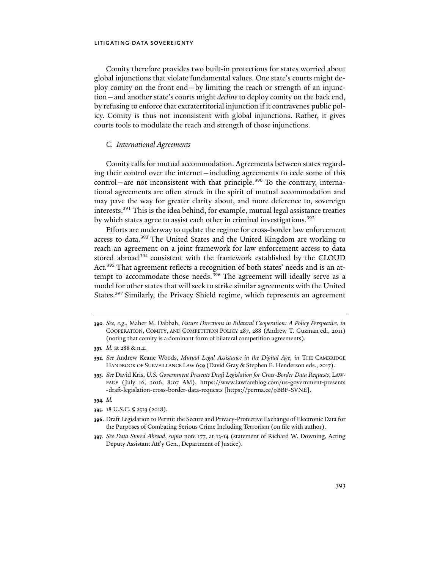Comity therefore provides two built-in protections for states worried about global injunctions that violate fundamental values. One state's courts might deploy comity on the front end—by limiting the reach or strength of an injunction—and another state's courts might *decline* to deploy comity on the back end, by refusing to enforce that extraterritorial injunction if it contravenes public policy. Comity is thus not inconsistent with global injunctions. Rather, it gives courts tools to modulate the reach and strength of those injunctions.

### *C. International Agreements*

Comity calls for mutual accommodation. Agreements between states regarding their control over the internet—including agreements to cede some of this  $control$ – are not inconsistent with that principle.<sup>390</sup> To the contrary, international agreements are often struck in the spirit of mutual accommodation and may pave the way for greater clarity about, and more deference to, sovereign interests.391 This is the idea behind, for example, mutual legal assistance treaties by which states agree to assist each other in criminal investigations.<sup>392</sup>

Efforts are underway to update the regime for cross-border law enforcement access to data.<sup>393</sup> The United States and the United Kingdom are working to reach an agreement on a joint framework for law enforcement access to data stored abroad 394 consistent with the framework established by the CLOUD Act.<sup>395</sup> That agreement reflects a recognition of both states' needs and is an attempt to accommodate those needs.<sup>396</sup> The agreement will ideally serve as a model for other states that will seek to strike similar agreements with the United States.<sup>397</sup> Similarly, the Privacy Shield regime, which represents an agreement

**<sup>390</sup>***. See, e.g*., Maher M. Dabbah, *Future Directions in Bilateral Cooperation: A Policy Perspective*, *in*  COOPERATION, COMITY, AND COMPETITION POLICY 287, 288 (Andrew T. Guzman ed., 2011) (noting that comity is a dominant form of bilateral competition agreements).

**<sup>391</sup>***. Id.* at 288 & n.2.

**<sup>392</sup>***. See* Andrew Keane Woods, *Mutual Legal Assistance in the Digital Age*, *in* THE CAMBRIDGE HANDBOOK OF SURVEILLANCE LAW 659 (David Gray & Stephen E. Henderson eds., 2017).

**<sup>393</sup>***. See* David Kris, *U.S. Government Presents Draft Legislation for Cross-Border Data Requests*, LAW-FARE (July 16, 2016, 8:07 AM), https://www.lawfareblog.com/us-government-presents -draft-legislation-cross-border-data-requests [https://perma.cc/9BBF-SVNE].

**<sup>394</sup>***. Id.*

**<sup>395</sup>**. 18 U.S.C. § 2523 (2018).

**<sup>396</sup>**. Draft Legislation to Permit the Secure and Privacy-Protective Exchange of Electronic Data for the Purposes of Combating Serious Crime Including Terrorism (on file with author).

**<sup>397</sup>***. See Data Stored Abroad*, *supra* note 177, at 13-14 (statement of Richard W. Downing, Acting Deputy Assistant Att'y Gen., Department of Justice).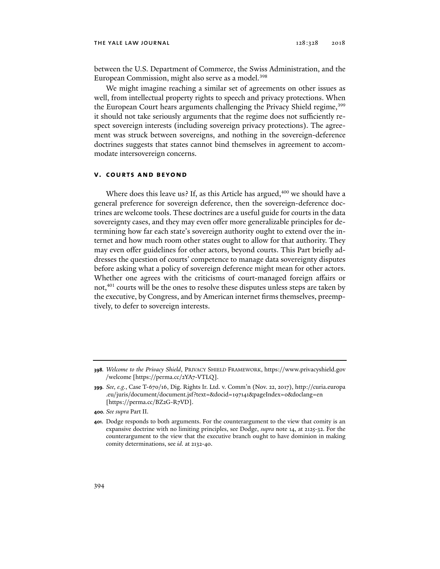between the U.S. Department of Commerce, the Swiss Administration, and the European Commission, might also serve as a model.<sup>398</sup>

We might imagine reaching a similar set of agreements on other issues as well, from intellectual property rights to speech and privacy protections. When the European Court hears arguments challenging the Privacy Shield regime,<sup>399</sup> it should not take seriously arguments that the regime does not sufficiently respect sovereign interests (including sovereign privacy protections). The agreement was struck between sovereigns, and nothing in the sovereign-deference doctrines suggests that states cannot bind themselves in agreement to accommodate intersovereign concerns.

# **v. courts and beyond**

Where does this leave us? If, as this Article has argued, $400$  we should have a general preference for sovereign deference, then the sovereign-deference doctrines are welcome tools. These doctrines are a useful guide for courts in the data sovereignty cases, and they may even offer more generalizable principles for determining how far each state's sovereign authority ought to extend over the internet and how much room other states ought to allow for that authority. They may even offer guidelines for other actors, beyond courts. This Part briefly addresses the question of courts' competence to manage data sovereignty disputes before asking what a policy of sovereign deference might mean for other actors. Whether one agrees with the criticisms of court-managed foreign affairs or not,<sup>401</sup> courts will be the ones to resolve these disputes unless steps are taken by the executive, by Congress, and by American internet firms themselves, preemptively, to defer to sovereign interests.

**<sup>398</sup>***. Welcome to the Privacy Shield*, PRIVACY SHIELD FRAMEWORK, https://www.privacyshield.gov /welcome [https://perma.cc/2YA7-VTLQ].

**<sup>399</sup>***. See, e.g.*, Case T-670/16, Dig. Rights Ir. Ltd. v. Comm'n (Nov. 22, 2017), http://curia.europa .eu/juris/document/document.jsf?text=&docid=197141&pageIndex=0&doclang=en [https://perma.cc/BZ2G-R7VD].

**<sup>400</sup>***. See supra* Part II.

**<sup>401</sup>**. Dodge responds to both arguments. For the counterargument to the view that comity is an expansive doctrine with no limiting principles, see Dodge, *supra* note 14, at 2125-32. For the counterargument to the view that the executive branch ought to have dominion in making comity determinations, see *id.* at 2132-40.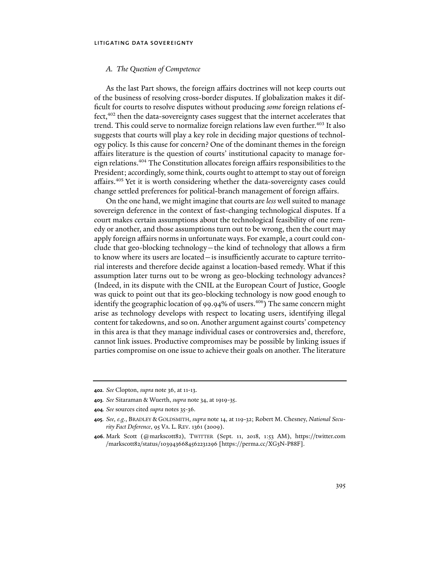### *A. The Question of Competence*

As the last Part shows, the foreign affairs doctrines will not keep courts out of the business of resolving cross-border disputes. If globalization makes it difficult for courts to resolve disputes without producing *some* foreign relations effect,<sup>402</sup> then the data-sovereignty cases suggest that the internet accelerates that trend. This could serve to normalize foreign relations law even further.<sup>403</sup> It also suggests that courts will play a key role in deciding major questions of technology policy. Is this cause for concern? One of the dominant themes in the foreign affairs literature is the question of courts' institutional capacity to manage foreign relations.404 The Constitution allocates foreign affairs responsibilities to the President; accordingly, some think, courts ought to attempt to stay out of foreign affairs.405 Yet it is worth considering whether the data-sovereignty cases could change settled preferences for political-branch management of foreign affairs.

On the one hand, we might imagine that courts are *less* well suited to manage sovereign deference in the context of fast-changing technological disputes. If a court makes certain assumptions about the technological feasibility of one remedy or another, and those assumptions turn out to be wrong, then the court may apply foreign affairs norms in unfortunate ways. For example, a court could conclude that geo-blocking technology—the kind of technology that allows a firm to know where its users are located—is insufficiently accurate to capture territorial interests and therefore decide against a location-based remedy. What if this assumption later turns out to be wrong as geo-blocking technology advances? (Indeed, in its dispute with the CNIL at the European Court of Justice, Google was quick to point out that its geo-blocking technology is now good enough to identify the geographic location of 99.94% of users.<sup>406</sup>) The same concern might arise as technology develops with respect to locating users, identifying illegal content for takedowns, and so on. Another argument against courts' competency in this area is that they manage individual cases or controversies and, therefore, cannot link issues. Productive compromises may be possible by linking issues if parties compromise on one issue to achieve their goals on another. The literature

**<sup>402</sup>***. See* Clopton, *supra* note 36, at 11-13.

**<sup>403</sup>***. See* Sitaraman & Wuerth, *supra* note 34, at 1919-35.

**<sup>404</sup>***. See* sources cited *supra* notes 35-36.

**<sup>405</sup>***. See, e.g.*, BRADLEY & GOLDSMITH, *supra* note 14, at 119-32; Robert M. Chesney, *National Security Fact Deference*, 95 VA. L. REV. 1361 (2009).

**<sup>406</sup>**. Mark Scott (@markscott82), TWITTER (Sept. 11, 2018, 1:53 AM), https://twitter.com /markscott82/status/1039436684562231296 [https://perma.cc/XG3N-P88F].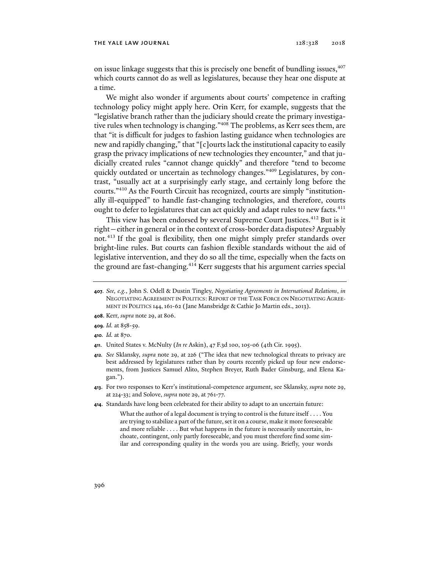on issue linkage suggests that this is precisely one benefit of bundling issues, <sup>407</sup> which courts cannot do as well as legislatures, because they hear one dispute at a time.

We might also wonder if arguments about courts' competence in crafting technology policy might apply here. Orin Kerr, for example, suggests that the "legislative branch rather than the judiciary should create the primary investigative rules when technology is changing."408 The problems, as Kerr sees them, are that "it is difficult for judges to fashion lasting guidance when technologies are new and rapidly changing," that "[c]ourts lack the institutional capacity to easily grasp the privacy implications of new technologies they encounter," and that judicially created rules "cannot change quickly" and therefore "tend to become quickly outdated or uncertain as technology changes."<sup>409</sup> Legislatures, by contrast, "usually act at a surprisingly early stage, and certainly long before the courts."410 As the Fourth Circuit has recognized, courts are simply "institutionally ill-equipped" to handle fast-changing technologies, and therefore, courts ought to defer to legislatures that can act quickly and adapt rules to new facts.<sup>411</sup>

This view has been endorsed by several Supreme Court Justices.412 But is it right—either in general or in the context of cross-border data disputes? Arguably not.413 If the goal is flexibility, then one might simply prefer standards over bright-line rules. But courts can fashion flexible standards without the aid of legislative intervention, and they do so all the time, especially when the facts on the ground are fast-changing.<sup>414</sup> Kerr suggests that his argument carries special

- **409***. Id.* at 858-59.
- **410***. Id.* at 870.
- **411**. United States v. McNulty (*In re* Askin), 47 F.3d 100, 105-06 (4th Cir. 1995).
- **412***. See* Sklansky, *supra* note 29, at 226 ("The idea that new technological threats to privacy are best addressed by legislatures rather than by courts recently picked up four new endorsements, from Justices Samuel Alito, Stephen Breyer, Ruth Bader Ginsburg, and Elena Kagan.").
- **413**. For two responses to Kerr's institutional-competence argument, see Sklansky, *supra* note 29, at 224-33; and Solove, *supra* note 29, at 761-77.
- **414**. Standards have long been celebrated for their ability to adapt to an uncertain future:

What the author of a legal document is trying to control is the future itself . . . . You are trying to stabilize a part of the future, set it on a course, make it more foreseeable and more reliable . . . . But what happens in the future is necessarily uncertain, inchoate, contingent, only partly foreseeable, and you must therefore find some similar and corresponding quality in the words you are using. Briefly, your words

**<sup>407</sup>***. See, e.g.*, John S. Odell & Dustin Tingley, *Negotiating Agreements in International Relations*, *in*  NEGOTIATING AGREEMENT IN POLITICS: REPORT OF THE TASK FORCE ON NEGOTIATING AGREE-MENT IN POLITICS 144,161-62 (Jane Mansbridge & Cathie Jo Martin eds., 2013).

**<sup>408</sup>**. Kerr, *supra* note 29, at 806.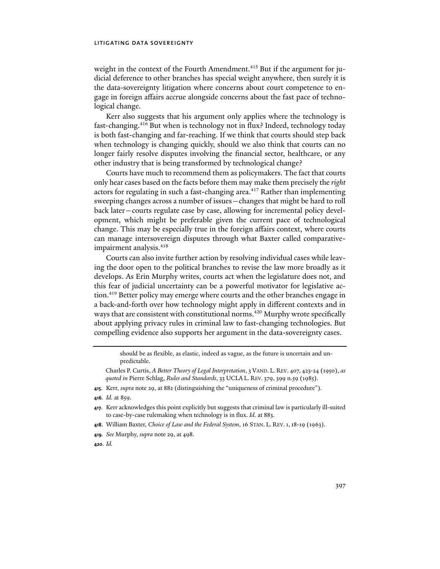weight in the context of the Fourth Amendment.<sup>415</sup> But if the argument for judicial deference to other branches has special weight anywhere, then surely it is the data-sovereignty litigation where concerns about court competence to engage in foreign affairs accrue alongside concerns about the fast pace of technological change.

Kerr also suggests that his argument only applies where the technology is fast-changing.416 But when is technology not in flux? Indeed, technology today is both fast-changing and far-reaching. If we think that courts should step back when technology is changing quickly, should we also think that courts can no longer fairly resolve disputes involving the financial sector, healthcare, or any other industry that is being transformed by technological change?

Courts have much to recommend them as policymakers. The fact that courts only hear cases based on the facts before them may make them precisely the *right* actors for regulating in such a fast-changing area.<sup>417</sup> Rather than implementing sweeping changes across a number of issues—changes that might be hard to roll back later—courts regulate case by case, allowing for incremental policy development, which might be preferable given the current pace of technological change. This may be especially true in the foreign affairs context, where courts can manage intersovereign disputes through what Baxter called comparativeimpairment analysis.<sup>418</sup>

Courts can also invite further action by resolving individual cases while leaving the door open to the political branches to revise the law more broadly as it develops. As Erin Murphy writes, courts act when the legislature does not, and this fear of judicial uncertainty can be a powerful motivator for legislative action.<sup>419</sup> Better policy may emerge where courts and the other branches engage in a back-and-forth over how technology might apply in different contexts and in ways that are consistent with constitutional norms.<sup>420</sup> Murphy wrote specifically about applying privacy rules in criminal law to fast-changing technologies. But compelling evidence also supports her argument in the data-sovereignty cases.

should be as flexible, as elastic, indeed as vague, as the future is uncertain and unpredictable.

Charles P. Curtis, *A Better Theory of Legal Interpretation*, 3 VAND. L. REV. 407, 423-24 (1950), *as quoted in* Pierre Schlag, *Rules and Standards*, 33 UCLA L. REV. 379, 399 n.59 (1985).

- **415**. Kerr, *supra* note 29, at 882 (distinguishing the "uniqueness of criminal procedure").
- **416***. Id.* at 859.
- **417**. Kerr acknowledges this point explicitly but suggests that criminal law is particularly ill-suited to case-by-case rulemaking when technology is in flux. *Id.* at 883.
- **418**. William Baxter, *Choice of Law and the Federal System*, 16 STAN. L. REV.1,18-19 (1963).
- **419***. See* Murphy, *supra* note 29, at 498.
- **420***. Id.*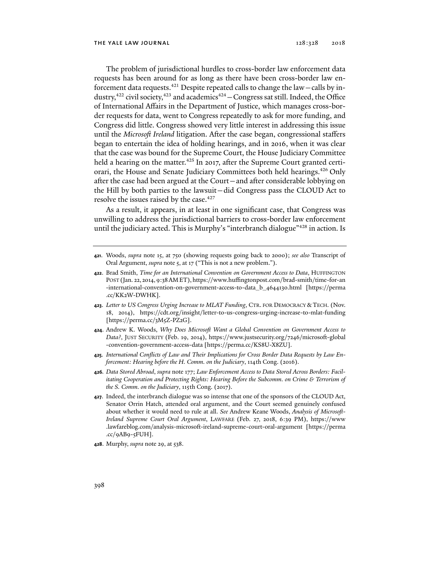The problem of jurisdictional hurdles to cross-border law enforcement data requests has been around for as long as there have been cross-border law enforcement data requests.<sup>421</sup> Despite repeated calls to change the law – calls by industry,<sup>422</sup> civil society,<sup>423</sup> and academics<sup>424</sup> – Congress sat still. Indeed, the Office of International Affairs in the Department of Justice, which manages cross-border requests for data, went to Congress repeatedly to ask for more funding, and Congress did little. Congress showed very little interest in addressing this issue until the *Microsoft Ireland* litigation. After the case began, congressional staffers began to entertain the idea of holding hearings, and in 2016, when it was clear that the case was bound for the Supreme Court, the House Judiciary Committee held a hearing on the matter.<sup>425</sup> In 2017, after the Supreme Court granted certiorari, the House and Senate Judiciary Committees both held hearings.426 Only after the case had been argued at the Court—and after considerable lobbying on the Hill by both parties to the lawsuit—did Congress pass the CLOUD Act to resolve the issues raised by the case.<sup>427</sup>

As a result, it appears, in at least in one significant case, that Congress was unwilling to address the jurisdictional barriers to cross-border law enforcement until the judiciary acted. This is Murphy's "interbranch dialogue"<sup>428</sup> in action. Is

- **421**. Woods, *supra* note 15, at 750 (showing requests going back to 2000); *see also* Transcript of Oral Argument, *supra* note 5, at 17 ("This is not a new problem.").
- **422**. Brad Smith, *Time for an International Convention on Government Access to Data*, HUFFINGTON POST (Jan. 22, 2014,9:38AMET), https://www.huffingtonpost.com/brad-smith/time-for-an -international-convention-on-government-access-to-data\_b\_4644130.html [https://perma .cc/KK2W-DWHK].
- **423**. *Letter to US Congress Urging Increase to MLAT Funding*, CTR. FOR DEMOCRACY & TECH. (Nov. 18, 2014), https://cdt.org/insight/letter-to-us-congress-urging-increase-to-mlat-funding [https://perma.cc/3M5Z-PZ2G].
- **424**. Andrew K. Woods, *Why Does Microsoft Want a Global Convention on Government Access to Data?*, JUST SECURITY (Feb. 19, 2014), https://www.justsecurity.org/7246/microsoft-global -convention-government-access-data [https://perma.cc/KS8U-X8ZU].
- **425***. International Conflicts of Law and Their Implications for Cross Border Data Requests by Law Enforcement: Hearing before the H. Comm. on the Judiciary*, 114th Cong. (2016).
- **426***. Data Stored Abroad*, *supra* note 177; *Law Enforcement Access to Data Stored Across Borders: Facilitating Cooperation and Protecting Rights: Hearing Before the Subcomm. on Crime & Terrorism of the S. Comm. on the Judiciary*, 115th Cong. (2017).
- **427**. Indeed, the interbranch dialogue was so intense that one of the sponsors of the CLOUD Act, Senator Orrin Hatch, attended oral argument, and the Court seemed genuinely confused about whether it would need to rule at all. *See* Andrew Keane Woods, *Analysis of Microsoft-Ireland Supreme Court Oral Argument*, LAWFARE (Feb. 27, 2018, 6:39 PM), https://www .lawfareblog.com/analysis-microsoft-ireland-supreme-court-oral-argument [https://perma .cc/9AB9-5FUH].
- **428**. Murphy, *supra* note 29, at 538.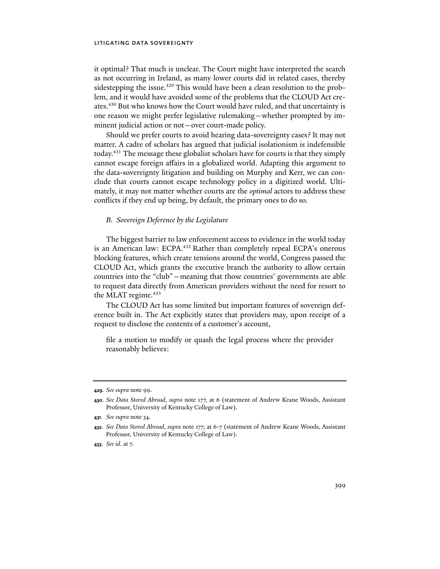it optimal? That much is unclear. The Court might have interpreted the search as not occurring in Ireland, as many lower courts did in related cases, thereby sidestepping the issue.429 This would have been a clean resolution to the problem, and it would have avoided some of the problems that the CLOUD Act creates.<sup>430</sup> But who knows how the Court would have ruled, and that uncertainty is one reason we might prefer legislative rulemaking—whether prompted by imminent judicial action or not—over court-made policy.

Should we prefer courts to avoid hearing data-sovereignty cases? It may not matter. A cadre of scholars has argued that judicial isolationism is indefensible today.431 The message these globalist scholars have for courts is that they simply cannot escape foreign affairs in a globalized world. Adapting this argument to the data-sovereignty litigation and building on Murphy and Kerr, we can conclude that courts cannot escape technology policy in a digitized world. Ultimately, it may not matter whether courts are the *optimal* actors to address these conflicts if they end up being, by default, the primary ones to do so.

### *B. Sovereign Deference by the Legislature*

The biggest barrier to law enforcement access to evidence in the world today is an American law: ECPA.<sup>432</sup> Rather than completely repeal ECPA's onerous blocking features, which create tensions around the world, Congress passed the CLOUD Act, which grants the executive branch the authority to allow certain countries into the "club"—meaning that those countries' governments are able to request data directly from American providers without the need for resort to the MLAT regime.<sup>433</sup>

The CLOUD Act has some limited but important features of sovereign deference built in. The Act explicitly states that providers may, upon receipt of a request to disclose the contents of a customer's account,

file a motion to modify or quash the legal process where the provider reasonably believes:

**<sup>429</sup>***. See supra* note 99.

**<sup>430</sup>***. See Data Stored Abroad*, *supra* note 177, at 6 (statement of Andrew Keane Woods, Assistant Professor, University of Kentucky College of Law).

**<sup>431</sup>***. See supra* note 34.

**<sup>432</sup>***. See Data Stored Abroad*, *supra* note 177, at 6-7 (statement of Andrew Keane Woods, Assistant Professor, University of Kentucky College of Law).

**<sup>433</sup>***. See id.* at 7.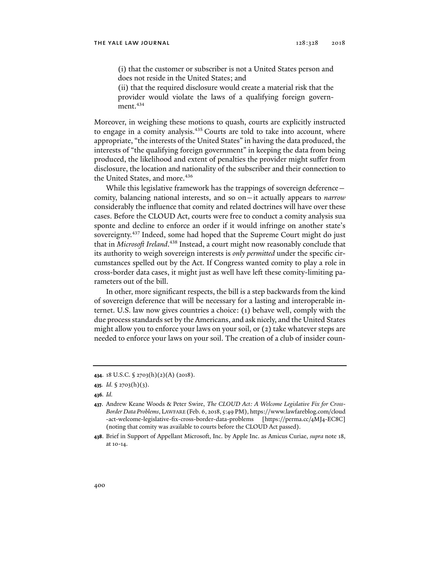(i) that the customer or subscriber is not a United States person and does not reside in the United States; and

(ii) that the required disclosure would create a material risk that the provider would violate the laws of a qualifying foreign government.<sup>434</sup>

Moreover, in weighing these motions to quash, courts are explicitly instructed to engage in a comity analysis.<sup>435</sup> Courts are told to take into account, where appropriate, "the interests of the United States" in having the data produced, the interests of "the qualifying foreign government" in keeping the data from being produced, the likelihood and extent of penalties the provider might suffer from disclosure, the location and nationality of the subscriber and their connection to the United States, and more.<sup>436</sup>

While this legislative framework has the trappings of sovereign deference – comity, balancing national interests, and so on—it actually appears to *narrow* considerably the influence that comity and related doctrines will have over these cases. Before the CLOUD Act, courts were free to conduct a comity analysis sua sponte and decline to enforce an order if it would infringe on another state's sovereignty.<sup>437</sup> Indeed, some had hoped that the Supreme Court might do just that in *Microsoft Ireland*. 438 Instead, a court might now reasonably conclude that its authority to weigh sovereign interests is *only permitted* under the specific circumstances spelled out by the Act. If Congress wanted comity to play a role in cross-border data cases, it might just as well have left these comity-limiting parameters out of the bill.

In other, more significant respects, the bill is a step backwards from the kind of sovereign deference that will be necessary for a lasting and interoperable internet. U.S. law now gives countries a choice: (1) behave well, comply with the due process standards set by the Americans, and ask nicely, and the United States might allow you to enforce your laws on your soil, or (2) take whatever steps are needed to enforce your laws on your soil. The creation of a club of insider coun-

**<sup>434</sup>**. 18 U.S.C. § 2703(h)(2)(A) (2018).

**<sup>435</sup>***. Id.* § 2703(h)(3).

**<sup>436</sup>***. Id.* 

**<sup>437</sup>**. Andrew Keane Woods & Peter Swire, *The CLOUD Act: A Welcome Legislative Fix for Cross-Border Data Problems*, LAWFARE (Feb. 6, 2018, 5:49 PM), https://www.lawfareblog.com/cloud -act-welcome-legislative-fix-cross-border-data-problems [https://perma.cc/4MJ4-EC8C] (noting that comity was available to courts before the CLOUD Act passed).

**<sup>438</sup>**. Brief in Support of Appellant Microsoft, Inc. by Apple Inc. as Amicus Curiae, *supra* note 18, at 10-14.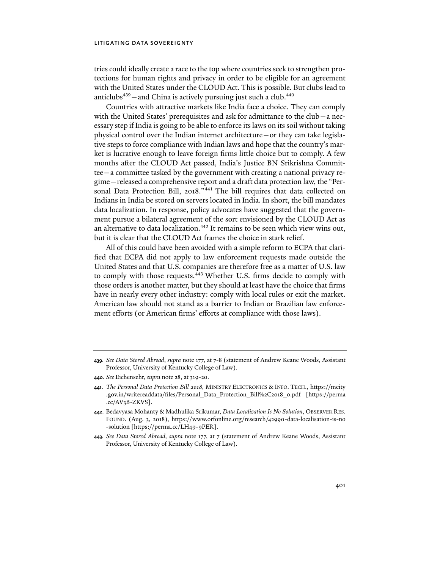## litigating data sovereignty

tries could ideally create a race to the top where countries seek to strengthen protections for human rights and privacy in order to be eligible for an agreement with the United States under the CLOUD Act. This is possible. But clubs lead to anticlubs $439$  – and China is actively pursuing just such a club. $440$ 

Countries with attractive markets like India face a choice. They can comply with the United States' prerequisites and ask for admittance to the club—a necessary step if India is going to be able to enforce its laws on its soil without taking physical control over the Indian internet architecture—or they can take legislative steps to force compliance with Indian laws and hope that the country's market is lucrative enough to leave foreign firms little choice but to comply. A few months after the CLOUD Act passed, India's Justice BN Srikrishna Committee—a committee tasked by the government with creating a national privacy regime—released a comprehensive report and a draft data protection law, the "Personal Data Protection Bill, 2018." 441 The bill requires that data collected on Indians in India be stored on servers located in India. In short, the bill mandates data localization. In response, policy advocates have suggested that the government pursue a bilateral agreement of the sort envisioned by the CLOUD Act as an alternative to data localization. $442$  It remains to be seen which view wins out, but it is clear that the CLOUD Act frames the choice in stark relief.

All of this could have been avoided with a simple reform to ECPA that clarified that ECPA did not apply to law enforcement requests made outside the United States and that U.S. companies are therefore free as a matter of U.S. law to comply with those requests.<sup>443</sup> Whether U.S. firms decide to comply with those orders is another matter, but they should at least have the choice that firms have in nearly every other industry: comply with local rules or exit the market. American law should not stand as a barrier to Indian or Brazilian law enforcement efforts (or American firms' efforts at compliance with those laws).

**440***. See* Eichensehr, *supra* note 28, at 319-20.

**<sup>439</sup>***. See Data Stored Abroad*, *supra* note 177, at 7-8 (statement of Andrew Keane Woods, Assistant Professor, University of Kentucky College of Law).

**<sup>441</sup>**. *The Personal Data Protection Bill 2018*, MINISTRY ELECTRONICS & INFO. TECH., https://meity .gov.in/writereaddata/files/Personal\_Data\_Protection\_Bill%2C2018\_0.pdf [https://perma .cc/AV3B-ZKVS].

**<sup>442</sup>**. Bedavyasa Mohanty & Madhulika Srikumar, *Data Localization Is No Solution*, OBSERVER RES. FOUND. (Aug. 3, 2018), https://www.orfonline.org/research/42990-data-localisation-is-no -solution [https://perma.cc/LH49-9PER].

**<sup>443</sup>***. See Data Stored Abroad, supra* note 177, at 7 (statement of Andrew Keane Woods, Assistant Professor, University of Kentucky College of Law).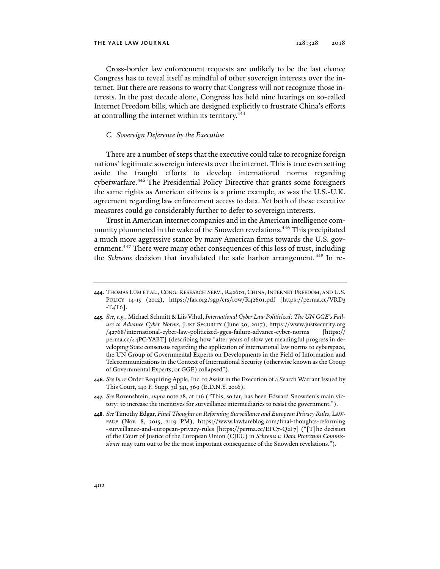Cross-border law enforcement requests are unlikely to be the last chance Congress has to reveal itself as mindful of other sovereign interests over the internet. But there are reasons to worry that Congress will not recognize those interests. In the past decade alone, Congress has held nine hearings on so-called Internet Freedom bills, which are designed explicitly to frustrate China's efforts at controlling the internet within its territory.<sup>444</sup>

# *C. Sovereign Deference by the Executive*

There are a number of steps that the executive could take to recognize foreign nations' legitimate sovereign interests over the internet. This is true even setting aside the fraught efforts to develop international norms regarding cyberwarfare.<sup>445</sup> The Presidential Policy Directive that grants some foreigners the same rights as American citizens is a prime example, as was the U.S.-U.K. agreement regarding law enforcement access to data. Yet both of these executive measures could go considerably further to defer to sovereign interests.

Trust in American internet companies and in the American intelligence community plummeted in the wake of the Snowden revelations.446 This precipitated a much more aggressive stance by many American firms towards the U.S. government.<sup>447</sup> There were many other consequences of this loss of trust, including the *Schrems* decision that invalidated the safe harbor arrangement. 448 In re-

**<sup>444</sup>**. THOMAS LUM ET AL., CONG. RESEARCH SERV., R42601, CHINA, INTERNET FREEDOM, AND U.S. POLICY 14-15 (2012), https://fas.org/sgp/crs/row/R42601.pdf [https://perma.cc/VRD3 -T4T6].

**<sup>445</sup>***. See, e.g.*, Michael Schmitt & Liis Vihul, *International Cyber Law Politicized: The UN GGE's Failure to Advance Cyber Norms*, JUST SECURITY (June 30, 2017), https://www.justsecurity.org /42768/international-cyber-law-politicized-gges-failure-advance-cyber-norms [https:// perma.cc/44PC-YABT] (describing how "after years of slow yet meaningful progress in developing State consensus regarding the application of international law norms to cyberspace, the UN Group of Governmental Experts on Developments in the Field of Information and Telecommunications in the Context of International Security (otherwise known as the Group of Governmental Experts, or GGE) collapsed").

**<sup>446</sup>***. See In re* Order Requiring Apple, Inc. to Assist in the Execution of a Search Warrant Issued by This Court, 149 F. Supp. 3d 341, 369 (E.D.N.Y. 2016).

**<sup>447</sup>***. See* Rozenshtein, *supra* note 28, at 116 ("This, so far, has been Edward Snowden's main victory: to increase the incentives for surveillance intermediaries to resist the government.").

**<sup>448</sup>***. See* Timothy Edgar, *Final Thoughts on Reforming Surveillance and European Privacy Rules*, LAW-FARE (Nov. 8, 2015, 2:19 PM), https://www.lawfareblog.com/final-thoughts-reforming -surveillance-and-european-privacy-rules [https://perma.cc/EFC7-Q2F7] ("[T]he decision of the Court of Justice of the European Union (CJEU) in *Schrems v. Data Protection Commissioner* may turn out to be the most important consequence of the Snowden revelations.").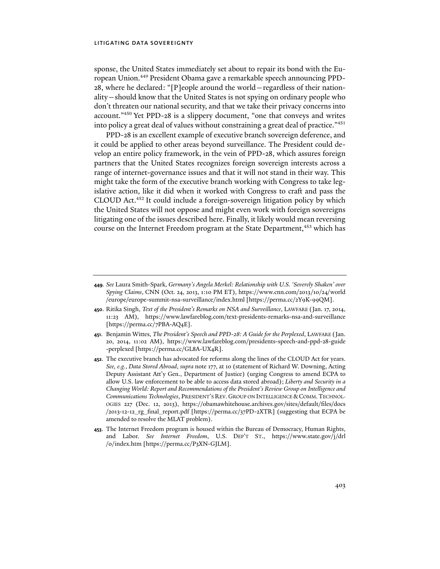## litigating data sovereignty

sponse, the United States immediately set about to repair its bond with the European Union.449 President Obama gave a remarkable speech announcing PPD-28, where he declared: "[P]eople around the world—regardless of their nationality—should know that the United States is not spying on ordinary people who don't threaten our national security, and that we take their privacy concerns into account."450 Yet PPD-28 is a slippery document, "one that conveys and writes into policy a great deal of values without constraining a great deal of practice."451

PPD-28 is an excellent example of executive branch sovereign deference, and it could be applied to other areas beyond surveillance. The President could develop an entire policy framework, in the vein of PPD-28, which assures foreign partners that the United States recognizes foreign sovereign interests across a range of internet-governance issues and that it will not stand in their way. This might take the form of the executive branch working with Congress to take legislative action, like it did when it worked with Congress to craft and pass the CLOUD Act.452 It could include a foreign-sovereign litigation policy by which the United States will not oppose and might even work with foreign sovereigns litigating one of the issues described here. Finally, it likely would mean reversing course on the Internet Freedom program at the State Department,<sup>453</sup> which has

**<sup>449</sup>***. See* Laura Smith-Spark, *Germany's Angela Merkel: Relationship with U.S. 'Severely Shaken' over Spying Claims*, CNN (Oct. 24, 2013, 1:10 PM ET), https://www.cnn.com/2013/10/24/world /europe/europe-summit-nsa-surveillance/index.html [https://perma.cc/2Y9K-99QM].

**<sup>450</sup>**. Ritika Singh, *Text of the President's Remarks on NSA and Surveillance*, LAWFARE (Jan. 17, 2014, 11:23 AM), https://www.lawfareblog.com/text-presidents-remarks-nsa-and-surveillance [https://perma.cc/7PBA-AQ4E].

**<sup>451</sup>**. Benjamin Wittes, *The President's Speech and PPD-28: A Guide for the Perplexed*, LAWFARE (Jan. 20, 2014, 11:02 AM), https://www.lawfareblog.com/presidents-speech-and-ppd-28-guide -perplexed [https://perma.cc/GL8A-UX4R].

**<sup>452</sup>**. The executive branch has advocated for reforms along the lines of the CLOUD Act for years. *See, e.g.*, *Data Stored Abroad*, *supra* note 177, at 10 (statement of Richard W. Downing, Acting Deputy Assistant Att'y Gen., Department of Justice) (urging Congress to amend ECPA to allow U.S. law enforcement to be able to access data stored abroad); *Liberty and Security in a Changing World: Report and Recommendations of the President's Review Group on Intelligence and Communications Technologies*, PRESIDENT'S REV. GROUP ON INTELLIGENCE &COMM.TECHNOL-OGIES 227 (Dec. 12, 2013), https://obamawhitehouse.archives.gov/sites/default/files/docs /2013-12-12\_rg\_final\_report.pdf [https://perma.cc/37PD-2XTR] (suggesting that ECPA be amended to resolve the MLAT problem).

**<sup>453</sup>**. The Internet Freedom program is housed within the Bureau of Democracy, Human Rights, and Labor. *See Internet Freedom*, U.S. DEP'T ST., https://www.state.gov/j/drl /0/index.htm [https://perma.cc/P3XN-GJLM].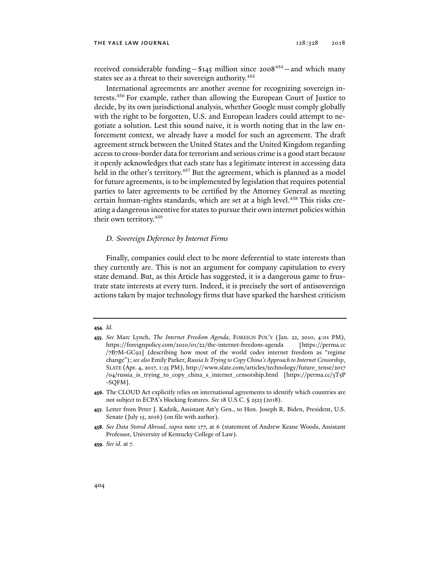received considerable funding -  $$145$  million since 2008<sup>454</sup> - and which many states see as a threat to their sovereign authority.<sup>455</sup>

International agreements are another avenue for recognizing sovereign interests.<sup>456</sup> For example, rather than allowing the European Court of Justice to decide, by its own jurisdictional analysis, whether Google must comply globally with the right to be forgotten, U.S. and European leaders could attempt to negotiate a solution. Lest this sound naive, it is worth noting that in the law enforcement context, we already have a model for such an agreement. The draft agreement struck between the United States and the United Kingdom regarding access to cross-border data for terrorism and serious crime is a good start because it openly acknowledges that each state has a legitimate interest in accessing data held in the other's territory.<sup>457</sup> But the agreement, which is planned as a model for future agreements, is to be implemented by legislation that requires potential parties to later agreements to be certified by the Attorney General as meeting certain human-rights standards, which are set at a high level.<sup>458</sup> This risks creating a dangerous incentive for states to pursue their own internet policies within their own territory.<sup>459</sup>

### *D. Sovereign Deference by Internet Firms*

Finally, companies could elect to be more deferential to state interests than they currently are. This is not an argument for company capitulation to every state demand. But, as this Article has suggested, it is a dangerous game to frustrate state interests at every turn. Indeed, it is precisely the sort of antisovereign actions taken by major technology firms that have sparked the harshest criticism

#### **454***. Id.*

**456**. The CLOUD Act explicitly relies on international agreements to identify which countries are not subject to ECPA's blocking features. *See* 18 U.S.C. § 2523 (2018).

**<sup>455</sup>***. See* Marc Lynch, *The Internet Freedom Agenda*, FOREIGN POL'Y (Jan. 22, 2010, 4:01 PM), https://foreignpolicy.com/2010/01/22/the-internet-freedom-agenda [https://perma.cc /7B7M-GC92] (describing how most of the world codes internet freedom as "regime change"); *see also* Emily Parker, *Russia Is Trying to Copy China's Approach to Internet Censorship*, SLATE (Apr. 4, 2017, 1:25 PM), http://www.slate.com/articles/technology/future\_tense/2017 /04/russia\_is\_trying\_to\_copy\_china\_s\_internet\_censorship.html [https://perma.cc/3T5P -SQFM].

**<sup>457</sup>**. Letter from Peter J. Kadzik, Assistant Att'y Gen., to Hon. Joseph R. Biden, President, U.S. Senate (July 15, 2016) (on file with author).

**<sup>458</sup>***. See Data Stored Abroad*, *supra* note 177, at 6 (statement of Andrew Keane Woods, Assistant Professor, University of Kentucky College of Law).

**<sup>459</sup>***. See id.* at 7.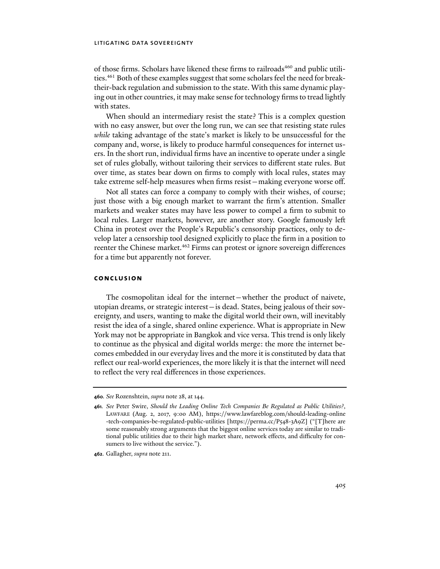## litigating data sovereignty

of those firms. Scholars have likened these firms to railroads<sup>460</sup> and public utilities.<sup>461</sup> Both of these examples suggest that some scholars feel the need for breaktheir-back regulation and submission to the state. With this same dynamic playing out in other countries, it may make sense for technology firms to tread lightly with states.

When should an intermediary resist the state? This is a complex question with no easy answer, but over the long run, we can see that resisting state rules *while* taking advantage of the state's market is likely to be unsuccessful for the company and, worse, is likely to produce harmful consequences for internet users. In the short run, individual firms have an incentive to operate under a single set of rules globally, without tailoring their services to different state rules. But over time, as states bear down on firms to comply with local rules, states may take extreme self-help measures when firms resist—making everyone worse off.

Not all states can force a company to comply with their wishes, of course; just those with a big enough market to warrant the firm's attention. Smaller markets and weaker states may have less power to compel a firm to submit to local rules. Larger markets, however, are another story. Google famously left China in protest over the People's Republic's censorship practices, only to develop later a censorship tool designed explicitly to place the firm in a position to reenter the Chinese market.<sup>462</sup> Firms can protest or ignore sovereign differences for a time but apparently not forever.

## **conclusion**

The cosmopolitan ideal for the internet—whether the product of naivete, utopian dreams, or strategic interest—is dead. States, being jealous of their sovereignty, and users, wanting to make the digital world their own, will inevitably resist the idea of a single, shared online experience. What is appropriate in New York may not be appropriate in Bangkok and vice versa. This trend is only likely to continue as the physical and digital worlds merge: the more the internet becomes embedded in our everyday lives and the more it is constituted by data that reflect our real-world experiences, the more likely it is that the internet will need to reflect the very real differences in those experiences.

**<sup>460</sup>***. See* Rozenshtein, *supra* note 28, at 144.

**<sup>461</sup>***. See* Peter Swire, *Should the Leading Online Tech Companies Be Regulated as Public Utilities?*, LAWFARE (Aug. 2, 2017, 9:00 AM), https://www.lawfareblog.com/should-leading-online -tech-companies-be-regulated-public-utilities [https://perma.cc/P548-3A9Z] ("[T]here are some reasonably strong arguments that the biggest online services today are similar to traditional public utilities due to their high market share, network effects, and difficulty for consumers to live without the service.").

**<sup>462</sup>**. Gallagher, *supra* note 211.